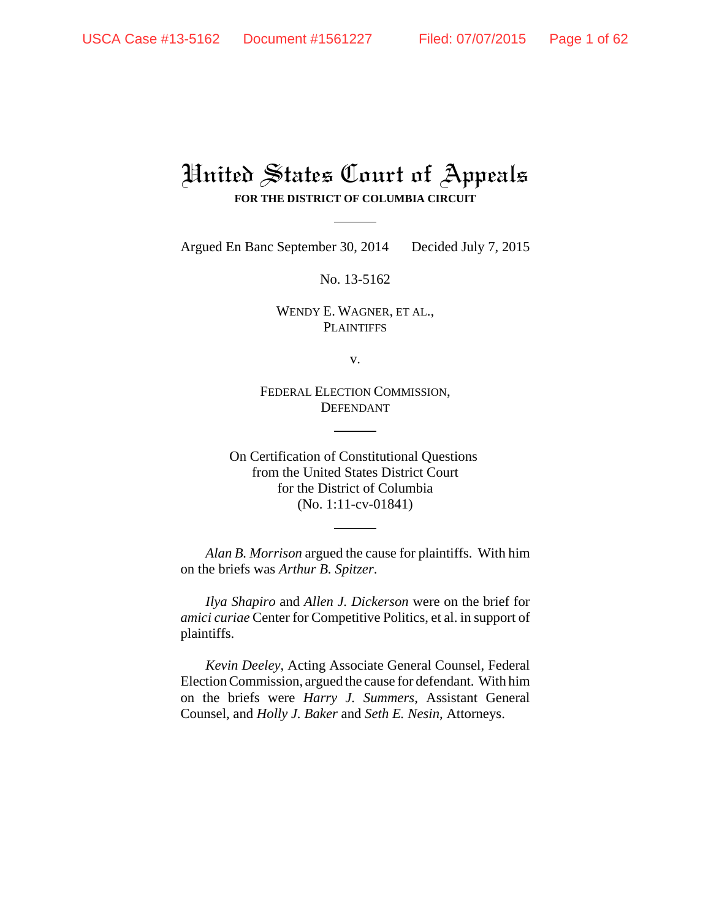# United States Court of Appeals **FOR THE DISTRICT OF COLUMBIA CIRCUIT**

Argued En Banc September 30, 2014 Decided July 7, 2015

No. 13-5162

WENDY E. WAGNER, ET AL., **PLAINTIFFS** 

v.

FEDERAL ELECTION COMMISSION, DEFENDANT

On Certification of Constitutional Questions from the United States District Court for the District of Columbia (No. 1:11-cv-01841)

*Alan B. Morrison* argued the cause for plaintiffs. With him on the briefs was *Arthur B. Spitzer*.

*Ilya Shapiro* and *Allen J. Dickerson* were on the brief for *amici curiae* Center for Competitive Politics, et al. in support of plaintiffs.

*Kevin Deeley*, Acting Associate General Counsel, Federal Election Commission, argued the cause for defendant. With him on the briefs were *Harry J. Summers*, Assistant General Counsel, and *Holly J. Baker* and *Seth E. Nesin*, Attorneys.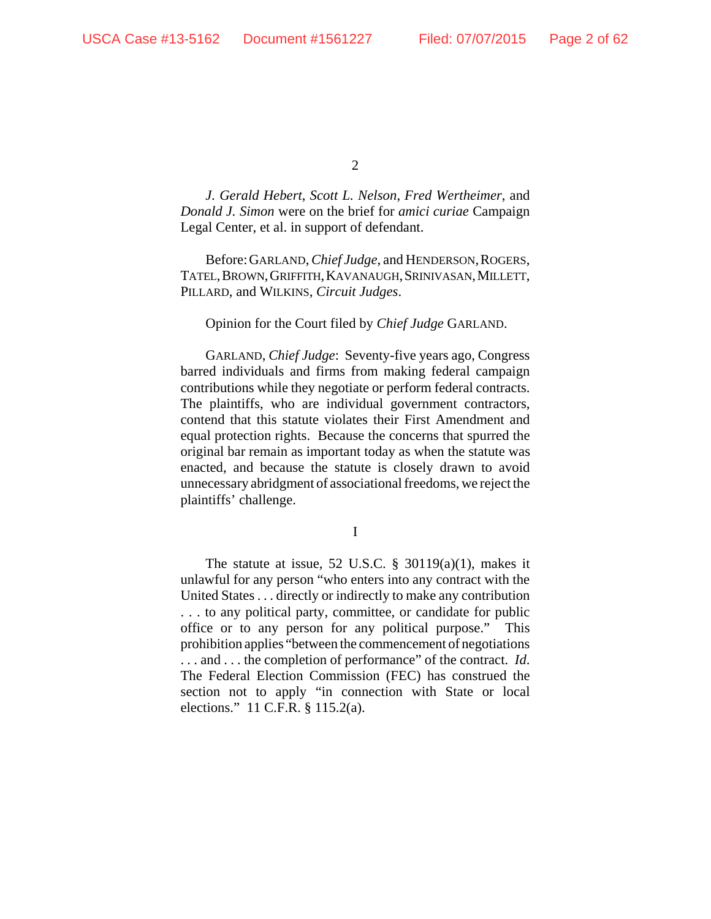*J. Gerald Hebert*, *Scott L. Nelson*, *Fred Wertheimer*, and *Donald J. Simon* were on the brief for *amici curiae* Campaign Legal Center, et al. in support of defendant.

Before:GARLAND, *Chief Judge*, and HENDERSON,ROGERS, TATEL,BROWN,GRIFFITH,KAVANAUGH,SRINIVASAN,MILLETT, PILLARD, and WILKINS, *Circuit Judges*.

#### Opinion for the Court filed by *Chief Judge* GARLAND.

GARLAND, *Chief Judge*: Seventy-five years ago, Congress barred individuals and firms from making federal campaign contributions while they negotiate or perform federal contracts. The plaintiffs, who are individual government contractors, contend that this statute violates their First Amendment and equal protection rights. Because the concerns that spurred the original bar remain as important today as when the statute was enacted, and because the statute is closely drawn to avoid unnecessary abridgment of associational freedoms, we reject the plaintiffs' challenge.

I

The statute at issue, 52 U.S.C.  $\S$  30119(a)(1), makes it unlawful for any person "who enters into any contract with the United States . . . directly or indirectly to make any contribution . . . to any political party, committee, or candidate for public office or to any person for any political purpose." This prohibition applies "between the commencement of negotiations . . . and . . . the completion of performance" of the contract. *Id*. The Federal Election Commission (FEC) has construed the section not to apply "in connection with State or local elections." 11 C.F.R. § 115.2(a).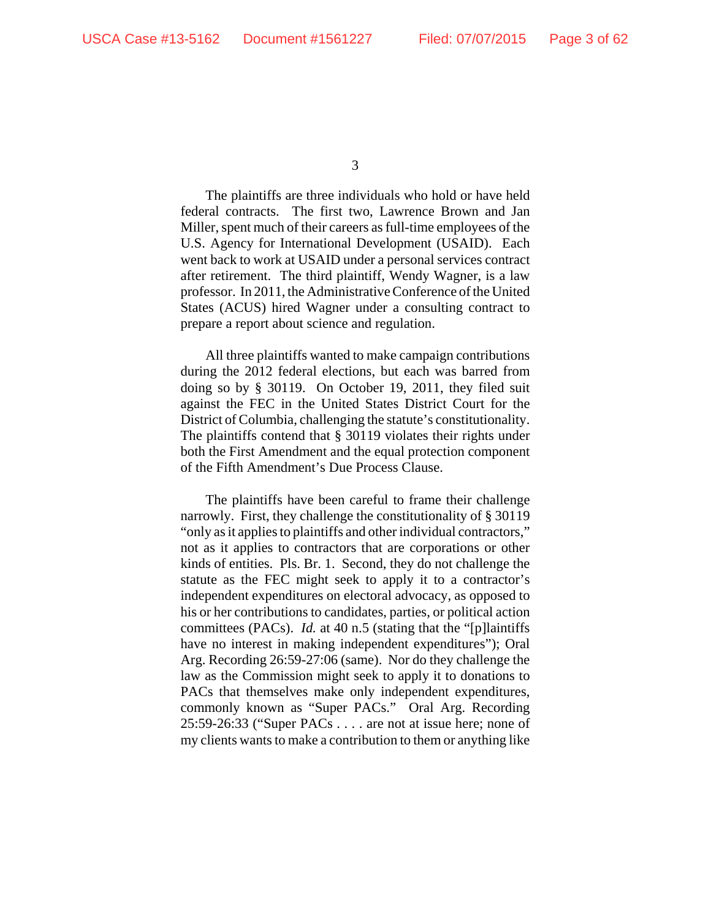The plaintiffs are three individuals who hold or have held federal contracts. The first two, Lawrence Brown and Jan Miller, spent much of their careers as full-time employees of the U.S. Agency for International Development (USAID). Each went back to work at USAID under a personal services contract after retirement. The third plaintiff, Wendy Wagner, is a law professor. In 2011, the Administrative Conference of the United States (ACUS) hired Wagner under a consulting contract to prepare a report about science and regulation.

All three plaintiffs wanted to make campaign contributions during the 2012 federal elections, but each was barred from doing so by § 30119. On October 19, 2011, they filed suit against the FEC in the United States District Court for the District of Columbia, challenging the statute's constitutionality. The plaintiffs contend that § 30119 violates their rights under both the First Amendment and the equal protection component of the Fifth Amendment's Due Process Clause.

The plaintiffs have been careful to frame their challenge narrowly. First, they challenge the constitutionality of § 30119 "only as it applies to plaintiffs and other individual contractors," not as it applies to contractors that are corporations or other kinds of entities. Pls. Br. 1. Second, they do not challenge the statute as the FEC might seek to apply it to a contractor's independent expenditures on electoral advocacy, as opposed to his or her contributions to candidates, parties, or political action committees (PACs). *Id.* at 40 n.5 (stating that the "[p]laintiffs have no interest in making independent expenditures"); Oral Arg. Recording 26:59-27:06 (same). Nor do they challenge the law as the Commission might seek to apply it to donations to PACs that themselves make only independent expenditures, commonly known as "Super PACs." Oral Arg. Recording 25:59-26:33 ("Super PACs . . . . are not at issue here; none of my clients wants to make a contribution to them or anything like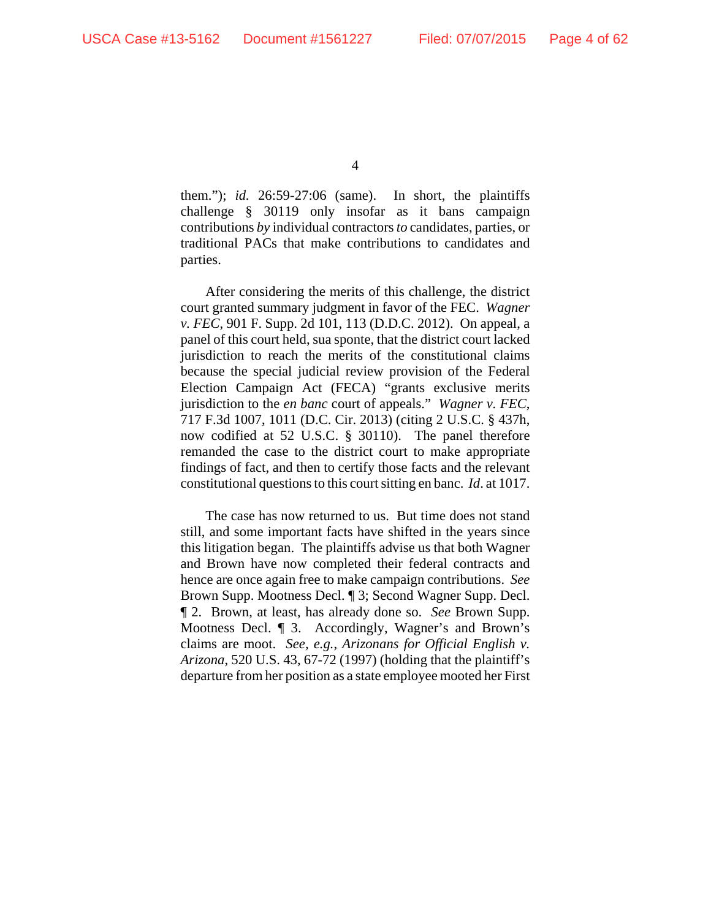them."); *id.* 26:59-27:06 (same). In short, the plaintiffs challenge § 30119 only insofar as it bans campaign contributions *by* individual contractors *to* candidates, parties, or traditional PACs that make contributions to candidates and parties.

After considering the merits of this challenge, the district court granted summary judgment in favor of the FEC. *Wagner v. FEC*, 901 F. Supp. 2d 101, 113 (D.D.C. 2012). On appeal, a panel of this court held, sua sponte, that the district court lacked jurisdiction to reach the merits of the constitutional claims because the special judicial review provision of the Federal Election Campaign Act (FECA) "grants exclusive merits jurisdiction to the *en banc* court of appeals." *Wagner v. FEC*, 717 F.3d 1007, 1011 (D.C. Cir. 2013) (citing 2 U.S.C. § 437h, now codified at 52 U.S.C. § 30110). The panel therefore remanded the case to the district court to make appropriate findings of fact, and then to certify those facts and the relevant constitutional questions to this court sitting en banc. *Id*. at 1017.

The case has now returned to us. But time does not stand still, and some important facts have shifted in the years since this litigation began. The plaintiffs advise us that both Wagner and Brown have now completed their federal contracts and hence are once again free to make campaign contributions. *See* Brown Supp. Mootness Decl. ¶ 3; Second Wagner Supp. Decl. ¶ 2. Brown, at least, has already done so. *See* Brown Supp. Mootness Decl. ¶ 3. Accordingly, Wagner's and Brown's claims are moot. *See, e.g.*, *Arizonans for Official English v. Arizona*, 520 U.S. 43, 67-72 (1997) (holding that the plaintiff's departure from her position as a state employee mooted her First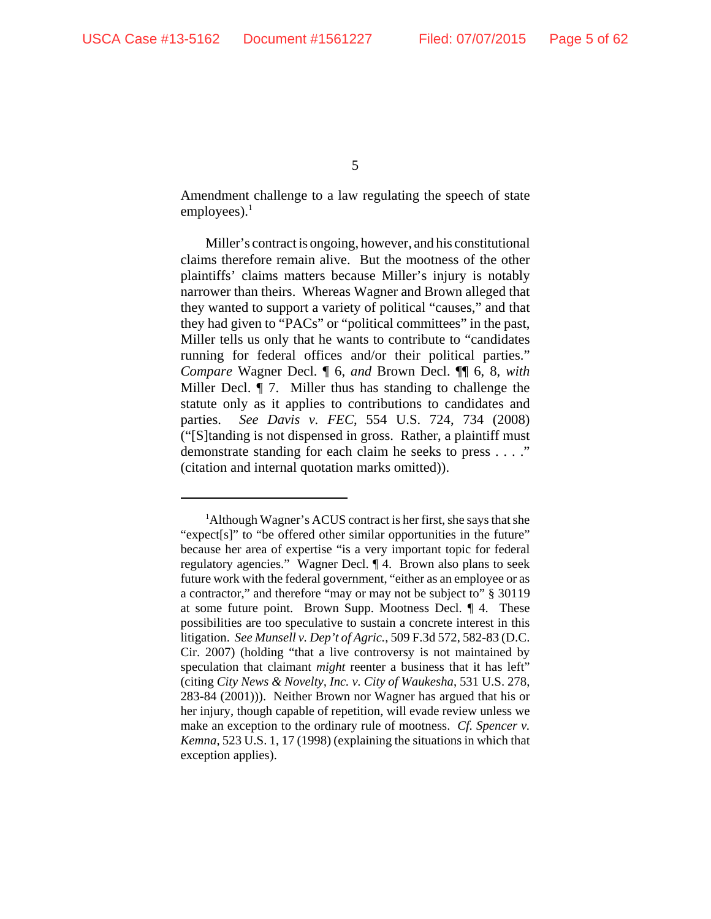Amendment challenge to a law regulating the speech of state employees). $<sup>1</sup>$ </sup>

Miller's contract is ongoing, however, and his constitutional claims therefore remain alive. But the mootness of the other plaintiffs' claims matters because Miller's injury is notably narrower than theirs. Whereas Wagner and Brown alleged that they wanted to support a variety of political "causes," and that they had given to "PACs" or "political committees" in the past, Miller tells us only that he wants to contribute to "candidates running for federal offices and/or their political parties." *Compare* Wagner Decl. ¶ 6, *and* Brown Decl. ¶¶ 6, 8, *with* Miller Decl. ¶ 7. Miller thus has standing to challenge the statute only as it applies to contributions to candidates and parties. *See Davis v. FEC*, 554 U.S. 724, 734 (2008) ("[S]tanding is not dispensed in gross. Rather, a plaintiff must demonstrate standing for each claim he seeks to press . . . ." (citation and internal quotation marks omitted)).

<sup>&</sup>lt;sup>1</sup>Although Wagner's ACUS contract is her first, she says that she "expect[s]" to "be offered other similar opportunities in the future" because her area of expertise "is a very important topic for federal regulatory agencies." Wagner Decl. ¶ 4. Brown also plans to seek future work with the federal government, "either as an employee or as a contractor," and therefore "may or may not be subject to" § 30119 at some future point. Brown Supp. Mootness Decl. ¶ 4. These possibilities are too speculative to sustain a concrete interest in this litigation. *See Munsell v. Dep't of Agric.*, 509 F.3d 572, 582-83 (D.C. Cir. 2007) (holding "that a live controversy is not maintained by speculation that claimant *might* reenter a business that it has left" (citing *City News & Novelty, Inc. v. City of Waukesha*, 531 U.S. 278, 283-84 (2001))). Neither Brown nor Wagner has argued that his or her injury, though capable of repetition, will evade review unless we make an exception to the ordinary rule of mootness. *Cf. Spencer v. Kemna*, 523 U.S. 1, 17 (1998) (explaining the situations in which that exception applies).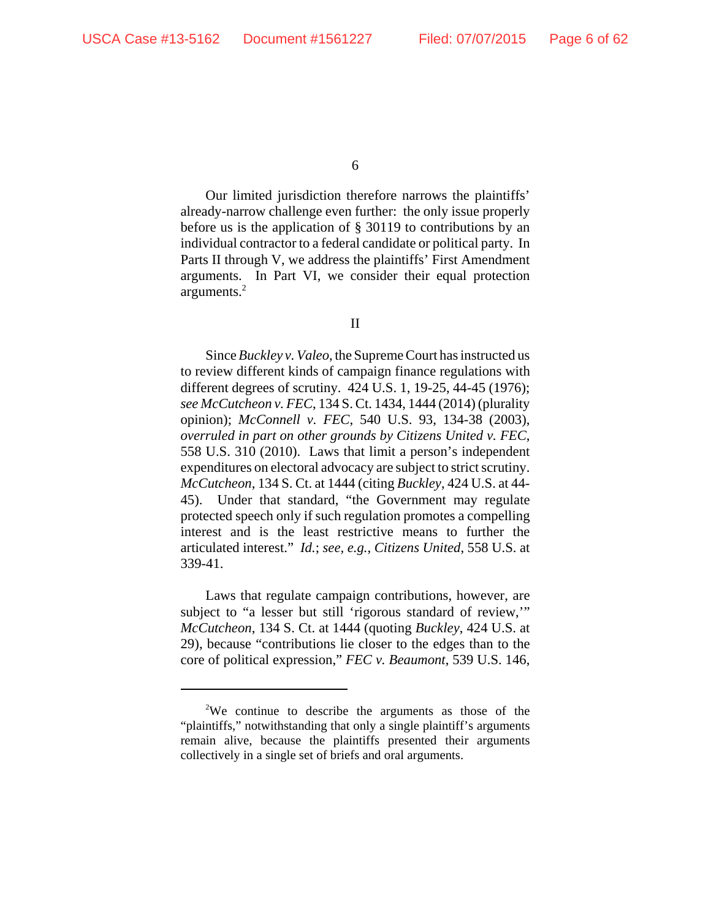Our limited jurisdiction therefore narrows the plaintiffs' already-narrow challenge even further: the only issue properly before us is the application of § 30119 to contributions by an individual contractor to a federal candidate or political party. In Parts II through V, we address the plaintiffs' First Amendment arguments. In Part VI, we consider their equal protection arguments.2

#### II

Since *Buckley v. Valeo*, the Supreme Court has instructed us to review different kinds of campaign finance regulations with different degrees of scrutiny. 424 U.S. 1, 19-25, 44-45 (1976); *see McCutcheon v. FEC*, 134 S. Ct. 1434, 1444 (2014) (plurality opinion); *McConnell v. FEC*, 540 U.S. 93, 134-38 (2003), *overruled in part on other grounds by Citizens United v. FEC*, 558 U.S. 310 (2010). Laws that limit a person's independent expenditures on electoral advocacy are subject to strict scrutiny. *McCutcheon*, 134 S. Ct. at 1444 (citing *Buckley*, 424 U.S. at 44- 45). Under that standard, "the Government may regulate protected speech only if such regulation promotes a compelling interest and is the least restrictive means to further the articulated interest." *Id.*; *see, e.g.*, *Citizens United*, 558 U.S. at 339-41.

Laws that regulate campaign contributions, however, are subject to "a lesser but still 'rigorous standard of review," *McCutcheon*, 134 S. Ct. at 1444 (quoting *Buckley*, 424 U.S. at 29), because "contributions lie closer to the edges than to the core of political expression," *FEC v. Beaumont*, 539 U.S. 146,

<sup>&</sup>lt;sup>2</sup>We continue to describe the arguments as those of the "plaintiffs," notwithstanding that only a single plaintiff's arguments remain alive, because the plaintiffs presented their arguments collectively in a single set of briefs and oral arguments.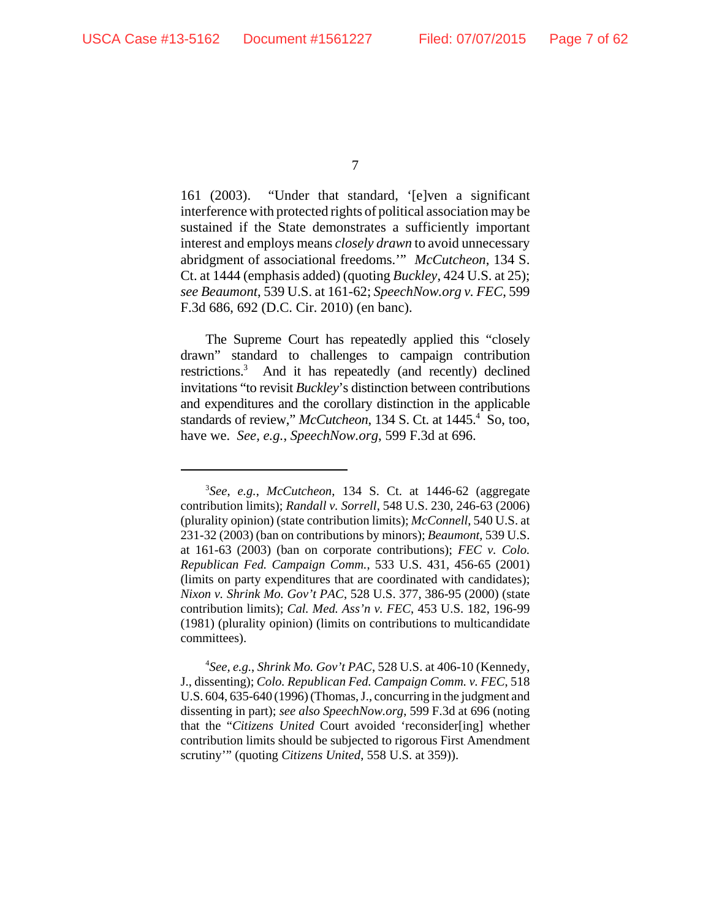161 (2003). "Under that standard, '[e]ven a significant interference with protected rights of political association may be sustained if the State demonstrates a sufficiently important interest and employs means *closely drawn* to avoid unnecessary abridgment of associational freedoms.'" *McCutcheon*, 134 S. Ct. at 1444 (emphasis added) (quoting *Buckley*, 424 U.S. at 25); *see Beaumont*, 539 U.S. at 161-62; *SpeechNow.org v. FEC*, 599 F.3d 686, 692 (D.C. Cir. 2010) (en banc).

The Supreme Court has repeatedly applied this "closely drawn" standard to challenges to campaign contribution restrictions.<sup>3</sup> And it has repeatedly (and recently) declined invitations "to revisit *Buckley*'s distinction between contributions and expenditures and the corollary distinction in the applicable standards of review," McCutcheon, 134 S. Ct. at 1445.<sup>4</sup> So, too, have we. *See, e.g.*, *SpeechNow.org*, 599 F.3d at 696.

<sup>7</sup>

<sup>3</sup> *See*, *e.g.*, *McCutcheon*, 134 S. Ct. at 1446-62 (aggregate contribution limits); *Randall v. Sorrell*, 548 U.S. 230, 246-63 (2006) (plurality opinion) (state contribution limits); *McConnell*, 540 U.S. at 231-32 (2003) (ban on contributions by minors); *Beaumont*, 539 U.S. at 161-63 (2003) (ban on corporate contributions); *FEC v. Colo. Republican Fed. Campaign Comm.*, 533 U.S. 431, 456-65 (2001) (limits on party expenditures that are coordinated with candidates); *Nixon v. Shrink Mo. Gov't PAC*, 528 U.S. 377, 386-95 (2000) (state contribution limits); *Cal. Med. Ass'n v. FEC*, 453 U.S. 182, 196-99 (1981) (plurality opinion) (limits on contributions to multicandidate committees).

<sup>4</sup> *See, e.g.*, *Shrink Mo. Gov't PAC*, 528 U.S. at 406-10 (Kennedy, J., dissenting); *Colo. Republican Fed. Campaign Comm. v. FEC*, 518 U.S. 604, 635-640 (1996) (Thomas, J., concurring in the judgment and dissenting in part); *see also SpeechNow.org*, 599 F.3d at 696 (noting that the "*Citizens United* Court avoided 'reconsider[ing] whether contribution limits should be subjected to rigorous First Amendment scrutiny'" (quoting *Citizens United*, 558 U.S. at 359)).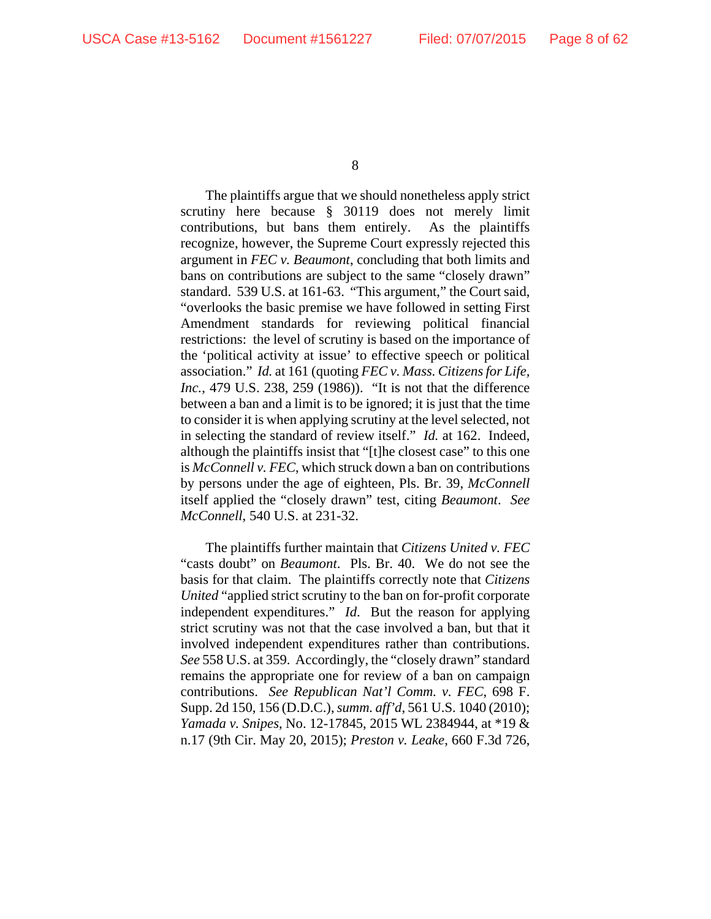The plaintiffs argue that we should nonetheless apply strict scrutiny here because § 30119 does not merely limit contributions, but bans them entirely. As the plaintiffs recognize, however, the Supreme Court expressly rejected this argument in *FEC v. Beaumont*, concluding that both limits and bans on contributions are subject to the same "closely drawn" standard. 539 U.S. at 161-63. "This argument," the Court said, "overlooks the basic premise we have followed in setting First Amendment standards for reviewing political financial restrictions: the level of scrutiny is based on the importance of the 'political activity at issue' to effective speech or political association." *Id.* at 161 (quoting *FEC v. Mass. Citizens for Life, Inc.*, 479 U.S. 238, 259 (1986)). "It is not that the difference between a ban and a limit is to be ignored; it is just that the time to consider it is when applying scrutiny at the level selected, not in selecting the standard of review itself." *Id.* at 162. Indeed, although the plaintiffs insist that "[t]he closest case" to this one is *McConnell v. FEC*, which struck down a ban on contributions by persons under the age of eighteen, Pls. Br. 39, *McConnell* itself applied the "closely drawn" test, citing *Beaumont*. *See McConnell*, 540 U.S. at 231-32.

The plaintiffs further maintain that *Citizens United v. FEC* "casts doubt" on *Beaumont*. Pls. Br. 40. We do not see the basis for that claim. The plaintiffs correctly note that *Citizens United* "applied strict scrutiny to the ban on for-profit corporate independent expenditures." *Id*. But the reason for applying strict scrutiny was not that the case involved a ban, but that it involved independent expenditures rather than contributions. *See* 558 U.S. at 359. Accordingly, the "closely drawn" standard remains the appropriate one for review of a ban on campaign contributions. *See Republican Nat'l Comm. v. FEC*, 698 F. Supp. 2d 150, 156 (D.D.C.), *summ. aff'd*, 561 U.S. 1040 (2010); *Yamada v. Snipes*, No. 12-17845, 2015 WL 2384944, at \*19 & n.17 (9th Cir. May 20, 2015); *Preston v. Leake*, 660 F.3d 726,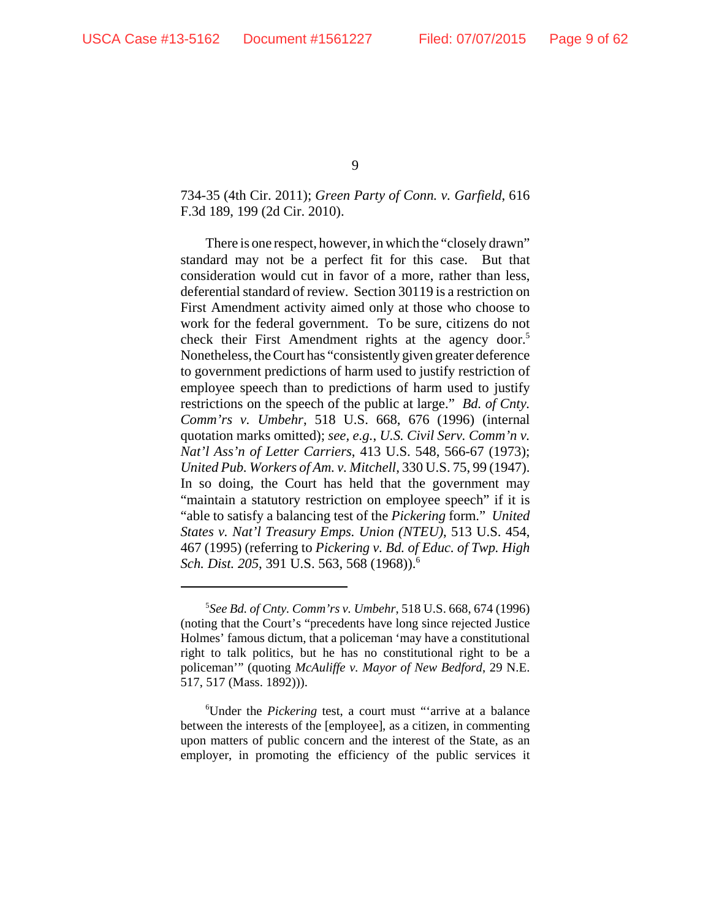## 734-35 (4th Cir. 2011); *Green Party of Conn. v. Garfield*, 616 F.3d 189, 199 (2d Cir. 2010).

There is one respect, however, in which the "closely drawn" standard may not be a perfect fit for this case. But that consideration would cut in favor of a more, rather than less, deferential standard of review. Section 30119 is a restriction on First Amendment activity aimed only at those who choose to work for the federal government. To be sure, citizens do not check their First Amendment rights at the agency door.<sup>5</sup> Nonetheless, the Court has "consistently given greater deference to government predictions of harm used to justify restriction of employee speech than to predictions of harm used to justify restrictions on the speech of the public at large." *Bd. of Cnty. Comm'rs v. Umbehr*, 518 U.S. 668, 676 (1996) (internal quotation marks omitted); *see, e.g.*, *U.S. Civil Serv. Comm'n v. Nat'l Ass'n of Letter Carriers*, 413 U.S. 548, 566-67 (1973); *United Pub. Workers of Am. v. Mitchell*, 330 U.S. 75, 99 (1947). In so doing, the Court has held that the government may "maintain a statutory restriction on employee speech" if it is "able to satisfy a balancing test of the *Pickering* form." *United States v. Nat'l Treasury Emps. Union (NTEU)*, 513 U.S. 454, 467 (1995) (referring to *Pickering v. Bd. of Educ. of Twp. High Sch. Dist. 205*, 391 U.S. 563, 568 (1968)).6

<sup>5</sup> *See Bd. of Cnty. Comm'rs v. Umbehr*, 518 U.S. 668, 674 (1996) (noting that the Court's "precedents have long since rejected Justice Holmes' famous dictum, that a policeman 'may have a constitutional right to talk politics, but he has no constitutional right to be a policeman'" (quoting *McAuliffe v. Mayor of New Bedford*, 29 N.E. 517, 517 (Mass. 1892))).

<sup>6</sup> Under the *Pickering* test, a court must "'arrive at a balance between the interests of the [employee], as a citizen, in commenting upon matters of public concern and the interest of the State, as an employer, in promoting the efficiency of the public services it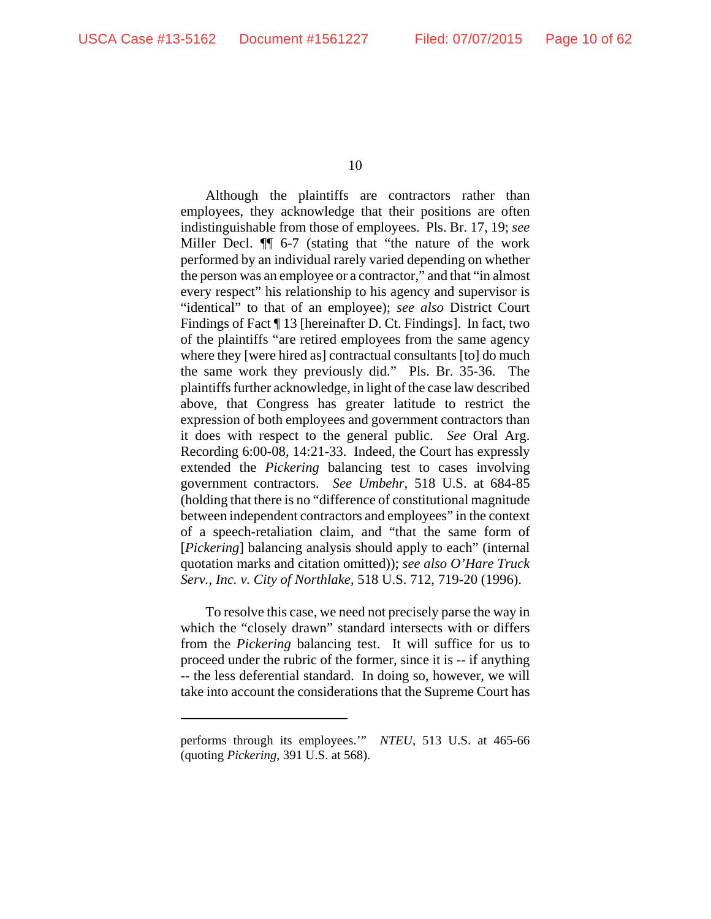Although the plaintiffs are contractors rather than employees, they acknowledge that their positions are often indistinguishable from those of employees. Pls. Br. 17, 19; *see* Miller Decl. ¶¶ 6-7 (stating that "the nature of the work performed by an individual rarely varied depending on whether the person was an employee or a contractor," and that "in almost every respect" his relationship to his agency and supervisor is "identical" to that of an employee); *see also* District Court Findings of Fact ¶ 13 [hereinafter D. Ct. Findings]. In fact, two of the plaintiffs "are retired employees from the same agency where they [were hired as] contractual consultants [to] do much the same work they previously did." Pls. Br. 35-36. The plaintiffs further acknowledge, in light of the case law described above, that Congress has greater latitude to restrict the expression of both employees and government contractors than it does with respect to the general public. *See* Oral Arg. Recording 6:00-08, 14:21-33. Indeed, the Court has expressly extended the *Pickering* balancing test to cases involving government contractors. *See Umbehr*, 518 U.S. at 684-85 (holding that there is no "difference of constitutional magnitude between independent contractors and employees" in the context of a speech-retaliation claim, and "that the same form of [*Pickering*] balancing analysis should apply to each" (internal quotation marks and citation omitted)); *see also O'Hare Truck Serv., Inc. v. City of Northlake*, 518 U.S. 712, 719-20 (1996).

To resolve this case, we need not precisely parse the way in which the "closely drawn" standard intersects with or differs from the *Pickering* balancing test. It will suffice for us to proceed under the rubric of the former, since it is -- if anything -- the less deferential standard. In doing so, however, we will take into account the considerations that the Supreme Court has

performs through its employees.'" *NTEU*, 513 U.S. at 465-66 (quoting *Pickering*, 391 U.S. at 568).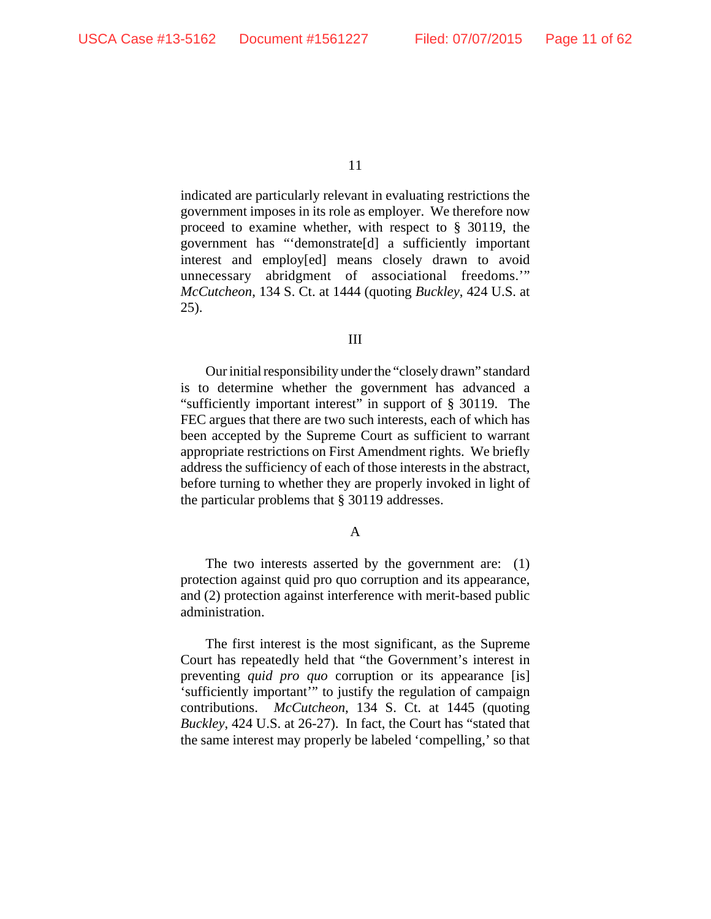indicated are particularly relevant in evaluating restrictions the government imposes in its role as employer. We therefore now proceed to examine whether, with respect to § 30119, the government has "'demonstrate[d] a sufficiently important interest and employ[ed] means closely drawn to avoid unnecessary abridgment of associational freedoms.'" *McCutcheon*, 134 S. Ct. at 1444 (quoting *Buckley*, 424 U.S. at 25).

#### III

Our initial responsibility under the "closely drawn" standard is to determine whether the government has advanced a "sufficiently important interest" in support of § 30119. The FEC argues that there are two such interests, each of which has been accepted by the Supreme Court as sufficient to warrant appropriate restrictions on First Amendment rights. We briefly address the sufficiency of each of those interests in the abstract, before turning to whether they are properly invoked in light of the particular problems that § 30119 addresses.

#### A

The two interests asserted by the government are: (1) protection against quid pro quo corruption and its appearance, and (2) protection against interference with merit-based public administration.

The first interest is the most significant, as the Supreme Court has repeatedly held that "the Government's interest in preventing *quid pro quo* corruption or its appearance [is] 'sufficiently important'" to justify the regulation of campaign contributions. *McCutcheon*, 134 S. Ct. at 1445 (quoting *Buckley*, 424 U.S. at 26-27). In fact, the Court has "stated that the same interest may properly be labeled 'compelling,' so that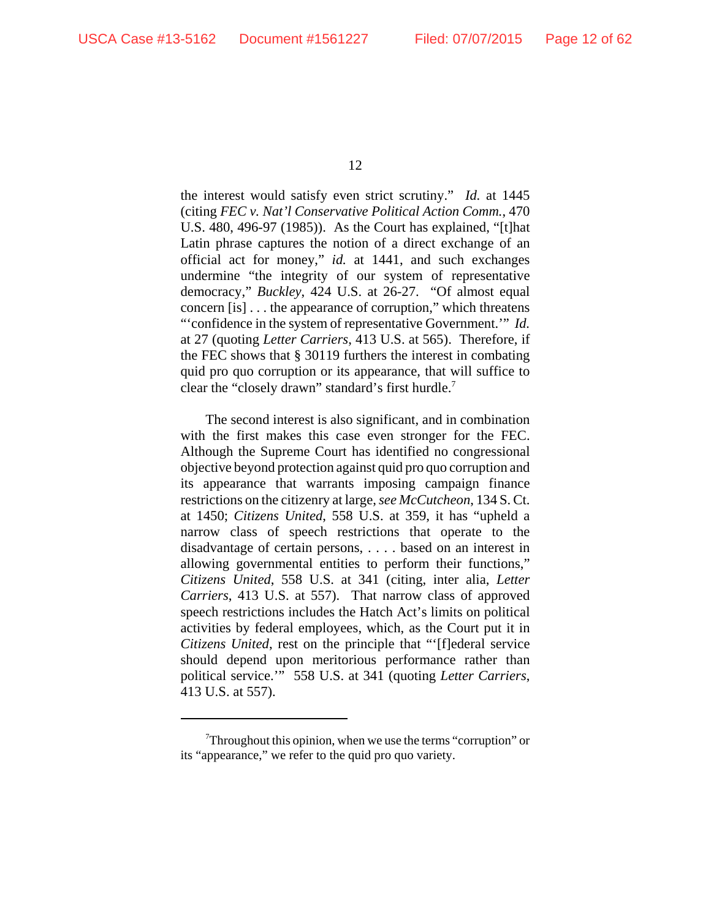the interest would satisfy even strict scrutiny." *Id.* at 1445 (citing *FEC v. Nat'l Conservative Political Action Comm.*, 470 U.S. 480, 496-97 (1985)). As the Court has explained, "[t]hat Latin phrase captures the notion of a direct exchange of an official act for money," *id.* at 1441, and such exchanges undermine "the integrity of our system of representative democracy," *Buckley*, 424 U.S. at 26-27. "Of almost equal concern [is] . . . the appearance of corruption," which threatens "'confidence in the system of representative Government.'" *Id.* at 27 (quoting *Letter Carriers*, 413 U.S. at 565). Therefore, if the FEC shows that § 30119 furthers the interest in combating quid pro quo corruption or its appearance, that will suffice to clear the "closely drawn" standard's first hurdle.<sup>7</sup>

The second interest is also significant, and in combination with the first makes this case even stronger for the FEC. Although the Supreme Court has identified no congressional objective beyond protection against quid pro quo corruption and its appearance that warrants imposing campaign finance restrictions on the citizenry at large, *see McCutcheon*, 134 S. Ct. at 1450; *Citizens United*, 558 U.S. at 359, it has "upheld a narrow class of speech restrictions that operate to the disadvantage of certain persons, . . . . based on an interest in allowing governmental entities to perform their functions," *Citizens United*, 558 U.S. at 341 (citing, inter alia, *Letter Carriers*, 413 U.S. at 557). That narrow class of approved speech restrictions includes the Hatch Act's limits on political activities by federal employees, which, as the Court put it in *Citizens United*, rest on the principle that "'[f]ederal service should depend upon meritorious performance rather than political service.'" 558 U.S. at 341 (quoting *Letter Carriers*, 413 U.S. at 557).

 $7$ Throughout this opinion, when we use the terms "corruption" or its "appearance," we refer to the quid pro quo variety.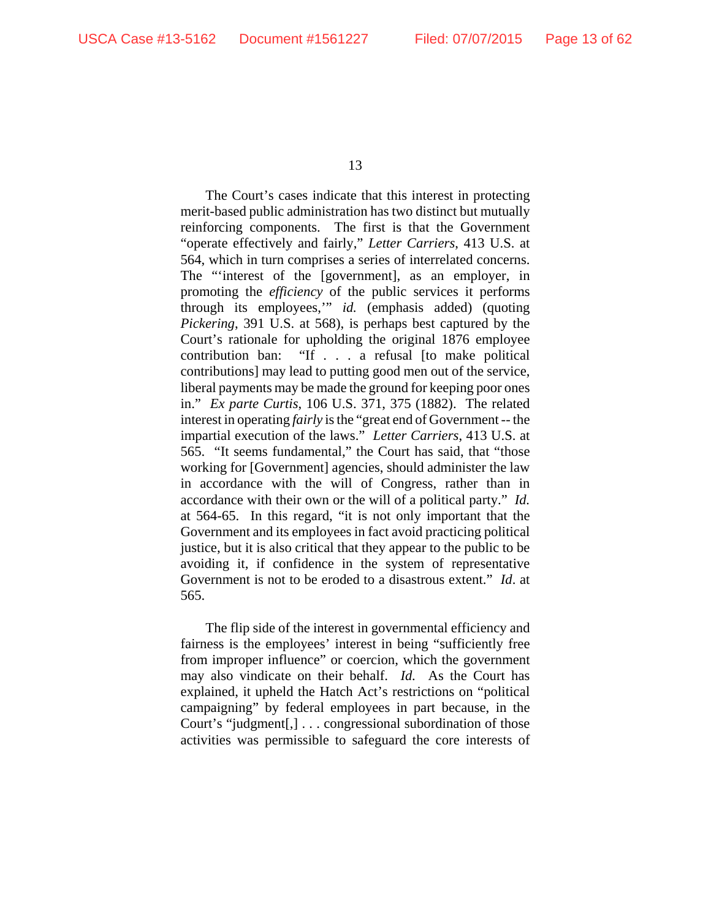The Court's cases indicate that this interest in protecting merit-based public administration has two distinct but mutually reinforcing components. The first is that the Government "operate effectively and fairly," *Letter Carriers*, 413 U.S. at 564, which in turn comprises a series of interrelated concerns. The "'interest of the [government], as an employer, in promoting the *efficiency* of the public services it performs through its employees,'" *id.* (emphasis added) (quoting *Pickering*, 391 U.S. at 568), is perhaps best captured by the Court's rationale for upholding the original 1876 employee contribution ban: "If . . . a refusal [to make political contributions] may lead to putting good men out of the service, liberal payments may be made the ground for keeping poor ones in." *Ex parte Curtis*, 106 U.S. 371, 375 (1882). The related interest in operating *fairly* is the "great end of Government -- the impartial execution of the laws." *Letter Carriers*, 413 U.S. at 565. "It seems fundamental," the Court has said, that "those working for [Government] agencies, should administer the law in accordance with the will of Congress, rather than in accordance with their own or the will of a political party." *Id.* at 564-65. In this regard, "it is not only important that the Government and its employees in fact avoid practicing political justice, but it is also critical that they appear to the public to be avoiding it, if confidence in the system of representative Government is not to be eroded to a disastrous extent." *Id*. at 565.

The flip side of the interest in governmental efficiency and fairness is the employees' interest in being "sufficiently free from improper influence" or coercion, which the government may also vindicate on their behalf. *Id.* As the Court has explained, it upheld the Hatch Act's restrictions on "political campaigning" by federal employees in part because, in the Court's "judgment[,] . . . congressional subordination of those activities was permissible to safeguard the core interests of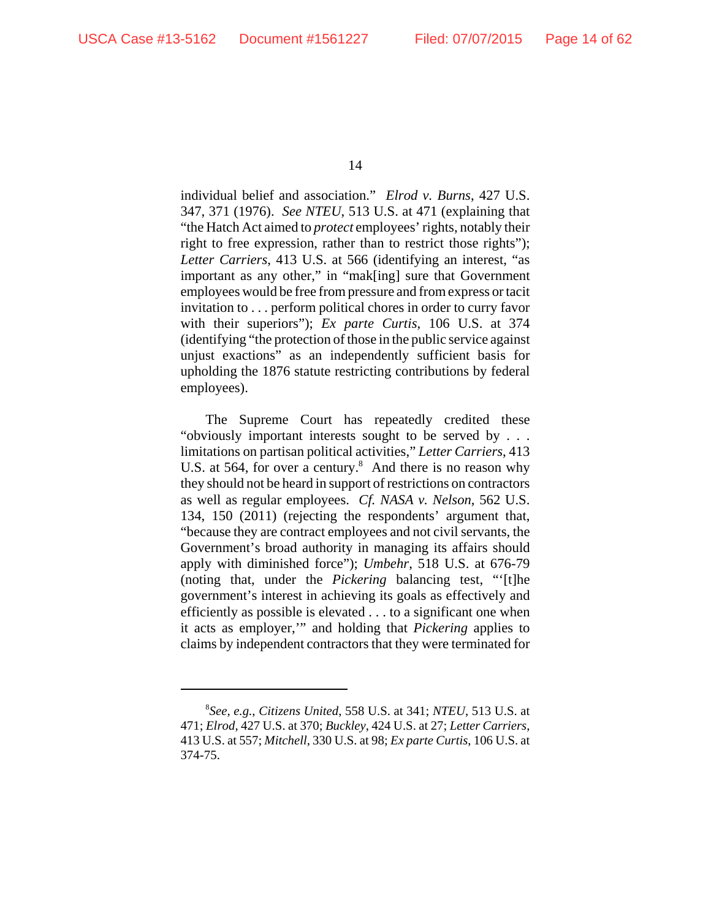individual belief and association." *Elrod v. Burns*, 427 U.S. 347, 371 (1976). *See NTEU*, 513 U.S. at 471 (explaining that "the Hatch Act aimed to *protect* employees' rights, notably their right to free expression, rather than to restrict those rights"); *Letter Carriers*, 413 U.S. at 566 (identifying an interest, "as important as any other," in "mak[ing] sure that Government employees would be free from pressure and from express or tacit invitation to . . . perform political chores in order to curry favor with their superiors"); *Ex parte Curtis*, 106 U.S. at 374 (identifying "the protection of those in the public service against unjust exactions" as an independently sufficient basis for upholding the 1876 statute restricting contributions by federal employees).

The Supreme Court has repeatedly credited these "obviously important interests sought to be served by . . . limitations on partisan political activities," *Letter Carriers*, 413 U.S. at 564, for over a century. $8$  And there is no reason why they should not be heard in support of restrictions on contractors as well as regular employees. *Cf. NASA v. Nelson*, 562 U.S. 134, 150 (2011) (rejecting the respondents' argument that, "because they are contract employees and not civil servants, the Government's broad authority in managing its affairs should apply with diminished force"); *Umbehr*, 518 U.S. at 676-79 (noting that, under the *Pickering* balancing test, "'[t]he government's interest in achieving its goals as effectively and efficiently as possible is elevated . . . to a significant one when it acts as employer,'" and holding that *Pickering* applies to claims by independent contractors that they were terminated for

<sup>8</sup> *See, e.g.*, *Citizens United*, 558 U.S. at 341; *NTEU*, 513 U.S. at 471; *Elrod*, 427 U.S. at 370; *Buckley*, 424 U.S. at 27; *Letter Carriers*, 413 U.S. at 557; *Mitchell*, 330 U.S. at 98; *Ex parte Curtis*, 106 U.S. at 374-75.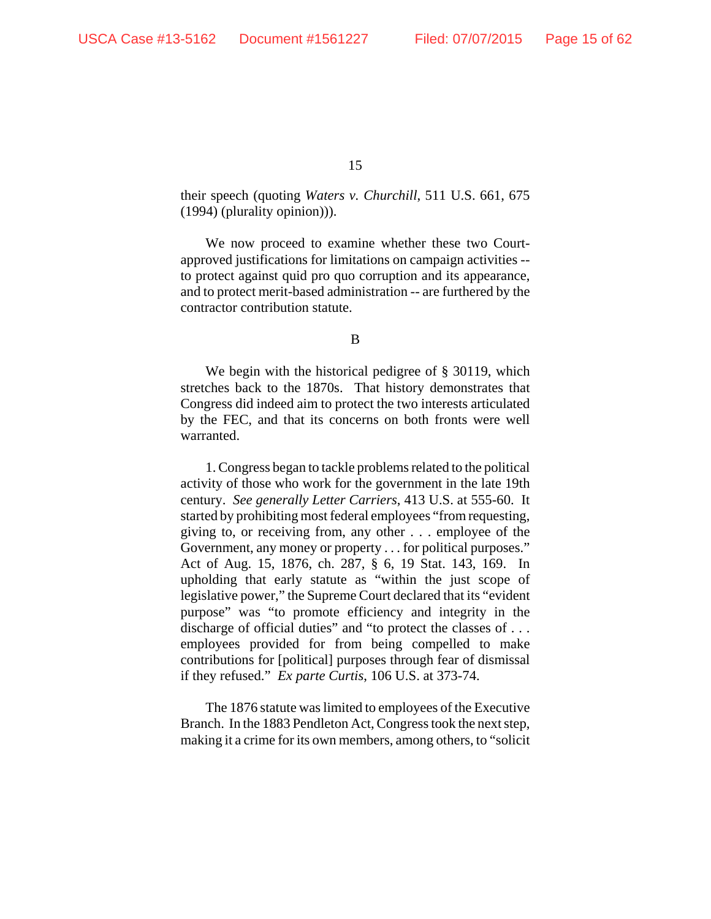their speech (quoting *Waters v. Churchill*, 511 U.S. 661, 675 (1994) (plurality opinion))).

We now proceed to examine whether these two Courtapproved justifications for limitations on campaign activities - to protect against quid pro quo corruption and its appearance, and to protect merit-based administration -- are furthered by the contractor contribution statute.

B

We begin with the historical pedigree of § 30119, which stretches back to the 1870s. That history demonstrates that Congress did indeed aim to protect the two interests articulated by the FEC, and that its concerns on both fronts were well warranted.

1. Congress began to tackle problems related to the political activity of those who work for the government in the late 19th century. *See generally Letter Carriers*, 413 U.S. at 555-60. It started by prohibiting most federal employees "from requesting, giving to, or receiving from, any other . . . employee of the Government, any money or property . . . for political purposes." Act of Aug. 15, 1876, ch. 287, § 6, 19 Stat. 143, 169. In upholding that early statute as "within the just scope of legislative power," the Supreme Court declared that its "evident purpose" was "to promote efficiency and integrity in the discharge of official duties" and "to protect the classes of . . . employees provided for from being compelled to make contributions for [political] purposes through fear of dismissal if they refused." *Ex parte Curtis*, 106 U.S. at 373-74.

The 1876 statute was limited to employees of the Executive Branch. In the 1883 Pendleton Act, Congress took the next step, making it a crime for its own members, among others, to "solicit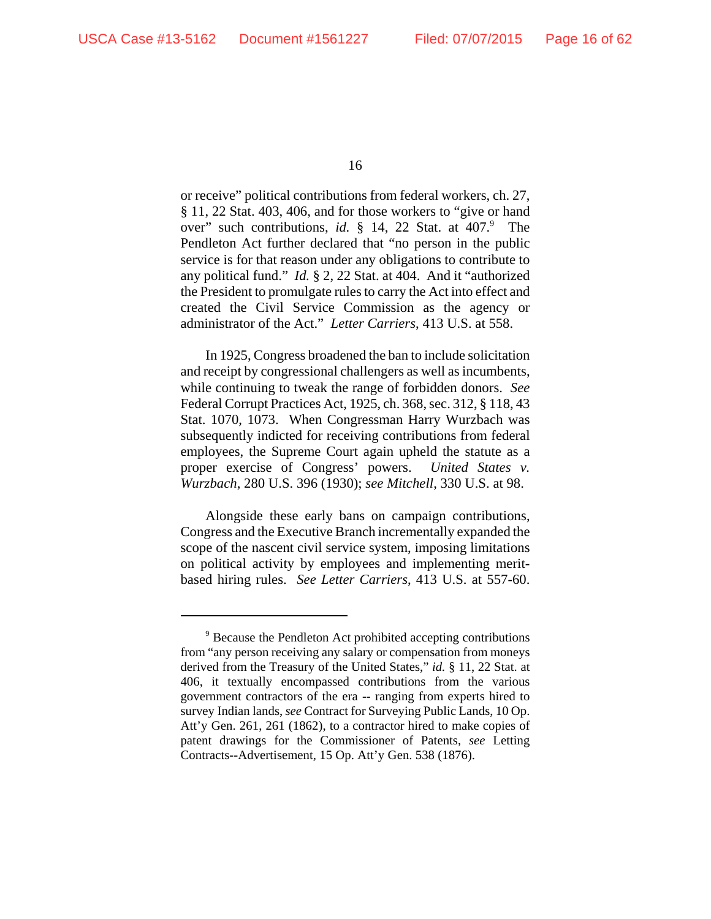or receive" political contributions from federal workers, ch. 27, § 11, 22 Stat. 403, 406, and for those workers to "give or hand over" such contributions, *id.* § 14, 22 Stat. at 407.<sup>9</sup> The Pendleton Act further declared that "no person in the public service is for that reason under any obligations to contribute to any political fund." *Id.* § 2, 22 Stat. at 404. And it "authorized the President to promulgate rules to carry the Act into effect and created the Civil Service Commission as the agency or administrator of the Act." *Letter Carriers*, 413 U.S. at 558.

In 1925, Congress broadened the ban to include solicitation and receipt by congressional challengers as well as incumbents, while continuing to tweak the range of forbidden donors. *See* Federal Corrupt Practices Act, 1925, ch. 368, sec. 312, § 118, 43 Stat. 1070, 1073. When Congressman Harry Wurzbach was subsequently indicted for receiving contributions from federal employees, the Supreme Court again upheld the statute as a proper exercise of Congress' powers. *United States v. Wurzbach*, 280 U.S. 396 (1930); *see Mitchell*, 330 U.S. at 98.

Alongside these early bans on campaign contributions, Congress and the Executive Branch incrementally expanded the scope of the nascent civil service system, imposing limitations on political activity by employees and implementing meritbased hiring rules. *See Letter Carriers*, 413 U.S. at 557-60.

<sup>&</sup>lt;sup>9</sup> Because the Pendleton Act prohibited accepting contributions from "any person receiving any salary or compensation from moneys derived from the Treasury of the United States," *id.* § 11, 22 Stat. at 406, it textually encompassed contributions from the various government contractors of the era -- ranging from experts hired to survey Indian lands, *see* Contract for Surveying Public Lands, 10 Op. Att'y Gen. 261, 261 (1862), to a contractor hired to make copies of patent drawings for the Commissioner of Patents, *see* Letting Contracts--Advertisement, 15 Op. Att'y Gen. 538 (1876).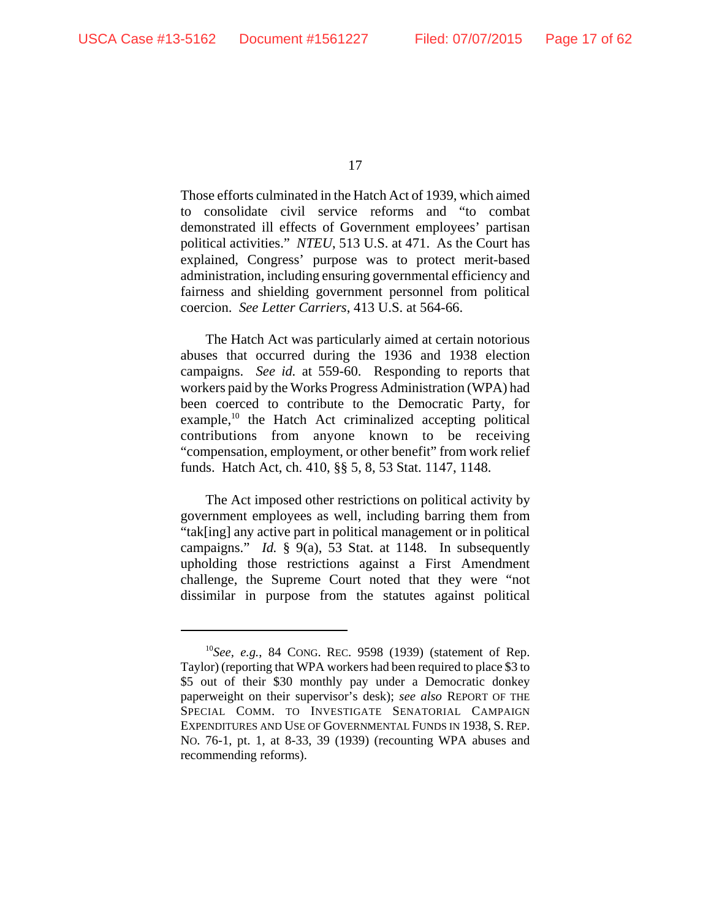Those efforts culminated in the Hatch Act of 1939, which aimed to consolidate civil service reforms and "to combat demonstrated ill effects of Government employees' partisan political activities." *NTEU*, 513 U.S. at 471. As the Court has explained, Congress' purpose was to protect merit-based administration, including ensuring governmental efficiency and fairness and shielding government personnel from political coercion. *See Letter Carriers*, 413 U.S. at 564-66.

The Hatch Act was particularly aimed at certain notorious abuses that occurred during the 1936 and 1938 election campaigns. *See id.* at 559-60. Responding to reports that workers paid by the Works Progress Administration (WPA) had been coerced to contribute to the Democratic Party, for example, $^{10}$  the Hatch Act criminalized accepting political contributions from anyone known to be receiving "compensation, employment, or other benefit" from work relief funds. Hatch Act, ch. 410, §§ 5, 8, 53 Stat. 1147, 1148.

The Act imposed other restrictions on political activity by government employees as well, including barring them from "tak[ing] any active part in political management or in political campaigns." *Id.* § 9(a), 53 Stat. at 1148. In subsequently upholding those restrictions against a First Amendment challenge, the Supreme Court noted that they were "not dissimilar in purpose from the statutes against political

<sup>10</sup>*See, e.g.*, 84 CONG. REC. 9598 (1939) (statement of Rep. Taylor) (reporting that WPA workers had been required to place \$3 to \$5 out of their \$30 monthly pay under a Democratic donkey paperweight on their supervisor's desk); *see also* REPORT OF THE SPECIAL COMM. TO INVESTIGATE SENATORIAL CAMPAIGN EXPENDITURES AND USE OF GOVERNMENTAL FUNDS IN 1938, S. REP. NO. 76-1, pt. 1, at 8-33, 39 (1939) (recounting WPA abuses and recommending reforms).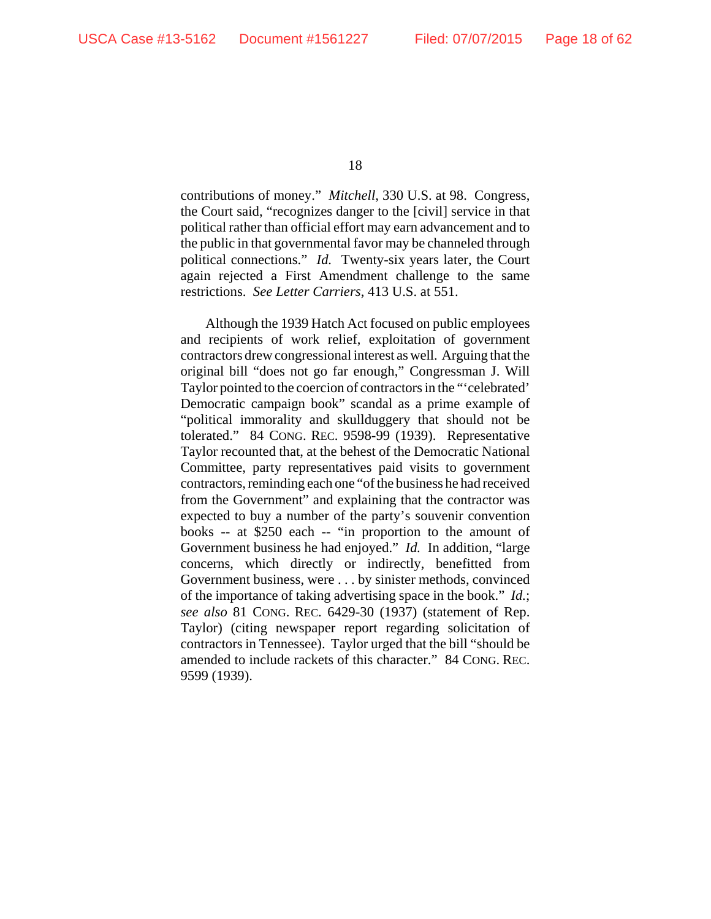contributions of money." *Mitchell*, 330 U.S. at 98. Congress, the Court said, "recognizes danger to the [civil] service in that political rather than official effort may earn advancement and to the public in that governmental favor may be channeled through political connections." *Id.* Twenty-six years later, the Court again rejected a First Amendment challenge to the same restrictions. *See Letter Carriers*, 413 U.S. at 551.

Although the 1939 Hatch Act focused on public employees and recipients of work relief, exploitation of government contractors drew congressional interest as well. Arguing that the original bill "does not go far enough," Congressman J. Will Taylor pointed to the coercion of contractors in the "'celebrated' Democratic campaign book" scandal as a prime example of "political immorality and skullduggery that should not be tolerated." 84 CONG. REC. 9598-99 (1939). Representative Taylor recounted that, at the behest of the Democratic National Committee, party representatives paid visits to government contractors, reminding each one "of the business he had received from the Government" and explaining that the contractor was expected to buy a number of the party's souvenir convention books -- at \$250 each -- "in proportion to the amount of Government business he had enjoyed." *Id.* In addition, "large concerns, which directly or indirectly, benefitted from Government business, were . . . by sinister methods, convinced of the importance of taking advertising space in the book." *Id.*; *see also* 81 CONG. REC. 6429-30 (1937) (statement of Rep. Taylor) (citing newspaper report regarding solicitation of contractors in Tennessee). Taylor urged that the bill "should be amended to include rackets of this character." 84 CONG. REC. 9599 (1939).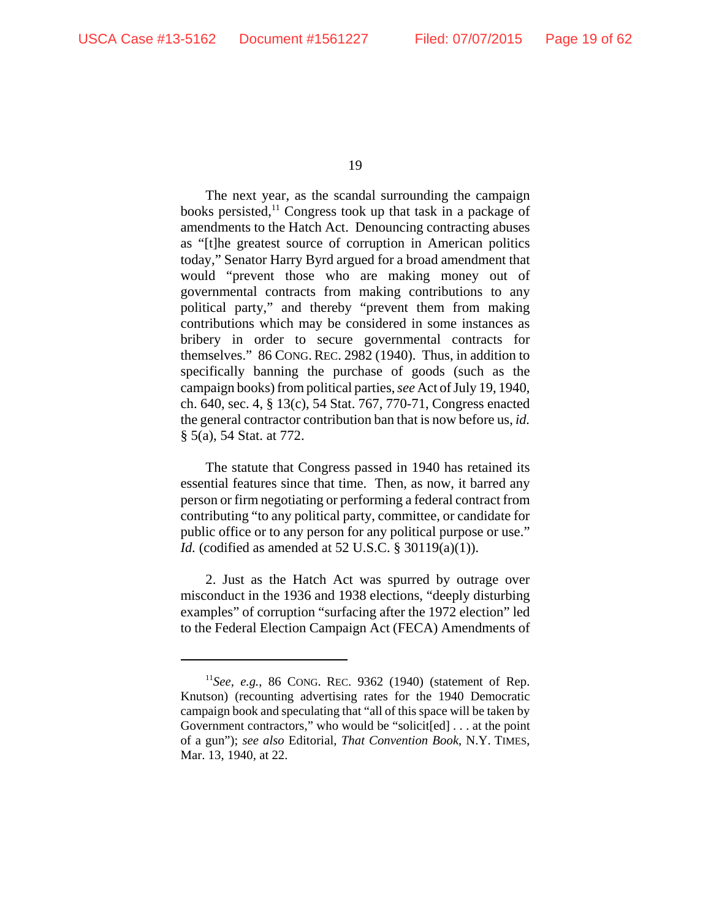The next year, as the scandal surrounding the campaign books persisted,<sup>11</sup> Congress took up that task in a package of amendments to the Hatch Act. Denouncing contracting abuses as "[t]he greatest source of corruption in American politics today," Senator Harry Byrd argued for a broad amendment that would "prevent those who are making money out of governmental contracts from making contributions to any political party," and thereby "prevent them from making contributions which may be considered in some instances as bribery in order to secure governmental contracts for themselves." 86 CONG.REC. 2982 (1940). Thus, in addition to specifically banning the purchase of goods (such as the campaign books) from political parties, *see* Act of July 19, 1940, ch. 640, sec. 4, § 13(c), 54 Stat. 767, 770-71, Congress enacted the general contractor contribution ban that is now before us, *id.* § 5(a), 54 Stat. at 772.

The statute that Congress passed in 1940 has retained its essential features since that time. Then, as now, it barred any person or firm negotiating or performing a federal contract from contributing "to any political party, committee, or candidate for public office or to any person for any political purpose or use." *Id.* (codified as amended at 52 U.S.C. § 30119(a)(1)).

2. Just as the Hatch Act was spurred by outrage over misconduct in the 1936 and 1938 elections, "deeply disturbing examples" of corruption "surfacing after the 1972 election" led to the Federal Election Campaign Act (FECA) Amendments of

<sup>11</sup>*See, e.g.*, 86 CONG. REC. 9362 (1940) (statement of Rep. Knutson) (recounting advertising rates for the 1940 Democratic campaign book and speculating that "all of this space will be taken by Government contractors," who would be "solicit[ed] . . . at the point of a gun"); *see also* Editorial, *That Convention Book*, N.Y. TIMES, Mar. 13, 1940, at 22.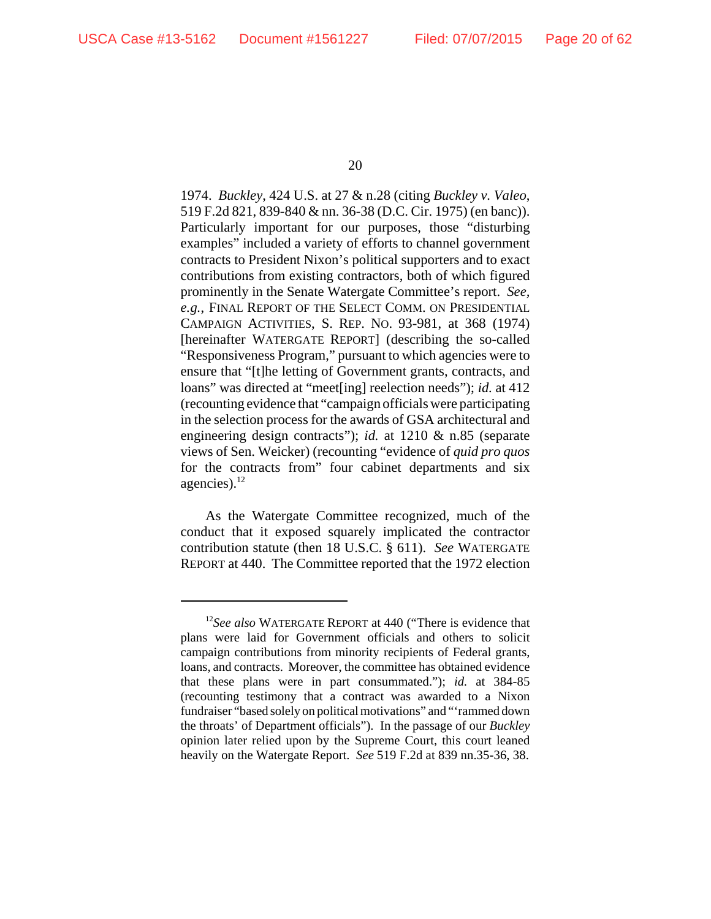1974. *Buckley*, 424 U.S. at 27 & n.28 (citing *Buckley v. Valeo*, 519 F.2d 821, 839-840 & nn. 36-38 (D.C. Cir. 1975) (en banc)). Particularly important for our purposes, those "disturbing examples" included a variety of efforts to channel government contracts to President Nixon's political supporters and to exact contributions from existing contractors, both of which figured prominently in the Senate Watergate Committee's report. *See, e.g.*, FINAL REPORT OF THE SELECT COMM. ON PRESIDENTIAL CAMPAIGN ACTIVITIES, S. REP. NO. 93-981, at 368 (1974) [hereinafter WATERGATE REPORT] (describing the so-called "Responsiveness Program," pursuant to which agencies were to ensure that "[t]he letting of Government grants, contracts, and loans" was directed at "meet[ing] reelection needs"); *id.* at 412 (recounting evidence that "campaign officials were participating in the selection process for the awards of GSA architectural and engineering design contracts"); *id.* at 1210 & n.85 (separate views of Sen. Weicker) (recounting "evidence of *quid pro quos* for the contracts from" four cabinet departments and six agencies). $^{12}$ 

As the Watergate Committee recognized, much of the conduct that it exposed squarely implicated the contractor contribution statute (then 18 U.S.C. § 611). *See* WATERGATE REPORT at 440. The Committee reported that the 1972 election

<sup>12</sup>*See also* WATERGATE REPORT at 440 ("There is evidence that plans were laid for Government officials and others to solicit campaign contributions from minority recipients of Federal grants, loans, and contracts. Moreover, the committee has obtained evidence that these plans were in part consummated."); *id.* at 384-85 (recounting testimony that a contract was awarded to a Nixon fundraiser "based solely on political motivations" and "'rammed down the throats' of Department officials"). In the passage of our *Buckley* opinion later relied upon by the Supreme Court, this court leaned heavily on the Watergate Report. *See* 519 F.2d at 839 nn.35-36, 38.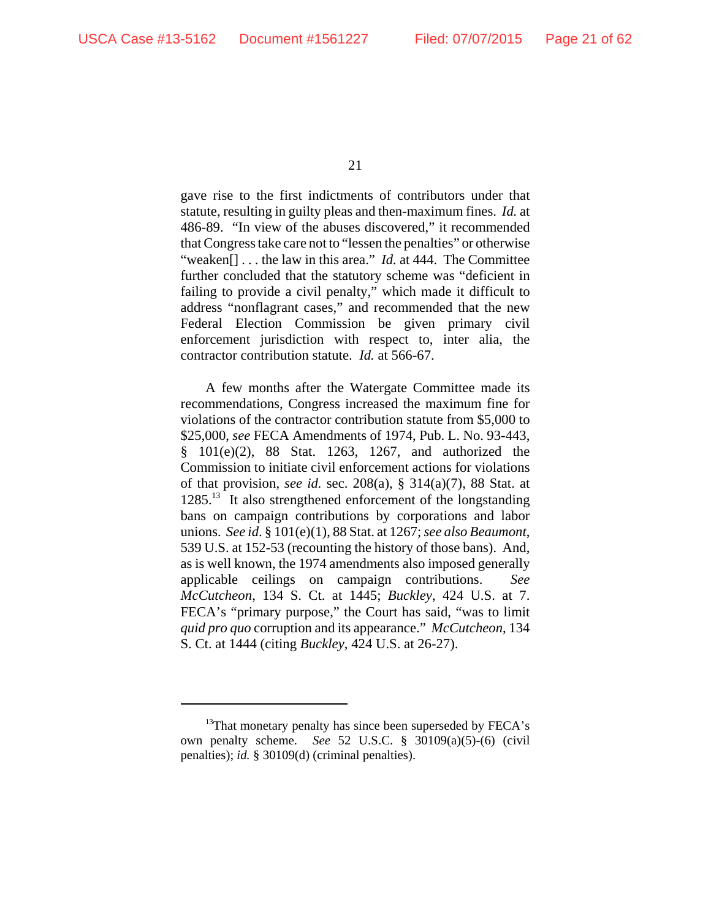gave rise to the first indictments of contributors under that statute, resulting in guilty pleas and then-maximum fines. *Id.* at 486-89. "In view of the abuses discovered," it recommended that Congress take care not to "lessen the penalties" or otherwise "weaken[] . . . the law in this area." *Id.* at 444. The Committee further concluded that the statutory scheme was "deficient in failing to provide a civil penalty," which made it difficult to address "nonflagrant cases," and recommended that the new Federal Election Commission be given primary civil enforcement jurisdiction with respect to, inter alia, the contractor contribution statute. *Id.* at 566-67.

A few months after the Watergate Committee made its recommendations, Congress increased the maximum fine for violations of the contractor contribution statute from \$5,000 to \$25,000, *see* FECA Amendments of 1974, Pub. L. No. 93-443, § 101(e)(2), 88 Stat. 1263, 1267, and authorized the Commission to initiate civil enforcement actions for violations of that provision, *see id.* sec. 208(a), § 314(a)(7), 88 Stat. at 1285.<sup>13</sup> It also strengthened enforcement of the longstanding bans on campaign contributions by corporations and labor unions. *See id*. § 101(e)(1), 88 Stat. at 1267; *see also Beaumont*, 539 U.S. at 152-53 (recounting the history of those bans). And, as is well known, the 1974 amendments also imposed generally applicable ceilings on campaign contributions. *See McCutcheon*, 134 S. Ct. at 1445; *Buckley*, 424 U.S. at 7. FECA's "primary purpose," the Court has said, "was to limit *quid pro quo* corruption and its appearance." *McCutcheon*, 134 S. Ct. at 1444 (citing *Buckley*, 424 U.S. at 26-27).

<sup>&</sup>lt;sup>13</sup>That monetary penalty has since been superseded by FECA's own penalty scheme. *See* 52 U.S.C. § 30109(a)(5)-(6) (civil penalties); *id.* § 30109(d) (criminal penalties).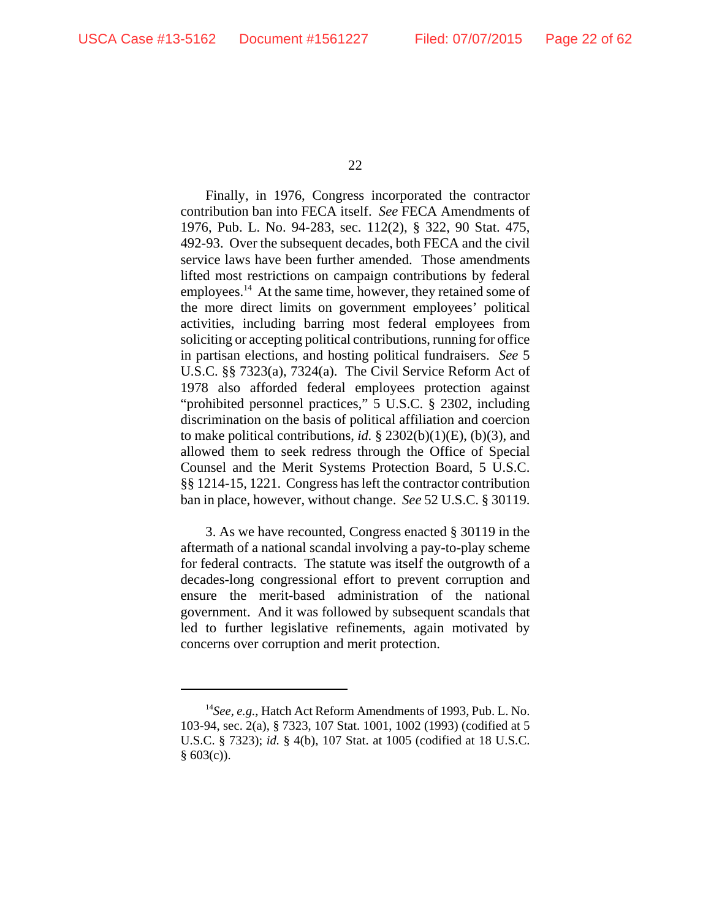Finally, in 1976, Congress incorporated the contractor contribution ban into FECA itself. *See* FECA Amendments of 1976, Pub. L. No. 94-283, sec. 112(2), § 322, 90 Stat. 475, 492-93. Over the subsequent decades, both FECA and the civil service laws have been further amended. Those amendments lifted most restrictions on campaign contributions by federal employees.<sup>14</sup> At the same time, however, they retained some of the more direct limits on government employees' political activities, including barring most federal employees from soliciting or accepting political contributions, running for office in partisan elections, and hosting political fundraisers. *See* 5 U.S.C. §§ 7323(a), 7324(a). The Civil Service Reform Act of 1978 also afforded federal employees protection against "prohibited personnel practices," 5 U.S.C. § 2302, including discrimination on the basis of political affiliation and coercion to make political contributions, *id.* § 2302(b)(1)(E), (b)(3), and allowed them to seek redress through the Office of Special Counsel and the Merit Systems Protection Board, 5 U.S.C. §§ 1214-15, 1221. Congress has left the contractor contribution ban in place, however, without change. *See* 52 U.S.C. § 30119.

3. As we have recounted, Congress enacted § 30119 in the aftermath of a national scandal involving a pay-to-play scheme for federal contracts. The statute was itself the outgrowth of a decades-long congressional effort to prevent corruption and ensure the merit-based administration of the national government. And it was followed by subsequent scandals that led to further legislative refinements, again motivated by concerns over corruption and merit protection.

<sup>14</sup>*See, e.g.*, Hatch Act Reform Amendments of 1993, Pub. L. No. 103-94, sec. 2(a), § 7323, 107 Stat. 1001, 1002 (1993) (codified at 5 U.S.C. § 7323); *id.* § 4(b), 107 Stat. at 1005 (codified at 18 U.S.C.  $§ 603(c)$ .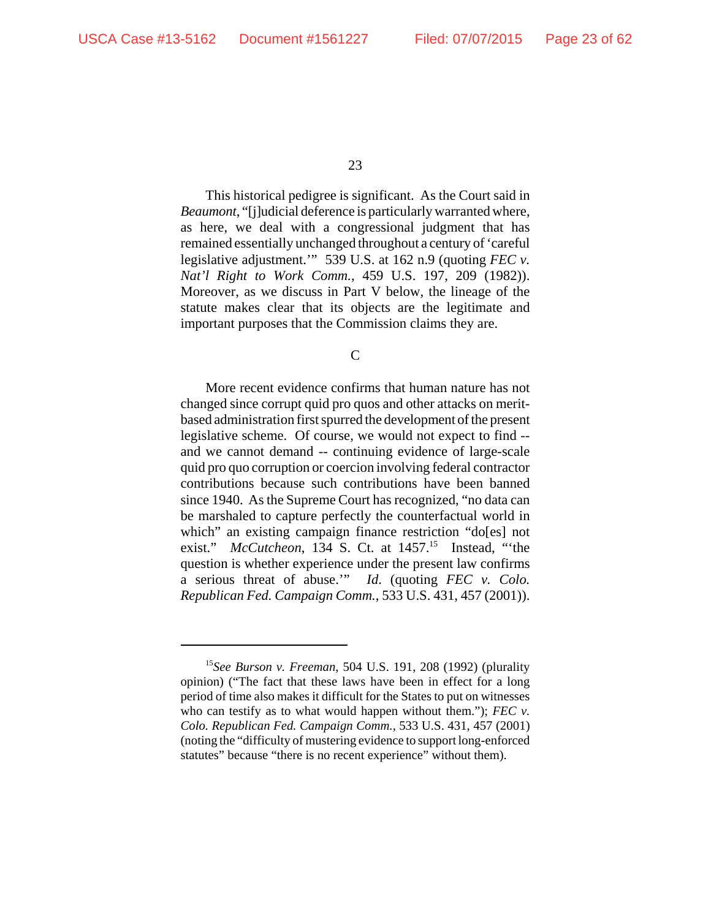This historical pedigree is significant. As the Court said in *Beaumont*, "[j]udicial deference is particularly warranted where, as here, we deal with a congressional judgment that has remained essentially unchanged throughout a century of 'careful legislative adjustment.'" 539 U.S. at 162 n.9 (quoting *FEC v. Nat'l Right to Work Comm.*, 459 U.S. 197, 209 (1982)). Moreover, as we discuss in Part V below, the lineage of the statute makes clear that its objects are the legitimate and important purposes that the Commission claims they are.

C

More recent evidence confirms that human nature has not changed since corrupt quid pro quos and other attacks on meritbased administration first spurred the development of the present legislative scheme. Of course, we would not expect to find - and we cannot demand -- continuing evidence of large-scale quid pro quo corruption or coercion involving federal contractor contributions because such contributions have been banned since 1940. As the Supreme Court has recognized, "no data can be marshaled to capture perfectly the counterfactual world in which" an existing campaign finance restriction "do[es] not exist." *McCutcheon*, 134 S. Ct. at 1457.<sup>15</sup> Instead, "the question is whether experience under the present law confirms a serious threat of abuse.'" *Id*. (quoting *FEC v. Colo. Republican Fed. Campaign Comm.*, 533 U.S. 431, 457 (2001)).

<sup>15</sup>*See Burson v. Freeman*, 504 U.S. 191, 208 (1992) (plurality opinion) ("The fact that these laws have been in effect for a long period of time also makes it difficult for the States to put on witnesses who can testify as to what would happen without them."); *FEC v*. *Colo. Republican Fed. Campaign Comm.*, 533 U.S. 431, 457 (2001) (noting the "difficulty of mustering evidence to support long-enforced statutes" because "there is no recent experience" without them).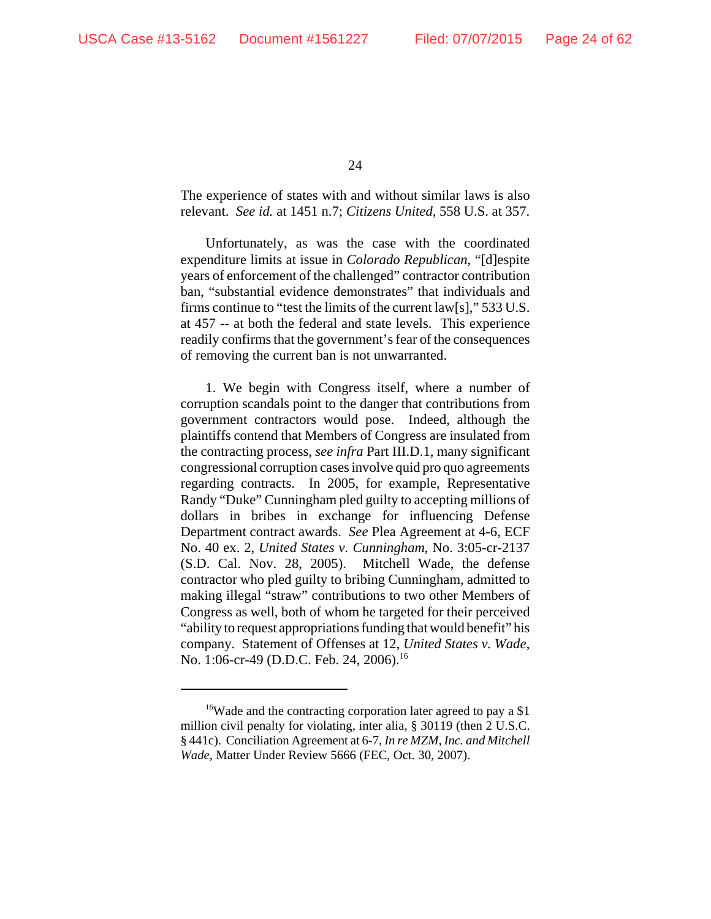The experience of states with and without similar laws is also relevant. *See id.* at 1451 n.7; *Citizens United*, 558 U.S. at 357.

Unfortunately, as was the case with the coordinated expenditure limits at issue in *Colorado Republican*, "[d]espite years of enforcement of the challenged" contractor contribution ban, "substantial evidence demonstrates" that individuals and firms continue to "test the limits of the current law[s]," 533 U.S. at 457 -- at both the federal and state levels. This experience readily confirms that the government's fear of the consequences of removing the current ban is not unwarranted.

1. We begin with Congress itself, where a number of corruption scandals point to the danger that contributions from government contractors would pose. Indeed, although the plaintiffs contend that Members of Congress are insulated from the contracting process, *see infra* Part III.D.1, many significant congressional corruption cases involve quid pro quo agreements regarding contracts. In 2005, for example, Representative Randy "Duke" Cunningham pled guilty to accepting millions of dollars in bribes in exchange for influencing Defense Department contract awards. *See* Plea Agreement at 4-6, ECF No. 40 ex. 2, *United States v. Cunningham*, No. 3:05-cr-2137 (S.D. Cal. Nov. 28, 2005). Mitchell Wade, the defense contractor who pled guilty to bribing Cunningham, admitted to making illegal "straw" contributions to two other Members of Congress as well, both of whom he targeted for their perceived "ability to request appropriations funding that would benefit" his company. Statement of Offenses at 12, *United States v. Wade*, No. 1:06-cr-49 (D.D.C. Feb. 24, 2006).<sup>16</sup>

<sup>&</sup>lt;sup>16</sup>Wade and the contracting corporation later agreed to pay a \$1 million civil penalty for violating, inter alia, § 30119 (then 2 U.S.C. § 441c). Conciliation Agreement at 6-7, *In re MZM, Inc. and Mitchell Wade*, Matter Under Review 5666 (FEC, Oct. 30, 2007).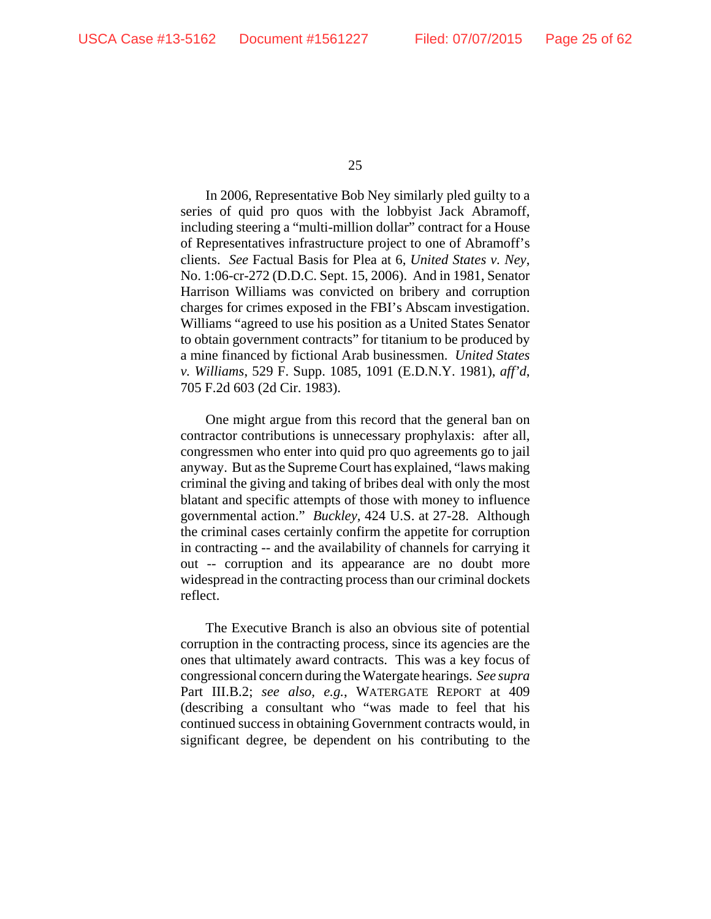In 2006, Representative Bob Ney similarly pled guilty to a series of quid pro quos with the lobbyist Jack Abramoff, including steering a "multi-million dollar" contract for a House of Representatives infrastructure project to one of Abramoff's clients. *See* Factual Basis for Plea at 6, *United States v. Ney*, No. 1:06-cr-272 (D.D.C. Sept. 15, 2006). And in 1981, Senator Harrison Williams was convicted on bribery and corruption charges for crimes exposed in the FBI's Abscam investigation. Williams "agreed to use his position as a United States Senator to obtain government contracts" for titanium to be produced by a mine financed by fictional Arab businessmen. *United States v. Williams*, 529 F. Supp. 1085, 1091 (E.D.N.Y. 1981), *aff'd*, 705 F.2d 603 (2d Cir. 1983).

One might argue from this record that the general ban on contractor contributions is unnecessary prophylaxis: after all, congressmen who enter into quid pro quo agreements go to jail anyway. But as the Supreme Court has explained, "laws making criminal the giving and taking of bribes deal with only the most blatant and specific attempts of those with money to influence governmental action." *Buckley*, 424 U.S. at 27-28. Although the criminal cases certainly confirm the appetite for corruption in contracting -- and the availability of channels for carrying it out -- corruption and its appearance are no doubt more widespread in the contracting process than our criminal dockets reflect.

The Executive Branch is also an obvious site of potential corruption in the contracting process, since its agencies are the ones that ultimately award contracts. This was a key focus of congressional concern during the Watergate hearings. *See supra* Part III.B.2; *see also, e.g.*, WATERGATE REPORT at 409 (describing a consultant who "was made to feel that his continued success in obtaining Government contracts would, in significant degree, be dependent on his contributing to the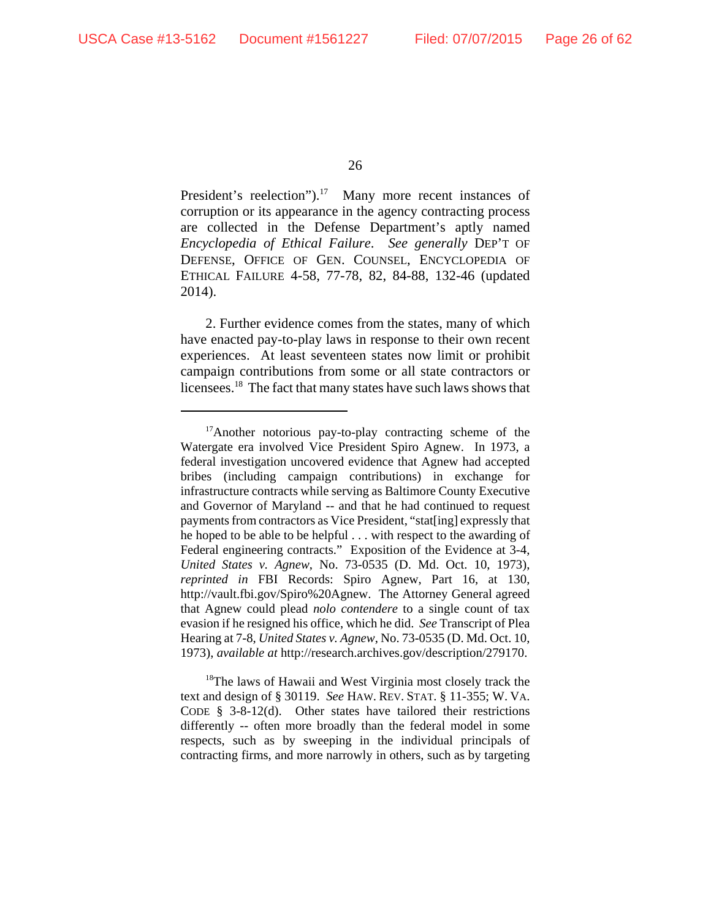President's reelection").<sup>17</sup> Many more recent instances of corruption or its appearance in the agency contracting process are collected in the Defense Department's aptly named *Encyclopedia of Ethical Failure*. *See generally* DEP'T OF DEFENSE, OFFICE OF GEN. COUNSEL, ENCYCLOPEDIA OF ETHICAL FAILURE 4-58, 77-78, 82, 84-88, 132-46 (updated 2014).

2. Further evidence comes from the states, many of which have enacted pay-to-play laws in response to their own recent experiences. At least seventeen states now limit or prohibit campaign contributions from some or all state contractors or licensees.<sup>18</sup> The fact that many states have such laws shows that

<sup>18</sup>The laws of Hawaii and West Virginia most closely track the text and design of § 30119. *See* HAW. REV. STAT. § 11-355; W. VA. CODE  $§$  3-8-12(d). Other states have tailored their restrictions differently -- often more broadly than the federal model in some respects, such as by sweeping in the individual principals of contracting firms, and more narrowly in others, such as by targeting

<sup>&</sup>lt;sup>17</sup>Another notorious pay-to-play contracting scheme of the Watergate era involved Vice President Spiro Agnew. In 1973, a federal investigation uncovered evidence that Agnew had accepted bribes (including campaign contributions) in exchange for infrastructure contracts while serving as Baltimore County Executive and Governor of Maryland -- and that he had continued to request payments from contractors as Vice President, "stat[ing] expressly that he hoped to be able to be helpful . . . with respect to the awarding of Federal engineering contracts." Exposition of the Evidence at 3-4, *United States v. Agnew*, No. 73-0535 (D. Md. Oct. 10, 1973), *reprinted in* FBI Records: Spiro Agnew, Part 16, at 130, http://vault.fbi.gov/Spiro%20Agnew. The Attorney General agreed that Agnew could plead *nolo contendere* to a single count of tax evasion if he resigned his office, which he did. *See* Transcript of Plea Hearing at 7-8, *United States v. Agnew*, No. 73-0535 (D. Md. Oct. 10, 1973), *available at* http://research.archives.gov/description/279170.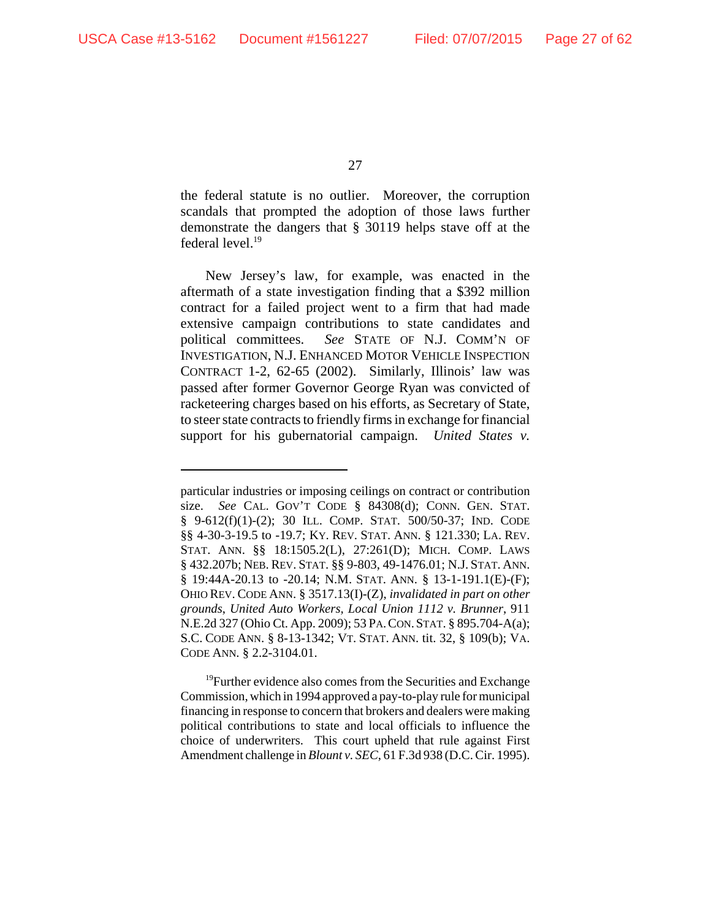the federal statute is no outlier. Moreover, the corruption scandals that prompted the adoption of those laws further demonstrate the dangers that § 30119 helps stave off at the federal level.<sup>19</sup>

New Jersey's law, for example, was enacted in the aftermath of a state investigation finding that a \$392 million contract for a failed project went to a firm that had made extensive campaign contributions to state candidates and political committees. *See* STATE OF N.J. COMM'N OF INVESTIGATION, N.J. ENHANCED MOTOR VEHICLE INSPECTION CONTRACT 1-2, 62-65 (2002). Similarly, Illinois' law was passed after former Governor George Ryan was convicted of racketeering charges based on his efforts, as Secretary of State, to steer state contracts to friendly firms in exchange for financial support for his gubernatorial campaign. *United States v.*

<sup>19</sup>Further evidence also comes from the Securities and Exchange Commission, which in 1994 approved a pay-to-play rule for municipal financing in response to concern that brokers and dealers were making political contributions to state and local officials to influence the choice of underwriters. This court upheld that rule against First Amendment challenge in *Blount v. SEC*, 61 F.3d 938 (D.C. Cir. 1995).

particular industries or imposing ceilings on contract or contribution size. *See* CAL. GOV'T CODE § 84308(d); CONN. GEN. STAT. § 9-612(f)(1)-(2); 30 ILL. COMP. STAT. 500/50-37; IND. CODE §§ 4-30-3-19.5 to -19.7; KY. REV. STAT. ANN. § 121.330; LA. REV. STAT. ANN. §§ 18:1505.2(L), 27:261(D); MICH. COMP. LAWS § 432.207b; NEB. REV. STAT. §§ 9-803, 49-1476.01; N.J. STAT. ANN. § 19:44A-20.13 to -20.14; N.M. STAT. ANN. § 13-1-191.1(E)-(F); OHIO REV. CODE ANN. § 3517.13(I)-(Z), *invalidated in part on other grounds*, *United Auto Workers, Local Union 1112 v. Brunner*, 911 N.E.2d 327 (Ohio Ct. App. 2009); 53 PA.CON.STAT. § 895.704-A(a); S.C. CODE ANN. § 8-13-1342; VT. STAT. ANN. tit. 32, § 109(b); VA. CODE ANN. § 2.2-3104.01.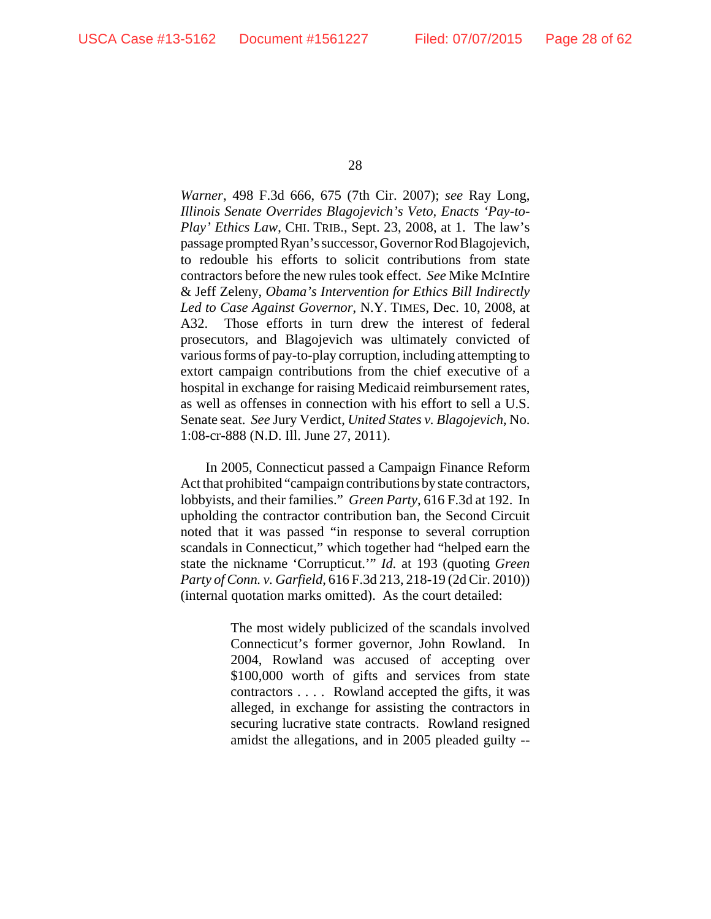*Warner*, 498 F.3d 666, 675 (7th Cir. 2007); *see* Ray Long, *Illinois Senate Overrides Blagojevich's Veto, Enacts 'Pay-to-Play' Ethics Law*, CHI. TRIB., Sept. 23, 2008, at 1. The law's passage prompted Ryan's successor, Governor Rod Blagojevich, to redouble his efforts to solicit contributions from state contractors before the new rules took effect. *See* Mike McIntire & Jeff Zeleny, *Obama's Intervention for Ethics Bill Indirectly Led to Case Against Governor*, N.Y. TIMES, Dec. 10, 2008, at A32. Those efforts in turn drew the interest of federal prosecutors, and Blagojevich was ultimately convicted of various forms of pay-to-play corruption, including attempting to extort campaign contributions from the chief executive of a hospital in exchange for raising Medicaid reimbursement rates, as well as offenses in connection with his effort to sell a U.S. Senate seat. *See* Jury Verdict, *United States v. Blagojevich*, No. 1:08-cr-888 (N.D. Ill. June 27, 2011).

In 2005, Connecticut passed a Campaign Finance Reform Act that prohibited "campaign contributions by state contractors, lobbyists, and their families." *Green Party*, 616 F.3d at 192. In upholding the contractor contribution ban, the Second Circuit noted that it was passed "in response to several corruption scandals in Connecticut," which together had "helped earn the state the nickname 'Corrupticut.'" *Id.* at 193 (quoting *Green Party of Conn. v. Garfield*, 616 F.3d 213, 218-19 (2d Cir. 2010)) (internal quotation marks omitted). As the court detailed:

> The most widely publicized of the scandals involved Connecticut's former governor, John Rowland. In 2004, Rowland was accused of accepting over \$100,000 worth of gifts and services from state contractors . . . . Rowland accepted the gifts, it was alleged, in exchange for assisting the contractors in securing lucrative state contracts. Rowland resigned amidst the allegations, and in 2005 pleaded guilty --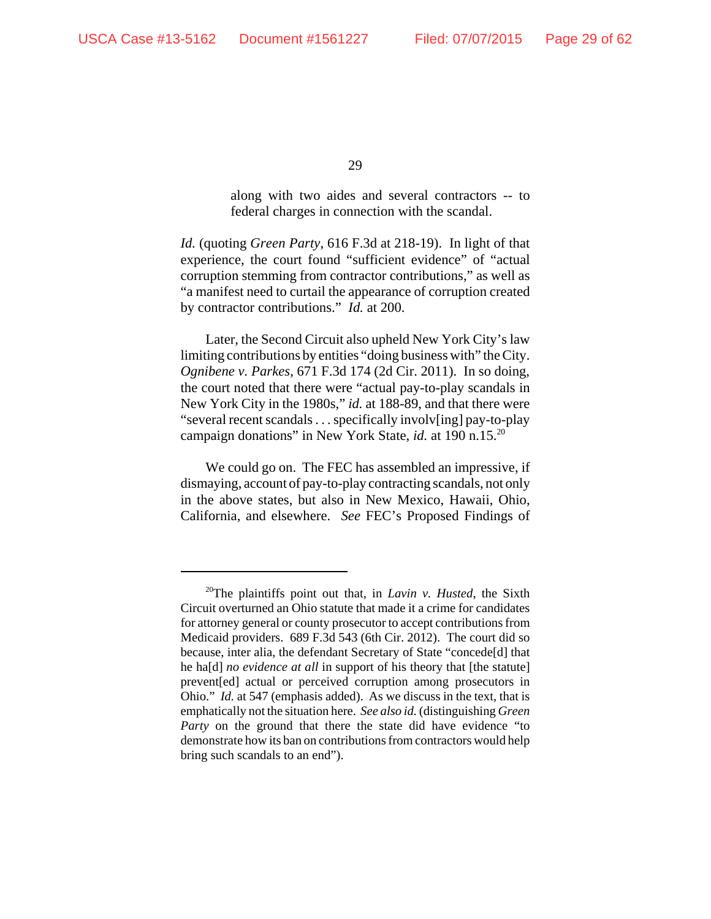along with two aides and several contractors -- to federal charges in connection with the scandal.

*Id.* (quoting *Green Party*, 616 F.3d at 218-19). In light of that experience, the court found "sufficient evidence" of "actual corruption stemming from contractor contributions," as well as "a manifest need to curtail the appearance of corruption created by contractor contributions." *Id.* at 200.

Later, the Second Circuit also upheld New York City's law limiting contributions by entities "doing business with" the City. *Ognibene v. Parkes*, 671 F.3d 174 (2d Cir. 2011). In so doing, the court noted that there were "actual pay-to-play scandals in New York City in the 1980s," *id.* at 188-89, and that there were "several recent scandals . . . specifically involv[ing] pay-to-play campaign donations" in New York State, *id.* at 190 n.15.20

We could go on. The FEC has assembled an impressive, if dismaying, account of pay-to-play contracting scandals, not only in the above states, but also in New Mexico, Hawaii, Ohio, California, and elsewhere. *See* FEC's Proposed Findings of

<sup>20</sup>The plaintiffs point out that, in *Lavin v. Husted*, the Sixth Circuit overturned an Ohio statute that made it a crime for candidates for attorney general or county prosecutor to accept contributions from Medicaid providers. 689 F.3d 543 (6th Cir. 2012). The court did so because, inter alia, the defendant Secretary of State "concede[d] that he ha[d] *no evidence at all* in support of his theory that [the statute] prevent[ed] actual or perceived corruption among prosecutors in Ohio." *Id.* at 547 (emphasis added). As we discuss in the text, that is emphatically not the situation here. *See also id.* (distinguishing *Green Party* on the ground that there the state did have evidence "to demonstrate how its ban on contributions from contractors would help bring such scandals to an end").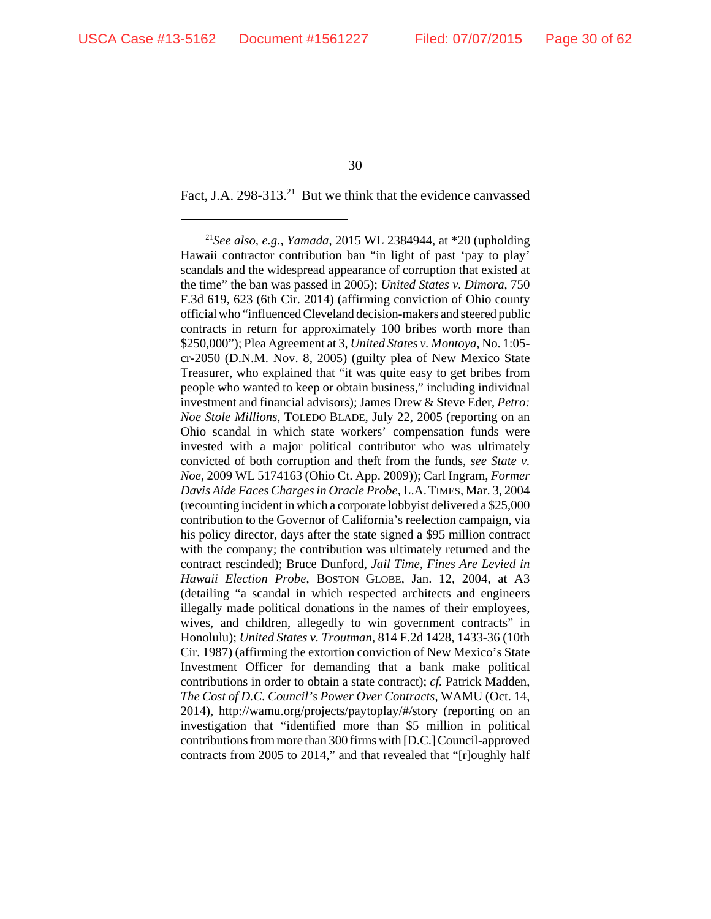Fact, J.A. 298-313.<sup>21</sup> But we think that the evidence canvassed

<sup>21</sup>*See also, e.g.*, *Yamada*, 2015 WL 2384944, at \*20 (upholding Hawaii contractor contribution ban "in light of past 'pay to play' scandals and the widespread appearance of corruption that existed at the time" the ban was passed in 2005); *United States v. Dimora*, 750 F.3d 619, 623 (6th Cir. 2014) (affirming conviction of Ohio county official who "influenced Cleveland decision-makers and steered public contracts in return for approximately 100 bribes worth more than \$250,000"); Plea Agreement at 3, *United States v. Montoya*, No. 1:05 cr-2050 (D.N.M. Nov. 8, 2005) (guilty plea of New Mexico State Treasurer, who explained that "it was quite easy to get bribes from people who wanted to keep or obtain business," including individual investment and financial advisors); James Drew & Steve Eder, *Petro: Noe Stole Millions*, TOLEDO BLADE, July 22, 2005 (reporting on an Ohio scandal in which state workers' compensation funds were invested with a major political contributor who was ultimately convicted of both corruption and theft from the funds, *see State v. Noe*, 2009 WL 5174163 (Ohio Ct. App. 2009)); Carl Ingram, *Former Davis Aide Faces Charges in Oracle Probe*, L.A.TIMES, Mar. 3, 2004 (recounting incident in which a corporate lobbyist delivered a \$25,000 contribution to the Governor of California's reelection campaign, via his policy director, days after the state signed a \$95 million contract with the company; the contribution was ultimately returned and the contract rescinded); Bruce Dunford, *Jail Time, Fines Are Levied in Hawaii Election Probe*, BOSTON GLOBE, Jan. 12, 2004, at A3 (detailing "a scandal in which respected architects and engineers illegally made political donations in the names of their employees, wives, and children, allegedly to win government contracts" in Honolulu); *United States v. Troutman*, 814 F.2d 1428, 1433-36 (10th Cir. 1987) (affirming the extortion conviction of New Mexico's State Investment Officer for demanding that a bank make political contributions in order to obtain a state contract); *cf.* Patrick Madden, *The Cost of D.C. Council's Power Over Contracts*, WAMU (Oct. 14, 2014), http://wamu.org/projects/paytoplay/#/story (reporting on an investigation that "identified more than \$5 million in political contributions from more than 300 firms with [D.C.] Council-approved contracts from 2005 to 2014," and that revealed that "[r]oughly half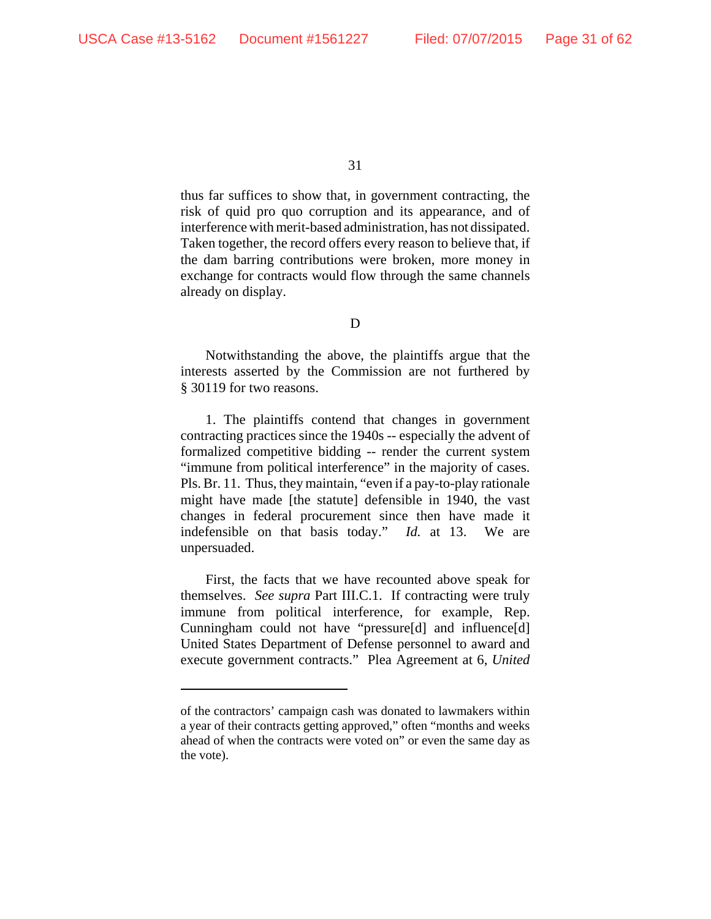thus far suffices to show that, in government contracting, the risk of quid pro quo corruption and its appearance, and of interference with merit-based administration, has not dissipated. Taken together, the record offers every reason to believe that, if the dam barring contributions were broken, more money in exchange for contracts would flow through the same channels already on display.

D

Notwithstanding the above, the plaintiffs argue that the interests asserted by the Commission are not furthered by § 30119 for two reasons.

1. The plaintiffs contend that changes in government contracting practices since the 1940s -- especially the advent of formalized competitive bidding -- render the current system "immune from political interference" in the majority of cases. Pls. Br. 11. Thus, they maintain, "even if a pay-to-play rationale might have made [the statute] defensible in 1940, the vast changes in federal procurement since then have made it indefensible on that basis today." *Id.* at 13. We are unpersuaded.

First, the facts that we have recounted above speak for themselves. *See supra* Part III.C.1. If contracting were truly immune from political interference, for example, Rep. Cunningham could not have "pressure[d] and influence[d] United States Department of Defense personnel to award and execute government contracts." Plea Agreement at 6, *United*

of the contractors' campaign cash was donated to lawmakers within a year of their contracts getting approved," often "months and weeks ahead of when the contracts were voted on" or even the same day as the vote).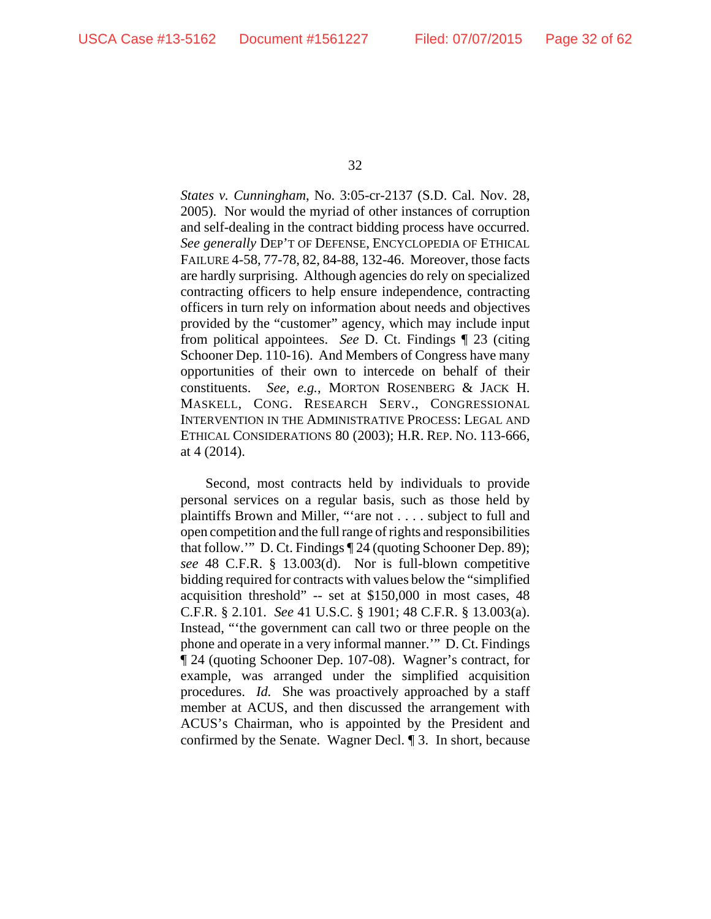*States v. Cunningham*, No. 3:05-cr-2137 (S.D. Cal. Nov. 28, 2005). Nor would the myriad of other instances of corruption and self-dealing in the contract bidding process have occurred. *See generally* DEP'T OF DEFENSE, ENCYCLOPEDIA OF ETHICAL FAILURE 4-58, 77-78, 82, 84-88, 132-46. Moreover, those facts are hardly surprising. Although agencies do rely on specialized contracting officers to help ensure independence, contracting officers in turn rely on information about needs and objectives provided by the "customer" agency, which may include input from political appointees. *See* D. Ct. Findings ¶ 23 (citing Schooner Dep. 110-16). And Members of Congress have many opportunities of their own to intercede on behalf of their constituents. *See, e.g.*, MORTON ROSENBERG & JACK H. MASKELL, CONG. RESEARCH SERV., CONGRESSIONAL INTERVENTION IN THE ADMINISTRATIVE PROCESS: LEGAL AND ETHICAL CONSIDERATIONS 80 (2003); H.R. REP. NO. 113-666, at 4 (2014).

Second, most contracts held by individuals to provide personal services on a regular basis, such as those held by plaintiffs Brown and Miller, "'are not . . . . subject to full and open competition and the full range of rights and responsibilities that follow.'" D. Ct. Findings ¶ 24 (quoting Schooner Dep. 89); *see* 48 C.F.R. § 13.003(d). Nor is full-blown competitive bidding required for contracts with values below the "simplified acquisition threshold" -- set at \$150,000 in most cases, 48 C.F.R. § 2.101. *See* 41 U.S.C. § 1901; 48 C.F.R. § 13.003(a). Instead, "'the government can call two or three people on the phone and operate in a very informal manner.'" D. Ct. Findings ¶ 24 (quoting Schooner Dep. 107-08). Wagner's contract, for example, was arranged under the simplified acquisition procedures. *Id.* She was proactively approached by a staff member at ACUS, and then discussed the arrangement with ACUS's Chairman, who is appointed by the President and confirmed by the Senate. Wagner Decl. ¶ 3. In short, because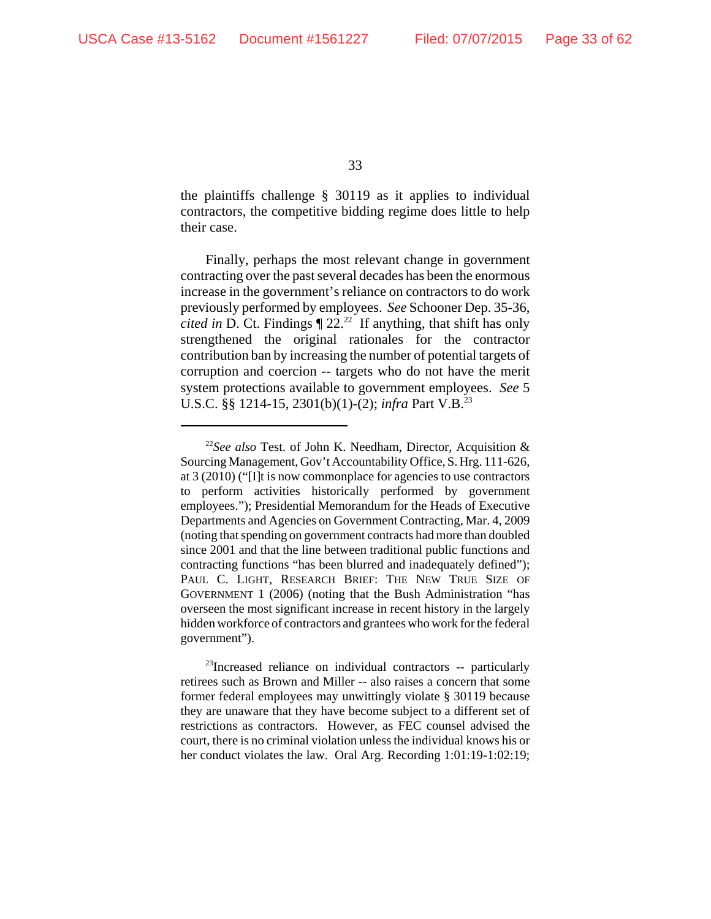the plaintiffs challenge § 30119 as it applies to individual contractors, the competitive bidding regime does little to help their case.

Finally, perhaps the most relevant change in government contracting over the past several decades has been the enormous increase in the government's reliance on contractors to do work previously performed by employees. *See* Schooner Dep. 35-36, *cited in* D. Ct. Findings  $\llbracket 22 \cdot 22 \rrbracket$  If anything, that shift has only strengthened the original rationales for the contractor contribution ban by increasing the number of potential targets of corruption and coercion -- targets who do not have the merit system protections available to government employees. *See* 5 U.S.C. §§ 1214-15, 2301(b)(1)-(2); *infra* Part V.B.<sup>23</sup>

<sup>22</sup>*See also* Test. of John K. Needham, Director, Acquisition & Sourcing Management, Gov't Accountability Office, S. Hrg. 111-626, at 3 (2010) ("[I]t is now commonplace for agencies to use contractors to perform activities historically performed by government employees."); Presidential Memorandum for the Heads of Executive Departments and Agencies on Government Contracting, Mar. 4, 2009 (noting that spending on government contracts had more than doubled since 2001 and that the line between traditional public functions and contracting functions "has been blurred and inadequately defined"); PAUL C. LIGHT, RESEARCH BRIEF: THE NEW TRUE SIZE OF GOVERNMENT 1 (2006) (noting that the Bush Administration "has overseen the most significant increase in recent history in the largely hidden workforce of contractors and grantees who work for the federal government").

<sup>&</sup>lt;sup>23</sup>Increased reliance on individual contractors -- particularly retirees such as Brown and Miller -- also raises a concern that some former federal employees may unwittingly violate § 30119 because they are unaware that they have become subject to a different set of restrictions as contractors. However, as FEC counsel advised the court, there is no criminal violation unless the individual knows his or her conduct violates the law. Oral Arg. Recording 1:01:19-1:02:19;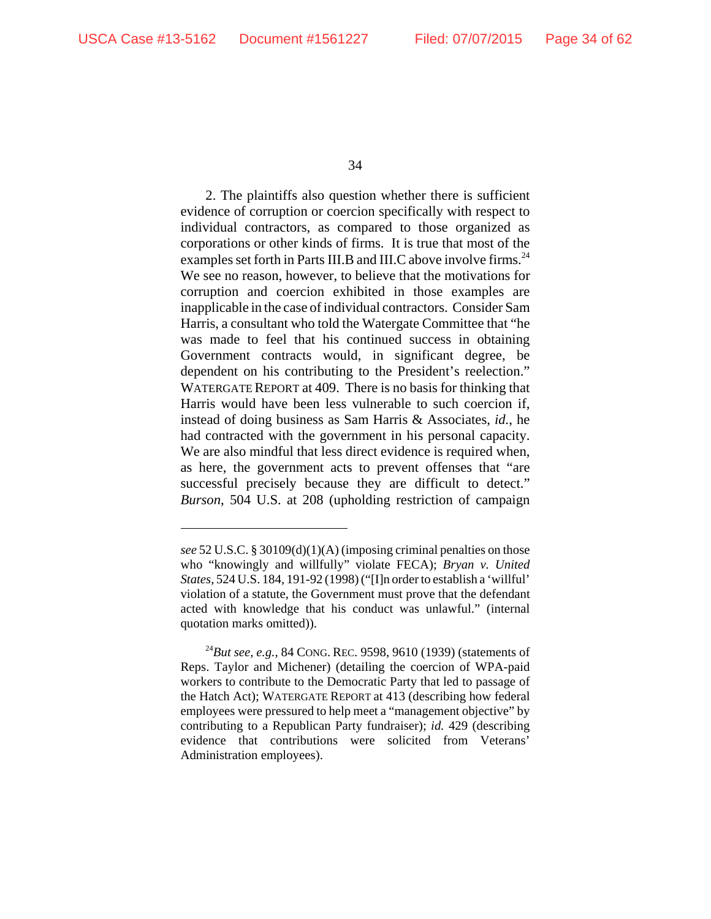2. The plaintiffs also question whether there is sufficient evidence of corruption or coercion specifically with respect to individual contractors, as compared to those organized as corporations or other kinds of firms. It is true that most of the examples set forth in Parts III.B and III.C above involve firms.<sup>24</sup> We see no reason, however, to believe that the motivations for corruption and coercion exhibited in those examples are inapplicable in the case of individual contractors. Consider Sam Harris, a consultant who told the Watergate Committee that "he was made to feel that his continued success in obtaining Government contracts would, in significant degree, be dependent on his contributing to the President's reelection." WATERGATE REPORT at 409. There is no basis for thinking that Harris would have been less vulnerable to such coercion if, instead of doing business as Sam Harris & Associates, *id.*, he had contracted with the government in his personal capacity. We are also mindful that less direct evidence is required when, as here, the government acts to prevent offenses that "are successful precisely because they are difficult to detect." *Burson*, 504 U.S. at 208 (upholding restriction of campaign

*see* 52 U.S.C. § 30109(d)(1)(A) (imposing criminal penalties on those who "knowingly and willfully" violate FECA); *Bryan v. United States*, 524 U.S. 184, 191-92 (1998) ("[I]n order to establish a 'willful' violation of a statute, the Government must prove that the defendant acted with knowledge that his conduct was unlawful." (internal quotation marks omitted)).

<sup>24</sup>*But see, e.g.*, 84 CONG. REC. 9598, 9610 (1939) (statements of Reps. Taylor and Michener) (detailing the coercion of WPA-paid workers to contribute to the Democratic Party that led to passage of the Hatch Act); WATERGATE REPORT at 413 (describing how federal employees were pressured to help meet a "management objective" by contributing to a Republican Party fundraiser); *id.* 429 (describing evidence that contributions were solicited from Veterans' Administration employees).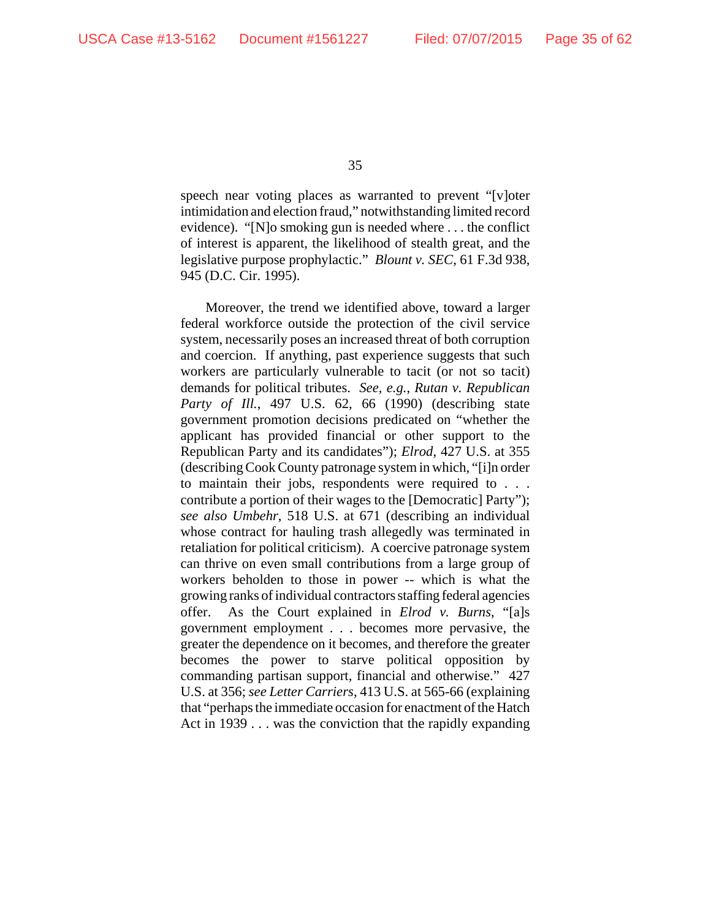speech near voting places as warranted to prevent "[v]oter intimidation and election fraud," notwithstanding limited record evidence). "[N]o smoking gun is needed where . . . the conflict of interest is apparent, the likelihood of stealth great, and the legislative purpose prophylactic." *Blount v. SEC*, 61 F.3d 938, 945 (D.C. Cir. 1995).

Moreover, the trend we identified above, toward a larger federal workforce outside the protection of the civil service system, necessarily poses an increased threat of both corruption and coercion. If anything, past experience suggests that such workers are particularly vulnerable to tacit (or not so tacit) demands for political tributes. *See, e.g.*, *Rutan v. Republican Party of Ill.*, 497 U.S. 62, 66 (1990) (describing state government promotion decisions predicated on "whether the applicant has provided financial or other support to the Republican Party and its candidates"); *Elrod*, 427 U.S. at 355 (describing Cook County patronage system in which, "[i]n order to maintain their jobs, respondents were required to . . . contribute a portion of their wages to the [Democratic] Party"); *see also Umbehr*, 518 U.S. at 671 (describing an individual whose contract for hauling trash allegedly was terminated in retaliation for political criticism). A coercive patronage system can thrive on even small contributions from a large group of workers beholden to those in power -- which is what the growing ranks of individual contractors staffing federal agencies offer. As the Court explained in *Elrod v. Burns*, "[a]s government employment . . . becomes more pervasive, the greater the dependence on it becomes, and therefore the greater becomes the power to starve political opposition by commanding partisan support, financial and otherwise." 427 U.S. at 356; *see Letter Carriers*, 413 U.S. at 565-66 (explaining that "perhaps the immediate occasion for enactment of the Hatch Act in 1939 . . . was the conviction that the rapidly expanding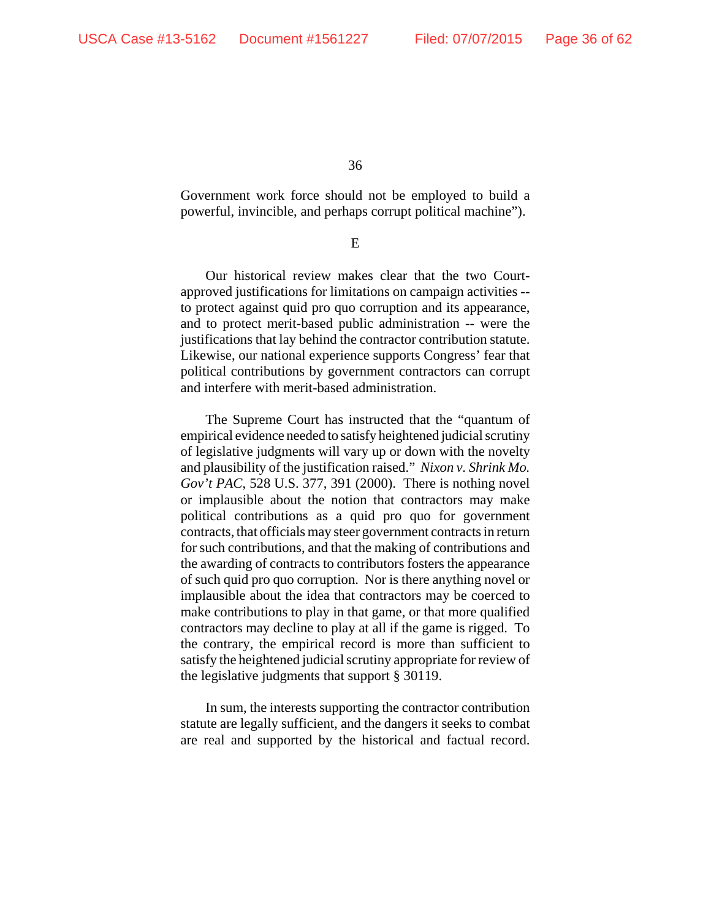Government work force should not be employed to build a powerful, invincible, and perhaps corrupt political machine").

E

Our historical review makes clear that the two Courtapproved justifications for limitations on campaign activities - to protect against quid pro quo corruption and its appearance, and to protect merit-based public administration -- were the justifications that lay behind the contractor contribution statute. Likewise, our national experience supports Congress' fear that political contributions by government contractors can corrupt and interfere with merit-based administration.

The Supreme Court has instructed that the "quantum of empirical evidence needed to satisfy heightened judicial scrutiny of legislative judgments will vary up or down with the novelty and plausibility of the justification raised." *Nixon v. Shrink Mo. Gov't PAC*, 528 U.S. 377, 391 (2000). There is nothing novel or implausible about the notion that contractors may make political contributions as a quid pro quo for government contracts, that officials may steer government contracts in return for such contributions, and that the making of contributions and the awarding of contracts to contributors fosters the appearance of such quid pro quo corruption. Nor is there anything novel or implausible about the idea that contractors may be coerced to make contributions to play in that game, or that more qualified contractors may decline to play at all if the game is rigged. To the contrary, the empirical record is more than sufficient to satisfy the heightened judicial scrutiny appropriate for review of the legislative judgments that support § 30119.

In sum, the interests supporting the contractor contribution statute are legally sufficient, and the dangers it seeks to combat are real and supported by the historical and factual record.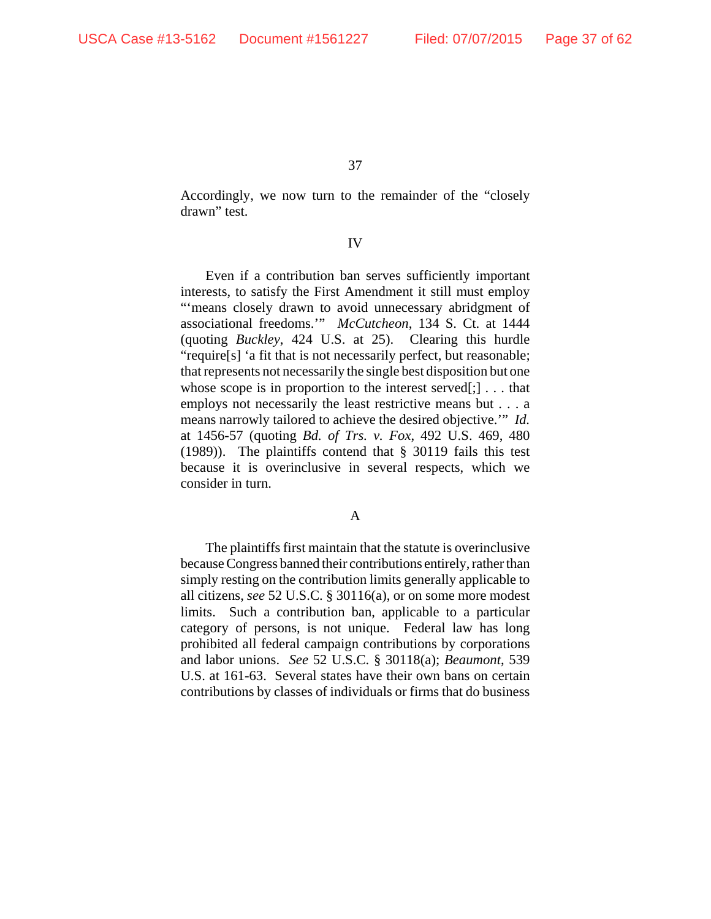Accordingly, we now turn to the remainder of the "closely drawn" test.

## IV

Even if a contribution ban serves sufficiently important interests, to satisfy the First Amendment it still must employ "means closely drawn to avoid unnecessary abridgment of associational freedoms.'" *McCutcheon*, 134 S. Ct. at 1444 (quoting *Buckley*, 424 U.S. at 25). Clearing this hurdle "require[s] 'a fit that is not necessarily perfect, but reasonable; that represents not necessarily the single best disposition but one whose scope is in proportion to the interest served[;]  $\dots$  that employs not necessarily the least restrictive means but . . . a means narrowly tailored to achieve the desired objective.'" *Id.* at 1456-57 (quoting *Bd. of Trs. v. Fox*, 492 U.S. 469, 480 (1989)). The plaintiffs contend that § 30119 fails this test because it is overinclusive in several respects, which we consider in turn.

## A

The plaintiffs first maintain that the statute is overinclusive because Congress banned their contributions entirely, rather than simply resting on the contribution limits generally applicable to all citizens, *see* 52 U.S.C. § 30116(a), or on some more modest limits. Such a contribution ban, applicable to a particular category of persons, is not unique. Federal law has long prohibited all federal campaign contributions by corporations and labor unions. *See* 52 U.S.C. § 30118(a); *Beaumont*, 539 U.S. at 161-63. Several states have their own bans on certain contributions by classes of individuals or firms that do business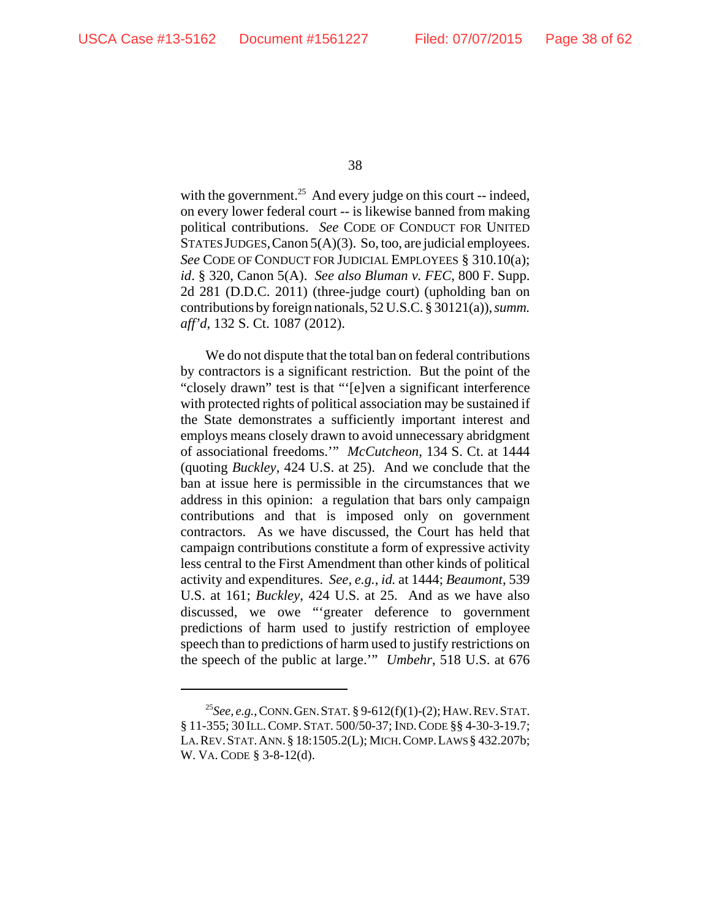with the government.<sup>25</sup> And every judge on this court -- indeed, on every lower federal court -- is likewise banned from making political contributions. *See* CODE OF CONDUCT FOR UNITED STATES JUDGES, Canon 5(A)(3). So, too, are judicial employees. *See* CODE OF CONDUCT FOR JUDICIAL EMPLOYEES § 310.10(a); *id*. § 320, Canon 5(A). *See also Bluman v. FEC*, 800 F. Supp. 2d 281 (D.D.C. 2011) (three-judge court) (upholding ban on contributions by foreign nationals, 52 U.S.C. § 30121(a)), *summ. aff'd*, 132 S. Ct. 1087 (2012).

We do not dispute that the total ban on federal contributions by contractors is a significant restriction. But the point of the "closely drawn" test is that "'[e]ven a significant interference with protected rights of political association may be sustained if the State demonstrates a sufficiently important interest and employs means closely drawn to avoid unnecessary abridgment of associational freedoms.'" *McCutcheon*, 134 S. Ct. at 1444 (quoting *Buckley*, 424 U.S. at 25). And we conclude that the ban at issue here is permissible in the circumstances that we address in this opinion: a regulation that bars only campaign contributions and that is imposed only on government contractors. As we have discussed, the Court has held that campaign contributions constitute a form of expressive activity less central to the First Amendment than other kinds of political activity and expenditures. *See, e.g.*, *id.* at 1444; *Beaumont*, 539 U.S. at 161; *Buckley*, 424 U.S. at 25. And as we have also discussed, we owe "'greater deference to government predictions of harm used to justify restriction of employee speech than to predictions of harm used to justify restrictions on the speech of the public at large.'" *Umbehr*, 518 U.S. at 676

<sup>25</sup>*See, e.g.*, CONN.GEN.STAT. § 9-612(f)(1)-(2); HAW.REV.STAT. § 11-355; 30 ILL.COMP. STAT. 500/50-37; IND.CODE §§ 4-30-3-19.7; LA.REV.STAT.ANN.§ 18:1505.2(L); MICH.COMP.LAWS § 432.207b; W. VA. CODE § 3-8-12(d).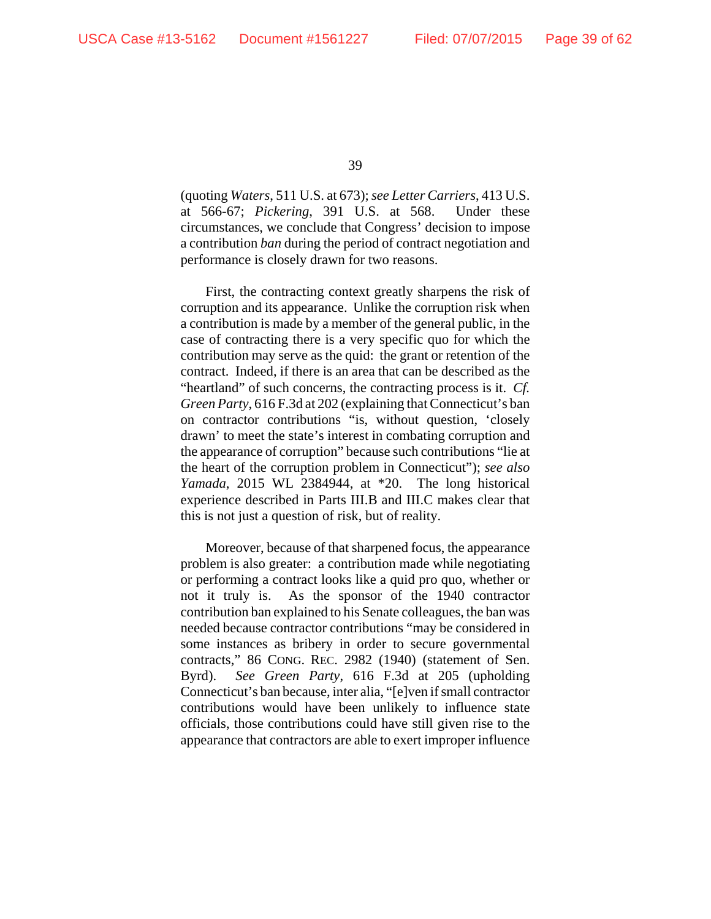(quoting *Waters*, 511 U.S. at 673); *see Letter Carriers*, 413 U.S. at 566-67; *Pickering*, 391 U.S. at 568. Under these circumstances, we conclude that Congress' decision to impose a contribution *ban* during the period of contract negotiation and performance is closely drawn for two reasons.

First, the contracting context greatly sharpens the risk of corruption and its appearance. Unlike the corruption risk when a contribution is made by a member of the general public, in the case of contracting there is a very specific quo for which the contribution may serve as the quid: the grant or retention of the contract. Indeed, if there is an area that can be described as the "heartland" of such concerns, the contracting process is it. *Cf. Green Party*, 616 F.3d at 202 (explaining that Connecticut's ban on contractor contributions "is, without question, 'closely drawn' to meet the state's interest in combating corruption and the appearance of corruption" because such contributions "lie at the heart of the corruption problem in Connecticut"); *see also Yamada*, 2015 WL 2384944, at \*20. The long historical experience described in Parts III.B and III.C makes clear that this is not just a question of risk, but of reality.

Moreover, because of that sharpened focus, the appearance problem is also greater: a contribution made while negotiating or performing a contract looks like a quid pro quo, whether or not it truly is. As the sponsor of the 1940 contractor contribution ban explained to his Senate colleagues, the ban was needed because contractor contributions "may be considered in some instances as bribery in order to secure governmental contracts," 86 CONG. REC. 2982 (1940) (statement of Sen. Byrd). *See Green Party*, 616 F.3d at 205 (upholding Connecticut's ban because, inter alia, "[e]ven if small contractor contributions would have been unlikely to influence state officials, those contributions could have still given rise to the appearance that contractors are able to exert improper influence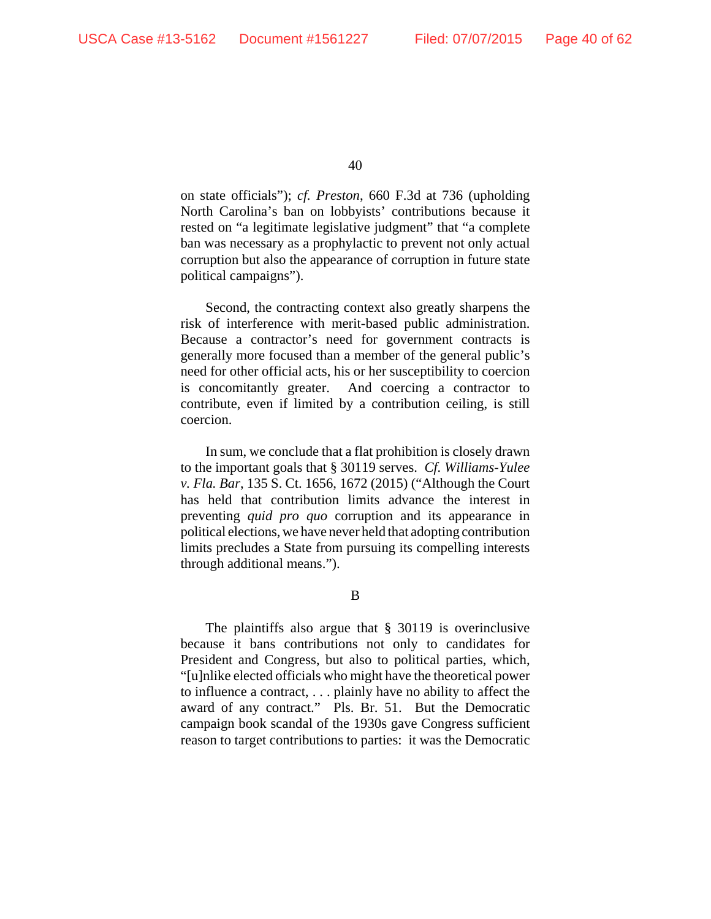on state officials"); *cf. Preston*, 660 F.3d at 736 (upholding North Carolina's ban on lobbyists' contributions because it rested on "a legitimate legislative judgment" that "a complete ban was necessary as a prophylactic to prevent not only actual corruption but also the appearance of corruption in future state political campaigns").

Second, the contracting context also greatly sharpens the risk of interference with merit-based public administration. Because a contractor's need for government contracts is generally more focused than a member of the general public's need for other official acts, his or her susceptibility to coercion is concomitantly greater. And coercing a contractor to contribute, even if limited by a contribution ceiling, is still coercion.

In sum, we conclude that a flat prohibition is closely drawn to the important goals that § 30119 serves. *Cf. Williams-Yulee v. Fla. Bar*, 135 S. Ct. 1656, 1672 (2015) ("Although the Court has held that contribution limits advance the interest in preventing *quid pro quo* corruption and its appearance in political elections, we have never held that adopting contribution limits precludes a State from pursuing its compelling interests through additional means.").

B

The plaintiffs also argue that § 30119 is overinclusive because it bans contributions not only to candidates for President and Congress, but also to political parties, which, "[u]nlike elected officials who might have the theoretical power to influence a contract, . . . plainly have no ability to affect the award of any contract." Pls. Br. 51. But the Democratic campaign book scandal of the 1930s gave Congress sufficient reason to target contributions to parties: it was the Democratic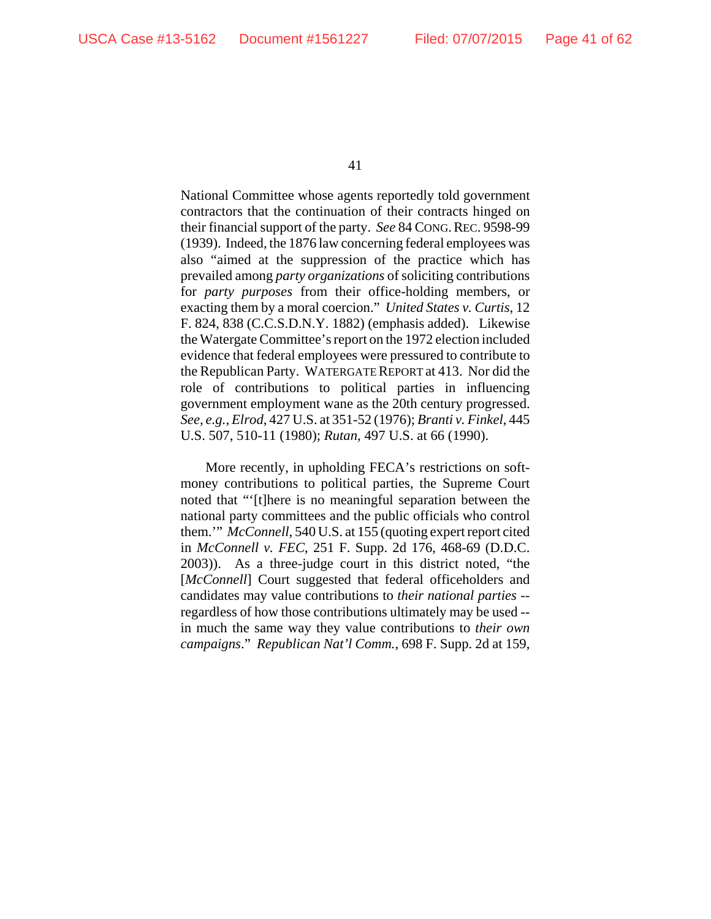National Committee whose agents reportedly told government contractors that the continuation of their contracts hinged on their financial support of the party. *See* 84 CONG.REC. 9598-99 (1939). Indeed, the 1876 law concerning federal employees was also "aimed at the suppression of the practice which has prevailed among *party organizations* of soliciting contributions for *party purposes* from their office-holding members, or exacting them by a moral coercion." *United States v. Curtis*, 12 F. 824, 838 (C.C.S.D.N.Y. 1882) (emphasis added). Likewise the Watergate Committee's report on the 1972 election included evidence that federal employees were pressured to contribute to the Republican Party. WATERGATE REPORT at 413. Nor did the role of contributions to political parties in influencing government employment wane as the 20th century progressed. *See, e.g.*, *Elrod*, 427 U.S. at 351-52 (1976); *Branti v. Finkel*, 445 U.S. 507, 510-11 (1980); *Rutan*, 497 U.S. at 66 (1990).

More recently, in upholding FECA's restrictions on softmoney contributions to political parties, the Supreme Court noted that "'[t]here is no meaningful separation between the national party committees and the public officials who control them.'" *McConnell*, 540 U.S. at 155 (quoting expert report cited in *McConnell v. FEC*, 251 F. Supp. 2d 176, 468-69 (D.D.C. 2003)). As a three-judge court in this district noted, "the [*McConnell*] Court suggested that federal officeholders and candidates may value contributions to *their national parties* - regardless of how those contributions ultimately may be used - in much the same way they value contributions to *their own campaigns*." *Republican Nat'l Comm.*, 698 F. Supp. 2d at 159,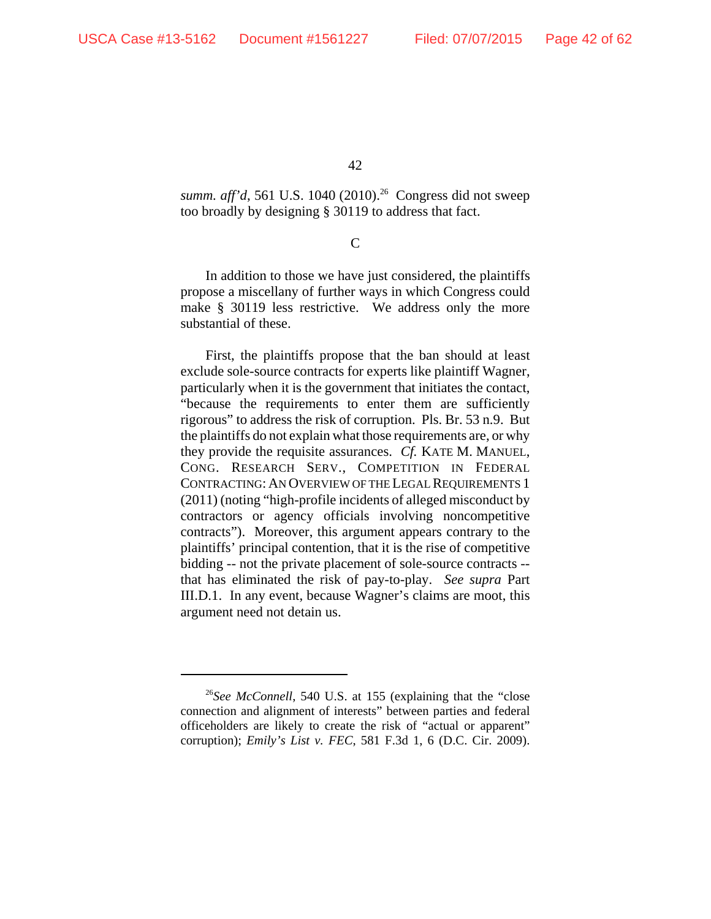summ. aff'd, 561 U.S. 1040 (2010).<sup>26</sup> Congress did not sweep too broadly by designing § 30119 to address that fact.

 $\overline{C}$ 

In addition to those we have just considered, the plaintiffs propose a miscellany of further ways in which Congress could make § 30119 less restrictive. We address only the more substantial of these.

First, the plaintiffs propose that the ban should at least exclude sole-source contracts for experts like plaintiff Wagner, particularly when it is the government that initiates the contact, "because the requirements to enter them are sufficiently rigorous" to address the risk of corruption. Pls. Br. 53 n.9. But the plaintiffs do not explain what those requirements are, or why they provide the requisite assurances. *Cf.* KATE M. MANUEL, CONG. RESEARCH SERV., COMPETITION IN FEDERAL CONTRACTING: AN OVERVIEW OF THE LEGAL REQUIREMENTS 1 (2011) (noting "high-profile incidents of alleged misconduct by contractors or agency officials involving noncompetitive contracts"). Moreover, this argument appears contrary to the plaintiffs' principal contention, that it is the rise of competitive bidding -- not the private placement of sole-source contracts - that has eliminated the risk of pay-to-play. *See supra* Part III.D.1. In any event, because Wagner's claims are moot, this argument need not detain us.

<sup>26</sup>*See McConnell*, 540 U.S. at 155 (explaining that the "close connection and alignment of interests" between parties and federal officeholders are likely to create the risk of "actual or apparent" corruption); *Emily's List v. FEC*, 581 F.3d 1, 6 (D.C. Cir. 2009).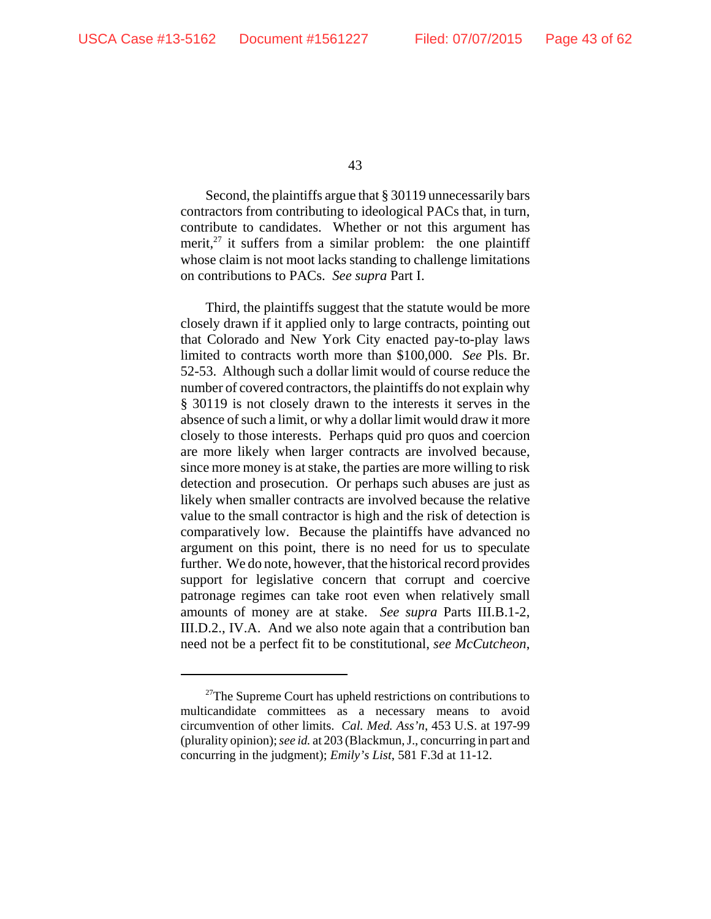Second, the plaintiffs argue that § 30119 unnecessarily bars contractors from contributing to ideological PACs that, in turn, contribute to candidates. Whether or not this argument has merit, $^{27}$  it suffers from a similar problem: the one plaintiff whose claim is not moot lacks standing to challenge limitations on contributions to PACs. *See supra* Part I.

Third, the plaintiffs suggest that the statute would be more closely drawn if it applied only to large contracts, pointing out that Colorado and New York City enacted pay-to-play laws limited to contracts worth more than \$100,000. *See* Pls. Br. 52-53. Although such a dollar limit would of course reduce the number of covered contractors, the plaintiffs do not explain why § 30119 is not closely drawn to the interests it serves in the absence of such a limit, or why a dollar limit would draw it more closely to those interests. Perhaps quid pro quos and coercion are more likely when larger contracts are involved because, since more money is at stake, the parties are more willing to risk detection and prosecution. Or perhaps such abuses are just as likely when smaller contracts are involved because the relative value to the small contractor is high and the risk of detection is comparatively low. Because the plaintiffs have advanced no argument on this point, there is no need for us to speculate further. We do note, however, that the historical record provides support for legislative concern that corrupt and coercive patronage regimes can take root even when relatively small amounts of money are at stake. *See supra* Parts III.B.1-2, III.D.2., IV.A. And we also note again that a contribution ban need not be a perfect fit to be constitutional, *see McCutcheon*,

 $27$ The Supreme Court has upheld restrictions on contributions to multicandidate committees as a necessary means to avoid circumvention of other limits. *Cal. Med. Ass'n*, 453 U.S. at 197-99 (plurality opinion); *see id.* at 203 (Blackmun, J., concurring in part and concurring in the judgment); *Emily's List*, 581 F.3d at 11-12.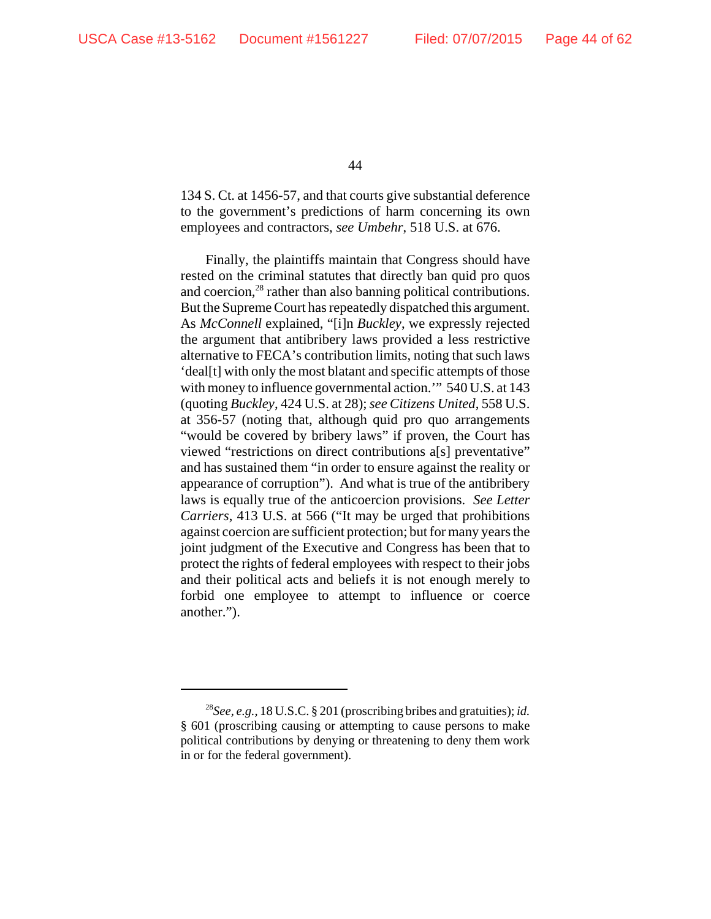134 S. Ct. at 1456-57, and that courts give substantial deference to the government's predictions of harm concerning its own employees and contractors, *see Umbehr*, 518 U.S. at 676.

Finally, the plaintiffs maintain that Congress should have rested on the criminal statutes that directly ban quid pro quos and coercion, $28$  rather than also banning political contributions. But the Supreme Court has repeatedly dispatched this argument. As *McConnell* explained, "[i]n *Buckley*, we expressly rejected the argument that antibribery laws provided a less restrictive alternative to FECA's contribution limits, noting that such laws 'deal[t] with only the most blatant and specific attempts of those with money to influence governmental action." 540 U.S. at 143 (quoting *Buckley*, 424 U.S. at 28); *see Citizens United*, 558 U.S. at 356-57 (noting that, although quid pro quo arrangements "would be covered by bribery laws" if proven, the Court has viewed "restrictions on direct contributions a[s] preventative" and has sustained them "in order to ensure against the reality or appearance of corruption"). And what is true of the antibribery laws is equally true of the anticoercion provisions. *See Letter Carriers*, 413 U.S. at 566 ("It may be urged that prohibitions against coercion are sufficient protection; but for many years the joint judgment of the Executive and Congress has been that to protect the rights of federal employees with respect to their jobs and their political acts and beliefs it is not enough merely to forbid one employee to attempt to influence or coerce another.").

<sup>28</sup>*See, e.g.*, 18 U.S.C. § 201 (proscribing bribes and gratuities); *id.* § 601 (proscribing causing or attempting to cause persons to make political contributions by denying or threatening to deny them work in or for the federal government).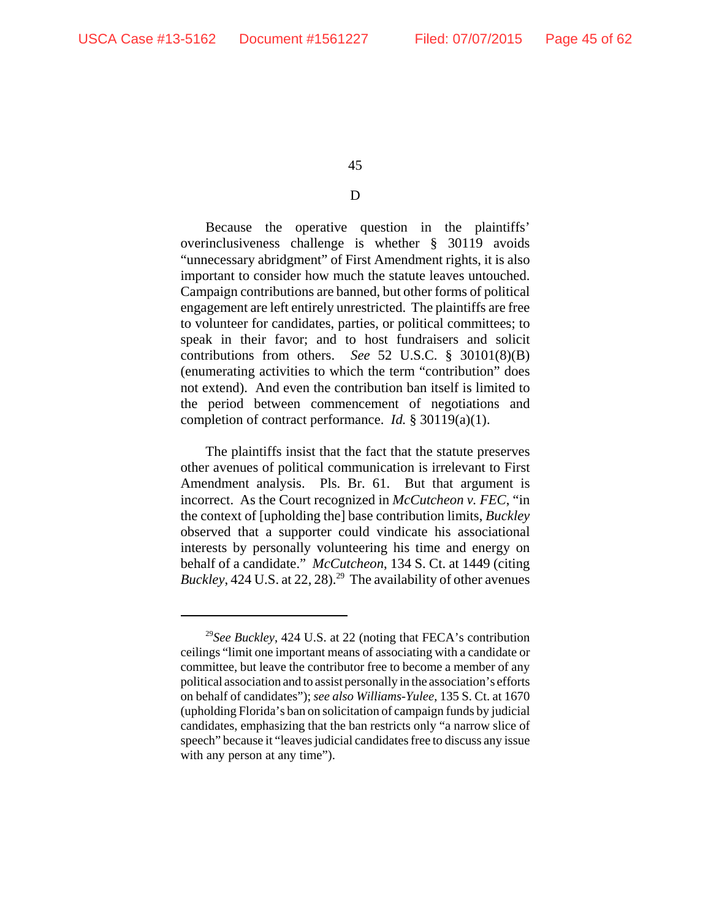## D

Because the operative question in the plaintiffs' overinclusiveness challenge is whether § 30119 avoids "unnecessary abridgment" of First Amendment rights, it is also important to consider how much the statute leaves untouched. Campaign contributions are banned, but other forms of political engagement are left entirely unrestricted. The plaintiffs are free to volunteer for candidates, parties, or political committees; to speak in their favor; and to host fundraisers and solicit contributions from others. *See* 52 U.S.C. § 30101(8)(B) (enumerating activities to which the term "contribution" does not extend). And even the contribution ban itself is limited to the period between commencement of negotiations and completion of contract performance. *Id.* § 30119(a)(1).

The plaintiffs insist that the fact that the statute preserves other avenues of political communication is irrelevant to First Amendment analysis. Pls. Br. 61. But that argument is incorrect. As the Court recognized in *McCutcheon v. FEC*, "in the context of [upholding the] base contribution limits, *Buckley* observed that a supporter could vindicate his associational interests by personally volunteering his time and energy on behalf of a candidate." *McCutcheon*, 134 S. Ct. at 1449 (citing *Buckley*, 424 U.S. at 22, 28).<sup>29</sup> The availability of other avenues

<sup>29</sup>*See Buckley*, 424 U.S. at 22 (noting that FECA's contribution ceilings "limit one important means of associating with a candidate or committee, but leave the contributor free to become a member of any political association and to assist personally in the association's efforts on behalf of candidates"); *see also Williams-Yulee*, 135 S. Ct. at 1670 (upholding Florida's ban on solicitation of campaign funds by judicial candidates, emphasizing that the ban restricts only "a narrow slice of speech" because it "leaves judicial candidates free to discuss any issue with any person at any time").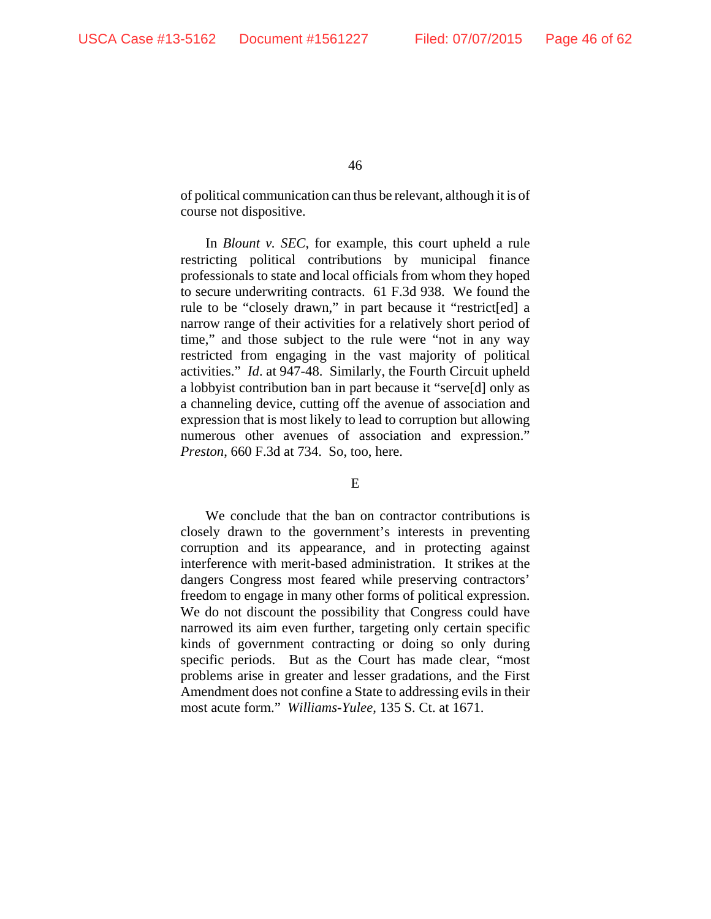of political communication can thus be relevant, although it is of course not dispositive.

In *Blount v. SEC*, for example, this court upheld a rule restricting political contributions by municipal finance professionals to state and local officials from whom they hoped to secure underwriting contracts. 61 F.3d 938. We found the rule to be "closely drawn," in part because it "restrict[ed] a narrow range of their activities for a relatively short period of time," and those subject to the rule were "not in any way restricted from engaging in the vast majority of political activities." *Id*. at 947-48. Similarly, the Fourth Circuit upheld a lobbyist contribution ban in part because it "serve[d] only as a channeling device, cutting off the avenue of association and expression that is most likely to lead to corruption but allowing numerous other avenues of association and expression." *Preston*, 660 F.3d at 734. So, too, here.

### E

We conclude that the ban on contractor contributions is closely drawn to the government's interests in preventing corruption and its appearance, and in protecting against interference with merit-based administration. It strikes at the dangers Congress most feared while preserving contractors' freedom to engage in many other forms of political expression. We do not discount the possibility that Congress could have narrowed its aim even further, targeting only certain specific kinds of government contracting or doing so only during specific periods. But as the Court has made clear, "most problems arise in greater and lesser gradations, and the First Amendment does not confine a State to addressing evils in their most acute form." *Williams-Yulee*, 135 S. Ct. at 1671.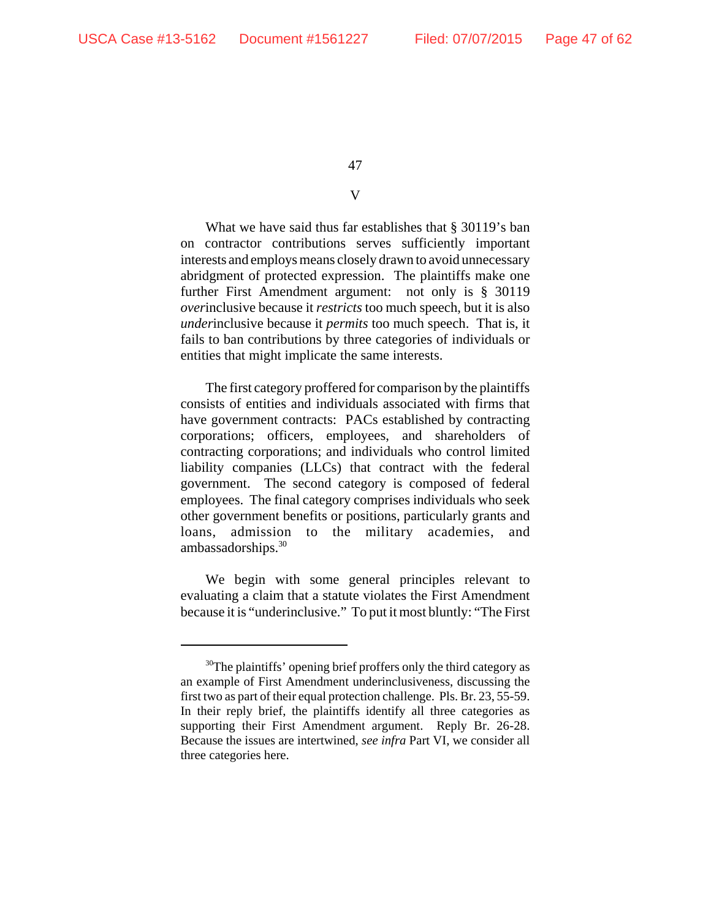# V

What we have said thus far establishes that § 30119's ban on contractor contributions serves sufficiently important interests and employs means closely drawn to avoid unnecessary abridgment of protected expression. The plaintiffs make one further First Amendment argument: not only is § 30119 *over*inclusive because it *restricts* too much speech, but it is also *under*inclusive because it *permits* too much speech. That is, it fails to ban contributions by three categories of individuals or entities that might implicate the same interests.

The first category proffered for comparison by the plaintiffs consists of entities and individuals associated with firms that have government contracts: PACs established by contracting corporations; officers, employees, and shareholders of contracting corporations; and individuals who control limited liability companies (LLCs) that contract with the federal government. The second category is composed of federal employees. The final category comprises individuals who seek other government benefits or positions, particularly grants and loans, admission to the military academies, and ambassadorships.<sup>30</sup>

We begin with some general principles relevant to evaluating a claim that a statute violates the First Amendment because it is "underinclusive." To put it most bluntly: "The First

<sup>&</sup>lt;sup>30</sup>The plaintiffs' opening brief proffers only the third category as an example of First Amendment underinclusiveness, discussing the first two as part of their equal protection challenge. Pls. Br. 23, 55-59. In their reply brief, the plaintiffs identify all three categories as supporting their First Amendment argument. Reply Br. 26-28. Because the issues are intertwined, *see infra* Part VI, we consider all three categories here.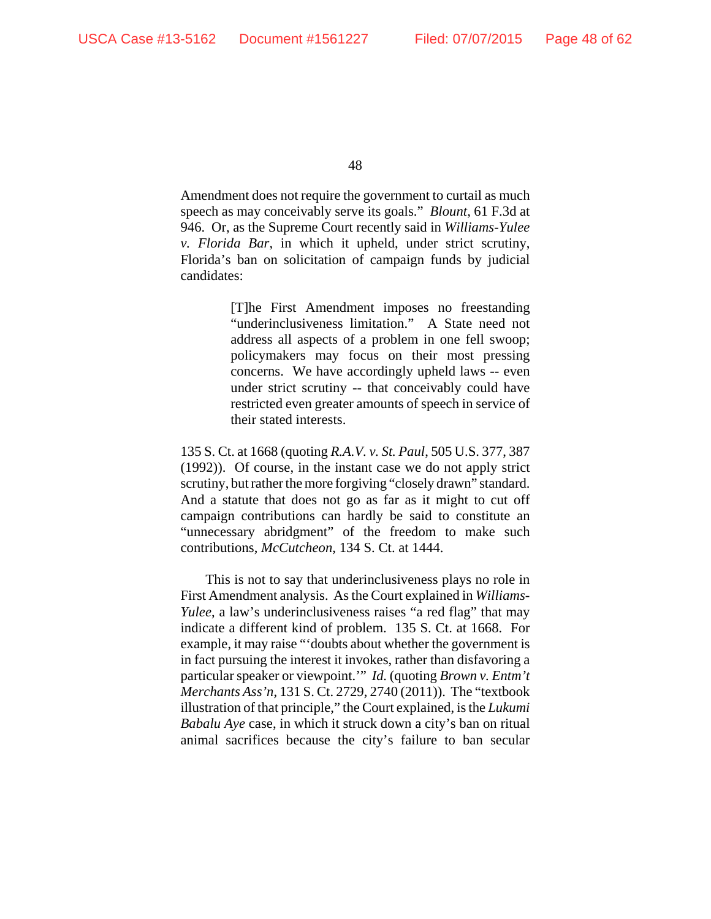Amendment does not require the government to curtail as much speech as may conceivably serve its goals." *Blount*, 61 F.3d at 946. Or, as the Supreme Court recently said in *Williams-Yulee v. Florida Bar*, in which it upheld, under strict scrutiny, Florida's ban on solicitation of campaign funds by judicial candidates:

> [T]he First Amendment imposes no freestanding "underinclusiveness limitation." A State need not address all aspects of a problem in one fell swoop; policymakers may focus on their most pressing concerns. We have accordingly upheld laws -- even under strict scrutiny -- that conceivably could have restricted even greater amounts of speech in service of their stated interests.

135 S. Ct. at 1668 (quoting *R.A.V. v. St. Paul*, 505 U.S. 377, 387 (1992)). Of course, in the instant case we do not apply strict scrutiny, but rather the more forgiving "closely drawn" standard. And a statute that does not go as far as it might to cut off campaign contributions can hardly be said to constitute an "unnecessary abridgment" of the freedom to make such contributions, *McCutcheon*, 134 S. Ct. at 1444.

This is not to say that underinclusiveness plays no role in First Amendment analysis. As the Court explained in *Williams-Yulee*, a law's underinclusiveness raises "a red flag" that may indicate a different kind of problem. 135 S. Ct. at 1668. For example, it may raise "'doubts about whether the government is in fact pursuing the interest it invokes, rather than disfavoring a particular speaker or viewpoint.'" *Id.* (quoting *Brown v. Entm't Merchants Ass'n*, 131 S. Ct. 2729, 2740 (2011)). The "textbook illustration of that principle," the Court explained, is the *Lukumi Babalu Aye* case, in which it struck down a city's ban on ritual animal sacrifices because the city's failure to ban secular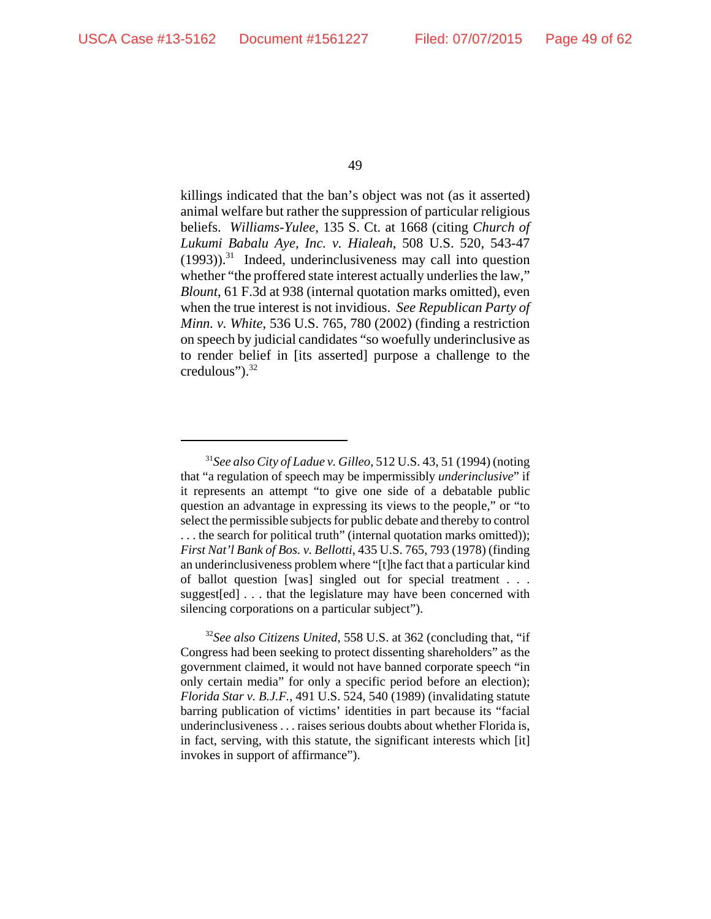killings indicated that the ban's object was not (as it asserted) animal welfare but rather the suppression of particular religious beliefs. *Williams-Yulee*, 135 S. Ct. at 1668 (citing *Church of Lukumi Babalu Aye, Inc. v. Hialeah*, 508 U.S. 520, 543-47  $(1993)$ ).<sup>31</sup> Indeed, underinclusiveness may call into question whether "the proffered state interest actually underlies the law," *Blount*, 61 F.3d at 938 (internal quotation marks omitted), even when the true interest is not invidious. *See Republican Party of Minn. v. White*, 536 U.S. 765, 780 (2002) (finding a restriction on speech by judicial candidates "so woefully underinclusive as to render belief in [its asserted] purpose a challenge to the credulous").<sup>32</sup>

<sup>31</sup>*See also City of Ladue v. Gilleo*, 512 U.S. 43, 51 (1994) (noting that "a regulation of speech may be impermissibly *underinclusive*" if it represents an attempt "to give one side of a debatable public question an advantage in expressing its views to the people," or "to select the permissible subjects for public debate and thereby to control . . . the search for political truth" (internal quotation marks omitted)); *First Nat'l Bank of Bos. v. Bellotti*, 435 U.S. 765, 793 (1978) (finding an underinclusiveness problem where "[t]he fact that a particular kind of ballot question [was] singled out for special treatment . . . suggest[ed] . . . that the legislature may have been concerned with silencing corporations on a particular subject").

<sup>32</sup>*See also Citizens United*, 558 U.S. at 362 (concluding that, "if Congress had been seeking to protect dissenting shareholders" as the government claimed, it would not have banned corporate speech "in only certain media" for only a specific period before an election); *Florida Star v. B.J.F.*, 491 U.S. 524, 540 (1989) (invalidating statute barring publication of victims' identities in part because its "facial underinclusiveness . . . raises serious doubts about whether Florida is, in fact, serving, with this statute, the significant interests which [it] invokes in support of affirmance").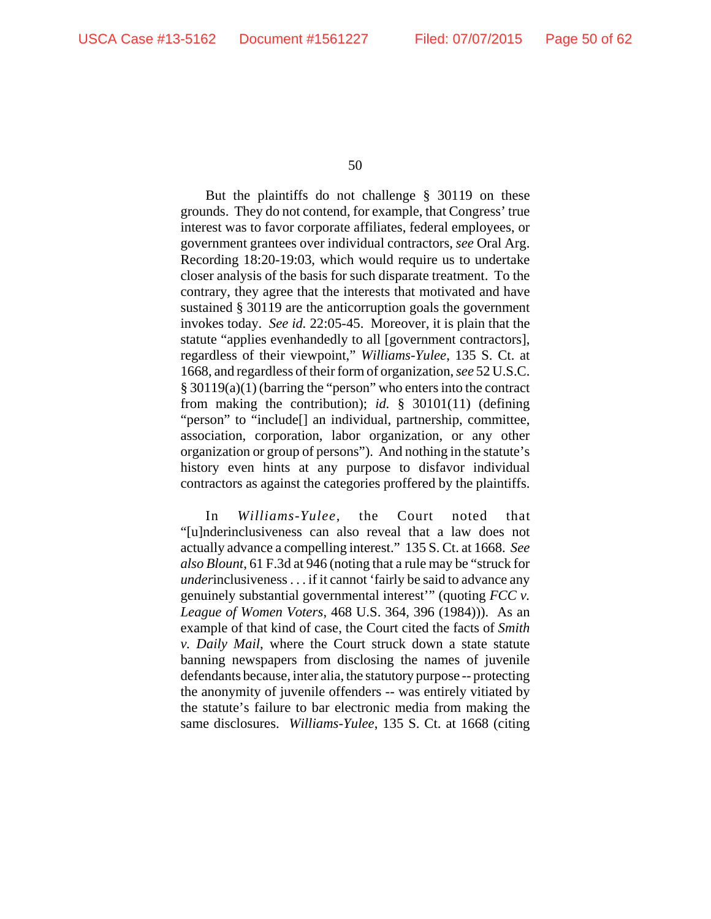But the plaintiffs do not challenge § 30119 on these grounds. They do not contend, for example, that Congress' true interest was to favor corporate affiliates, federal employees, or government grantees over individual contractors, *see* Oral Arg. Recording 18:20-19:03, which would require us to undertake closer analysis of the basis for such disparate treatment. To the contrary, they agree that the interests that motivated and have sustained § 30119 are the anticorruption goals the government invokes today. *See id.* 22:05-45. Moreover, it is plain that the statute "applies evenhandedly to all [government contractors], regardless of their viewpoint," *Williams-Yulee*, 135 S. Ct. at 1668, and regardless of their form of organization, *see* 52 U.S.C. § 30119(a)(1) (barring the "person" who enters into the contract from making the contribution); *id.* § 30101(11) (defining "person" to "include[] an individual, partnership, committee, association, corporation, labor organization, or any other organization or group of persons"). And nothing in the statute's history even hints at any purpose to disfavor individual contractors as against the categories proffered by the plaintiffs.

In *Williams-Yulee*, the Court noted that "[u]nderinclusiveness can also reveal that a law does not actually advance a compelling interest." 135 S. Ct. at 1668. *See also Blount*, 61 F.3d at 946 (noting that a rule may be "struck for *under*inclusiveness . . . if it cannot 'fairly be said to advance any genuinely substantial governmental interest'" (quoting *FCC v. League of Women Voters*, 468 U.S. 364, 396 (1984))). As an example of that kind of case, the Court cited the facts of *Smith v. Daily Mail*, where the Court struck down a state statute banning newspapers from disclosing the names of juvenile defendants because, inter alia, the statutory purpose -- protecting the anonymity of juvenile offenders -- was entirely vitiated by the statute's failure to bar electronic media from making the same disclosures. *Williams-Yulee*, 135 S. Ct. at 1668 (citing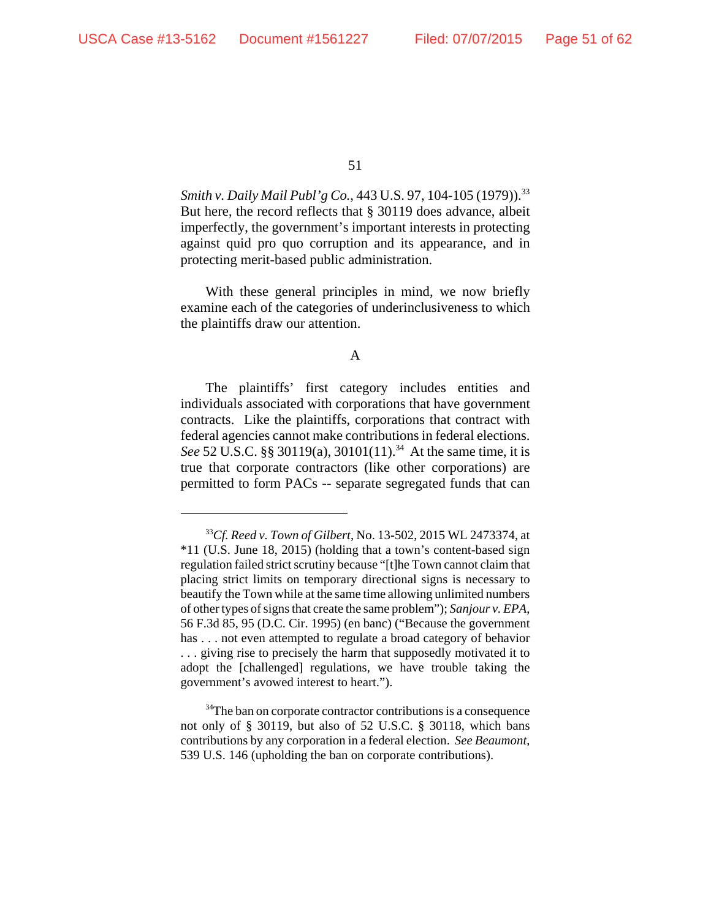Smith v. Daily Mail Publ'g Co., 443 U.S. 97, 104-105 (1979)).<sup>33</sup> But here, the record reflects that § 30119 does advance, albeit imperfectly, the government's important interests in protecting against quid pro quo corruption and its appearance, and in protecting merit-based public administration.

With these general principles in mind, we now briefly examine each of the categories of underinclusiveness to which the plaintiffs draw our attention.

#### A

The plaintiffs' first category includes entities and individuals associated with corporations that have government contracts. Like the plaintiffs, corporations that contract with federal agencies cannot make contributions in federal elections. See 52 U.S.C. §§ 30119(a), 30101(11).<sup>34</sup> At the same time, it is true that corporate contractors (like other corporations) are permitted to form PACs -- separate segregated funds that can

<sup>33</sup>*Cf. Reed v. Town of Gilbert*, No. 13-502, 2015 WL 2473374, at \*11 (U.S. June 18, 2015) (holding that a town's content-based sign regulation failed strict scrutiny because "[t]he Town cannot claim that placing strict limits on temporary directional signs is necessary to beautify the Town while at the same time allowing unlimited numbers of other types of signs that create the same problem"); *Sanjour v. EPA*, 56 F.3d 85, 95 (D.C. Cir. 1995) (en banc) ("Because the government has . . . not even attempted to regulate a broad category of behavior . . . giving rise to precisely the harm that supposedly motivated it to adopt the [challenged] regulations, we have trouble taking the government's avowed interest to heart.").

<sup>&</sup>lt;sup>34</sup>The ban on corporate contractor contributions is a consequence not only of § 30119, but also of 52 U.S.C. § 30118, which bans contributions by any corporation in a federal election. *See Beaumont*, 539 U.S. 146 (upholding the ban on corporate contributions).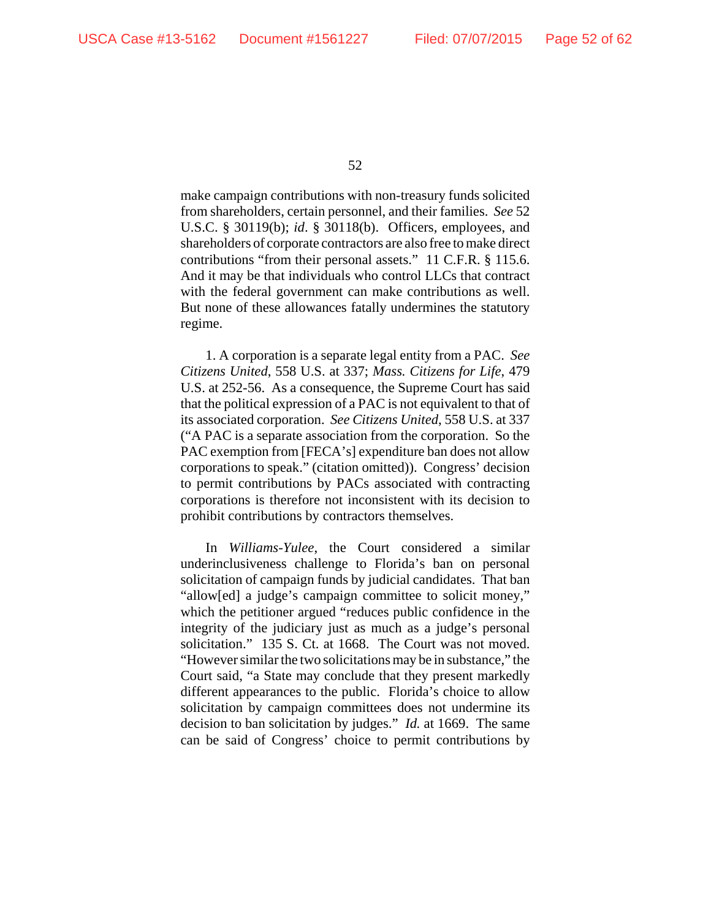make campaign contributions with non-treasury funds solicited from shareholders, certain personnel, and their families. *See* 52 U.S.C. § 30119(b); *id*. § 30118(b). Officers, employees, and shareholders of corporate contractors are also free to make direct contributions "from their personal assets." 11 C.F.R. § 115.6. And it may be that individuals who control LLCs that contract with the federal government can make contributions as well. But none of these allowances fatally undermines the statutory regime.

1. A corporation is a separate legal entity from a PAC. *See Citizens United*, 558 U.S. at 337; *Mass. Citizens for Life*, 479 U.S. at 252-56. As a consequence, the Supreme Court has said that the political expression of a PAC is not equivalent to that of its associated corporation. *See Citizens United*, 558 U.S. at 337 ("A PAC is a separate association from the corporation. So the PAC exemption from [FECA's] expenditure ban does not allow corporations to speak." (citation omitted)). Congress' decision to permit contributions by PACs associated with contracting corporations is therefore not inconsistent with its decision to prohibit contributions by contractors themselves.

In *Williams-Yulee*, the Court considered a similar underinclusiveness challenge to Florida's ban on personal solicitation of campaign funds by judicial candidates. That ban "allow[ed] a judge's campaign committee to solicit money," which the petitioner argued "reduces public confidence in the integrity of the judiciary just as much as a judge's personal solicitation." 135 S. Ct. at 1668. The Court was not moved. "However similar the two solicitations may be in substance," the Court said, "a State may conclude that they present markedly different appearances to the public. Florida's choice to allow solicitation by campaign committees does not undermine its decision to ban solicitation by judges." *Id.* at 1669. The same can be said of Congress' choice to permit contributions by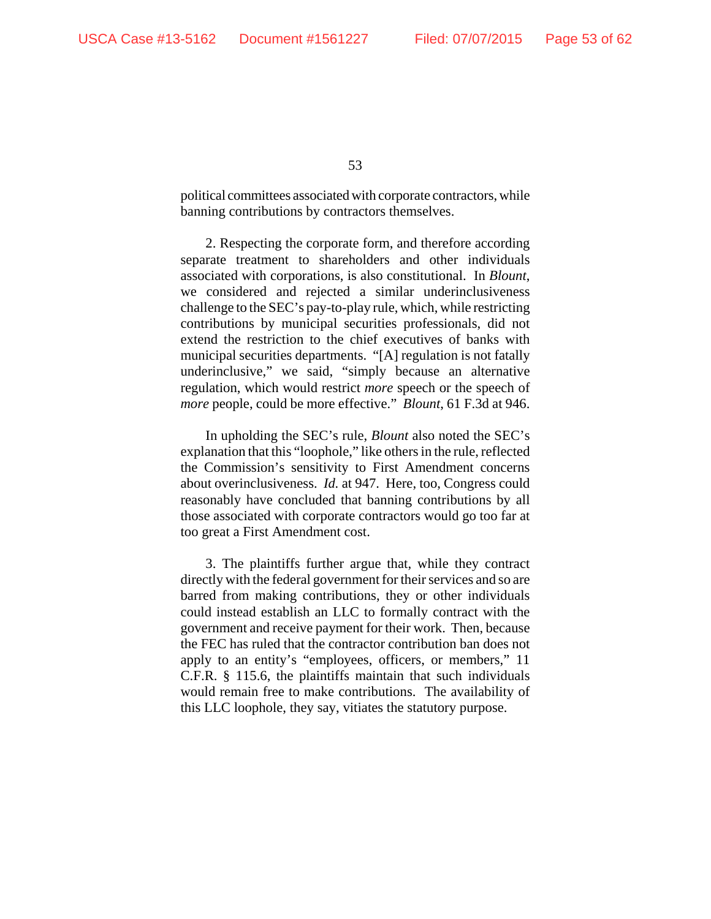political committees associated with corporate contractors, while banning contributions by contractors themselves.

2. Respecting the corporate form, and therefore according separate treatment to shareholders and other individuals associated with corporations, is also constitutional. In *Blount*, we considered and rejected a similar underinclusiveness challenge to the SEC's pay-to-play rule, which, while restricting contributions by municipal securities professionals, did not extend the restriction to the chief executives of banks with municipal securities departments. "[A] regulation is not fatally underinclusive," we said, "simply because an alternative regulation, which would restrict *more* speech or the speech of *more* people, could be more effective." *Blount*, 61 F.3d at 946.

In upholding the SEC's rule, *Blount* also noted the SEC's explanation that this "loophole," like others in the rule, reflected the Commission's sensitivity to First Amendment concerns about overinclusiveness. *Id.* at 947. Here, too, Congress could reasonably have concluded that banning contributions by all those associated with corporate contractors would go too far at too great a First Amendment cost.

3. The plaintiffs further argue that, while they contract directly with the federal government for their services and so are barred from making contributions, they or other individuals could instead establish an LLC to formally contract with the government and receive payment for their work. Then, because the FEC has ruled that the contractor contribution ban does not apply to an entity's "employees, officers, or members," 11 C.F.R. § 115.6, the plaintiffs maintain that such individuals would remain free to make contributions. The availability of this LLC loophole, they say, vitiates the statutory purpose.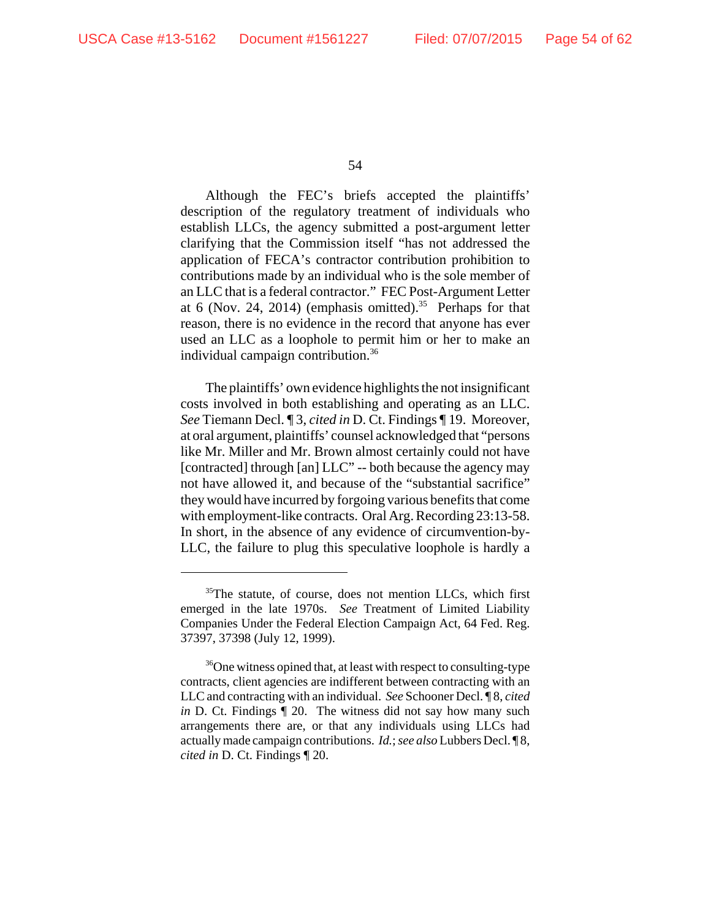Although the FEC's briefs accepted the plaintiffs' description of the regulatory treatment of individuals who establish LLCs, the agency submitted a post-argument letter clarifying that the Commission itself "has not addressed the application of FECA's contractor contribution prohibition to contributions made by an individual who is the sole member of an LLC that is a federal contractor." FEC Post-Argument Letter at 6 (Nov. 24, 2014) (emphasis omitted).<sup>35</sup> Perhaps for that reason, there is no evidence in the record that anyone has ever used an LLC as a loophole to permit him or her to make an individual campaign contribution.<sup>36</sup>

The plaintiffs' own evidence highlights the not insignificant costs involved in both establishing and operating as an LLC. *See* Tiemann Decl. ¶ 3, *cited in* D. Ct. Findings ¶ 19. Moreover, at oral argument, plaintiffs' counsel acknowledged that "persons like Mr. Miller and Mr. Brown almost certainly could not have [contracted] through [an] LLC" -- both because the agency may not have allowed it, and because of the "substantial sacrifice" they would have incurred by forgoing various benefits that come with employment-like contracts. Oral Arg. Recording 23:13-58. In short, in the absence of any evidence of circumvention-by-LLC, the failure to plug this speculative loophole is hardly a

 $35$ The statute, of course, does not mention LLCs, which first emerged in the late 1970s. *See* Treatment of Limited Liability Companies Under the Federal Election Campaign Act, 64 Fed. Reg. 37397, 37398 (July 12, 1999).

<sup>&</sup>lt;sup>36</sup>One witness opined that, at least with respect to consulting-type contracts, client agencies are indifferent between contracting with an LLC and contracting with an individual. *See* Schooner Decl. ¶ 8, *cited in* D. Ct. Findings  $\llbracket 20$ . The witness did not say how many such arrangements there are, or that any individuals using LLCs had actually made campaign contributions. *Id.*; *see also* Lubbers Decl. ¶ 8, *cited in* D. Ct. Findings ¶ 20.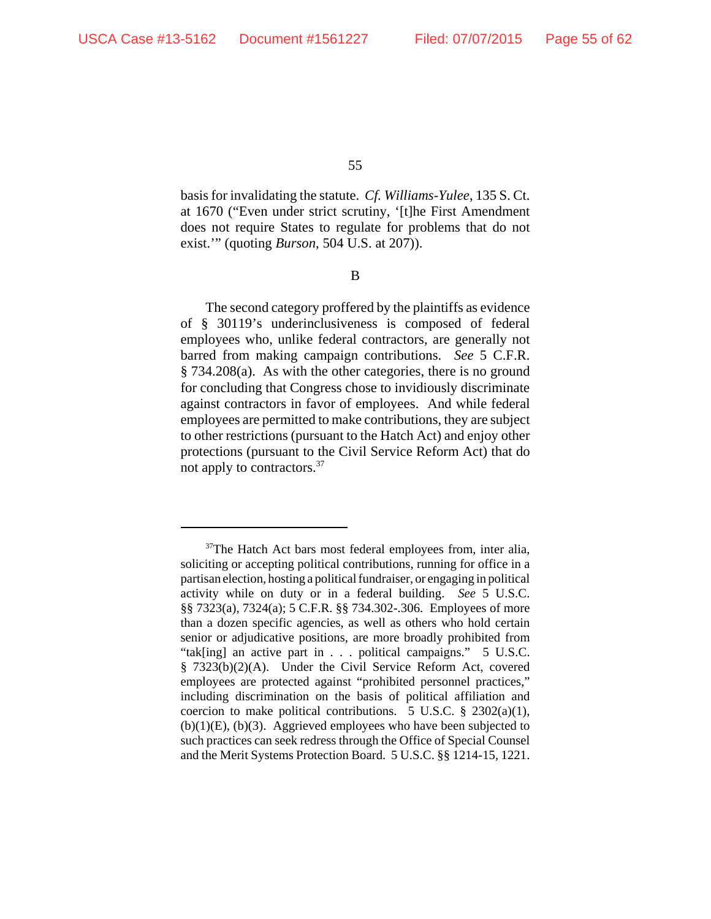basis for invalidating the statute. *Cf. Williams-Yulee*, 135 S. Ct. at 1670 ("Even under strict scrutiny, '[t]he First Amendment does not require States to regulate for problems that do not exist.'" (quoting *Burson*, 504 U.S. at 207)).

B

The second category proffered by the plaintiffs as evidence of § 30119's underinclusiveness is composed of federal employees who, unlike federal contractors, are generally not barred from making campaign contributions. *See* 5 C.F.R. § 734.208(a). As with the other categories, there is no ground for concluding that Congress chose to invidiously discriminate against contractors in favor of employees. And while federal employees are permitted to make contributions, they are subject to other restrictions (pursuant to the Hatch Act) and enjoy other protections (pursuant to the Civil Service Reform Act) that do not apply to contractors.<sup>37</sup>

<sup>&</sup>lt;sup>37</sup>The Hatch Act bars most federal employees from, inter alia, soliciting or accepting political contributions, running for office in a partisan election, hosting a political fundraiser, or engaging in political activity while on duty or in a federal building. *See* 5 U.S.C. §§ 7323(a), 7324(a); 5 C.F.R. §§ 734.302-.306. Employees of more than a dozen specific agencies, as well as others who hold certain senior or adjudicative positions, are more broadly prohibited from "tak[ing] an active part in . . . political campaigns." 5 U.S.C. § 7323(b)(2)(A). Under the Civil Service Reform Act, covered employees are protected against "prohibited personnel practices," including discrimination on the basis of political affiliation and coercion to make political contributions. 5 U.S.C.  $\S$  2302(a)(1),  $(b)(1)(E)$ ,  $(b)(3)$ . Aggrieved employees who have been subjected to such practices can seek redress through the Office of Special Counsel and the Merit Systems Protection Board. 5 U.S.C. §§ 1214-15, 1221.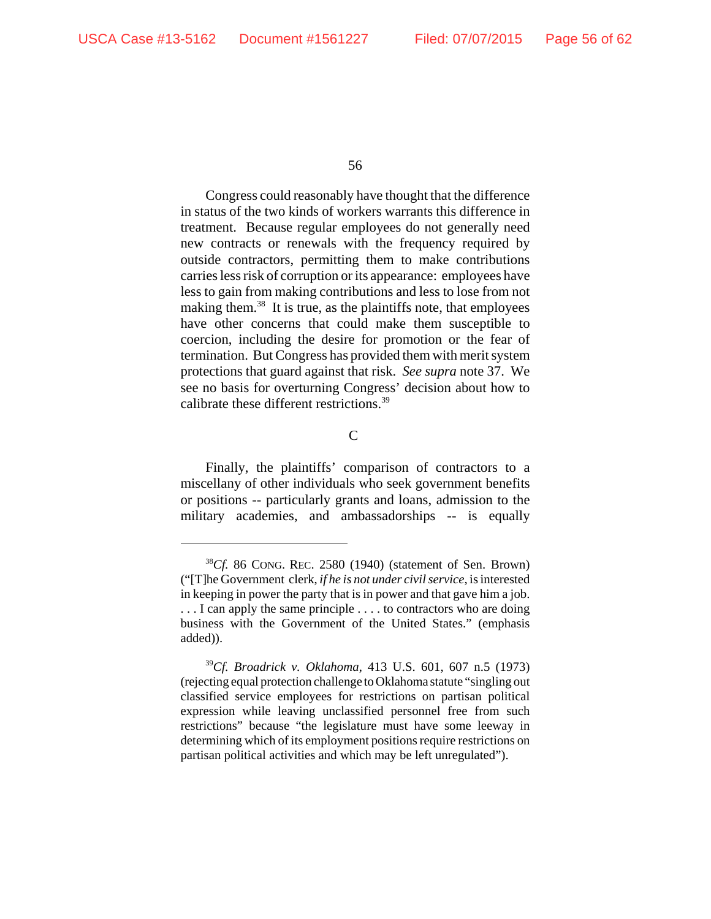Congress could reasonably have thought that the difference in status of the two kinds of workers warrants this difference in treatment. Because regular employees do not generally need new contracts or renewals with the frequency required by outside contractors, permitting them to make contributions carries less risk of corruption or its appearance: employees have less to gain from making contributions and less to lose from not making them.<sup>38</sup> It is true, as the plaintiffs note, that employees have other concerns that could make them susceptible to coercion, including the desire for promotion or the fear of termination. But Congress has provided them with merit system protections that guard against that risk. *See supra* note 37. We see no basis for overturning Congress' decision about how to calibrate these different restrictions.39

 $\mathsf{C}$ 

Finally, the plaintiffs' comparison of contractors to a miscellany of other individuals who seek government benefits or positions -- particularly grants and loans, admission to the military academies, and ambassadorships -- is equally

<sup>38</sup>*Cf.* 86 CONG. REC. 2580 (1940) (statement of Sen. Brown) ("[T]he Government clerk, *if he is not under civil service*, is interested in keeping in power the party that is in power and that gave him a job. ... I can apply the same principle .... to contractors who are doing business with the Government of the United States." (emphasis added)).

<sup>39</sup>*Cf. Broadrick v. Oklahoma*, 413 U.S. 601, 607 n.5 (1973) (rejecting equal protection challenge to Oklahoma statute "singling out classified service employees for restrictions on partisan political expression while leaving unclassified personnel free from such restrictions" because "the legislature must have some leeway in determining which of its employment positions require restrictions on partisan political activities and which may be left unregulated").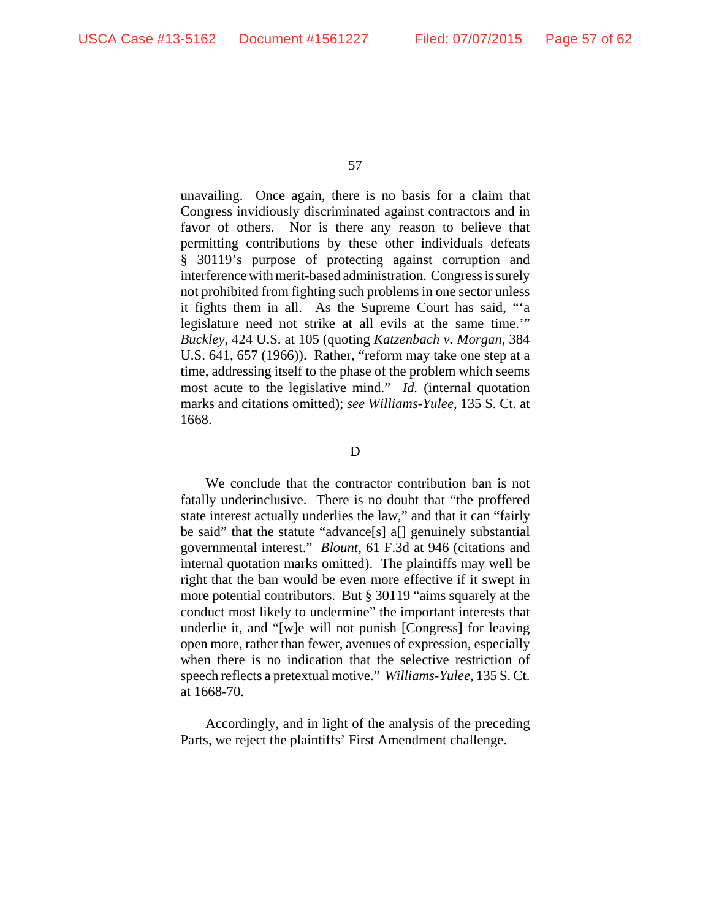unavailing. Once again, there is no basis for a claim that Congress invidiously discriminated against contractors and in favor of others. Nor is there any reason to believe that permitting contributions by these other individuals defeats § 30119's purpose of protecting against corruption and interference with merit-based administration. Congress is surely not prohibited from fighting such problems in one sector unless it fights them in all. As the Supreme Court has said, "'a legislature need not strike at all evils at the same time.'" *Buckley*, 424 U.S. at 105 (quoting *Katzenbach v. Morgan*, 384 U.S. 641, 657 (1966)). Rather, "reform may take one step at a time, addressing itself to the phase of the problem which seems most acute to the legislative mind." *Id.* (internal quotation marks and citations omitted); *see Williams-Yulee*, 135 S. Ct. at 1668.

#### D

We conclude that the contractor contribution ban is not fatally underinclusive. There is no doubt that "the proffered state interest actually underlies the law," and that it can "fairly be said" that the statute "advance[s] a[] genuinely substantial governmental interest." *Blount*, 61 F.3d at 946 (citations and internal quotation marks omitted). The plaintiffs may well be right that the ban would be even more effective if it swept in more potential contributors. But § 30119 "aims squarely at the conduct most likely to undermine" the important interests that underlie it, and "[w]e will not punish [Congress] for leaving open more, rather than fewer, avenues of expression, especially when there is no indication that the selective restriction of speech reflects a pretextual motive." *Williams-Yulee*, 135 S. Ct. at 1668-70.

Accordingly, and in light of the analysis of the preceding Parts, we reject the plaintiffs' First Amendment challenge.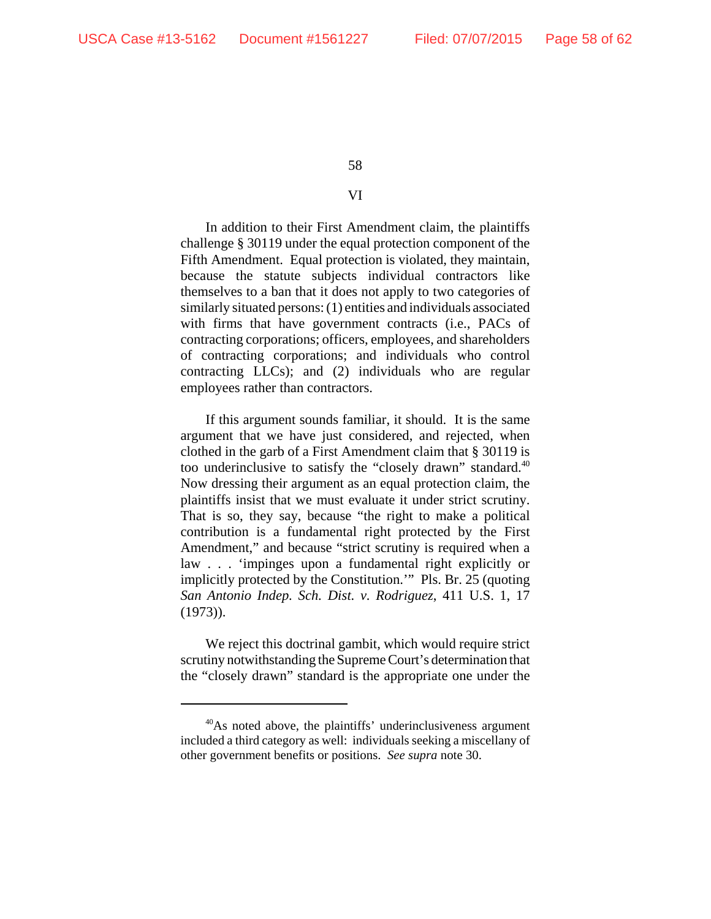## VI

In addition to their First Amendment claim, the plaintiffs challenge § 30119 under the equal protection component of the Fifth Amendment. Equal protection is violated, they maintain, because the statute subjects individual contractors like themselves to a ban that it does not apply to two categories of similarly situated persons: (1) entities and individuals associated with firms that have government contracts (i.e., PACs of contracting corporations; officers, employees, and shareholders of contracting corporations; and individuals who control contracting LLCs); and (2) individuals who are regular employees rather than contractors.

If this argument sounds familiar, it should. It is the same argument that we have just considered, and rejected, when clothed in the garb of a First Amendment claim that § 30119 is too underinclusive to satisfy the "closely drawn" standard.<sup>40</sup> Now dressing their argument as an equal protection claim, the plaintiffs insist that we must evaluate it under strict scrutiny. That is so, they say, because "the right to make a political contribution is a fundamental right protected by the First Amendment," and because "strict scrutiny is required when a law . . . 'impinges upon a fundamental right explicitly or implicitly protected by the Constitution.'" Pls. Br. 25 (quoting *San Antonio Indep. Sch. Dist. v. Rodriguez*, 411 U.S. 1, 17 (1973)).

We reject this doctrinal gambit, which would require strict scrutiny notwithstanding the Supreme Court's determination that the "closely drawn" standard is the appropriate one under the

<sup>&</sup>lt;sup>40</sup>As noted above, the plaintiffs' underinclusiveness argument included a third category as well: individuals seeking a miscellany of other government benefits or positions. *See supra* note 30.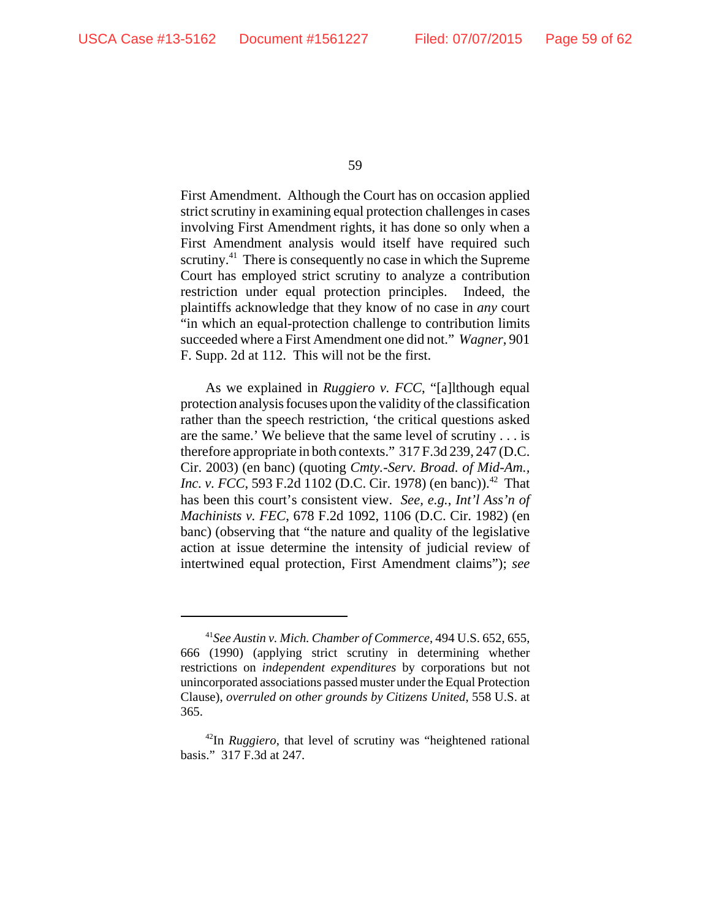First Amendment. Although the Court has on occasion applied strict scrutiny in examining equal protection challenges in cases involving First Amendment rights, it has done so only when a First Amendment analysis would itself have required such scrutiny.<sup>41</sup> There is consequently no case in which the Supreme Court has employed strict scrutiny to analyze a contribution restriction under equal protection principles. Indeed, the plaintiffs acknowledge that they know of no case in *any* court "in which an equal-protection challenge to contribution limits succeeded where a First Amendment one did not." *Wagner*, 901 F. Supp. 2d at 112. This will not be the first.

As we explained in *Ruggiero v. FCC*, "[a]lthough equal protection analysis focuses upon the validity of the classification rather than the speech restriction, 'the critical questions asked are the same.' We believe that the same level of scrutiny . . . is therefore appropriate in both contexts." 317 F.3d 239, 247 (D.C. Cir. 2003) (en banc) (quoting *Cmty.-Serv. Broad. of Mid-Am., Inc. v. FCC*, 593 F.2d 1102 (D.C. Cir. 1978) (en banc)).<sup>42</sup> That has been this court's consistent view. *See, e.g.*, *Int'l Ass'n of Machinists v. FEC*, 678 F.2d 1092, 1106 (D.C. Cir. 1982) (en banc) (observing that "the nature and quality of the legislative action at issue determine the intensity of judicial review of intertwined equal protection, First Amendment claims"); *see*

<sup>41</sup>*See Austin v. Mich. Chamber of Commerce*, 494 U.S. 652, 655, 666 (1990) (applying strict scrutiny in determining whether restrictions on *independent expenditures* by corporations but not unincorporated associations passed muster under the Equal Protection Clause), *overruled on other grounds by Citizens United*, 558 U.S. at 365.

<sup>42</sup>In *Ruggiero*, that level of scrutiny was "heightened rational basis." 317 F.3d at 247.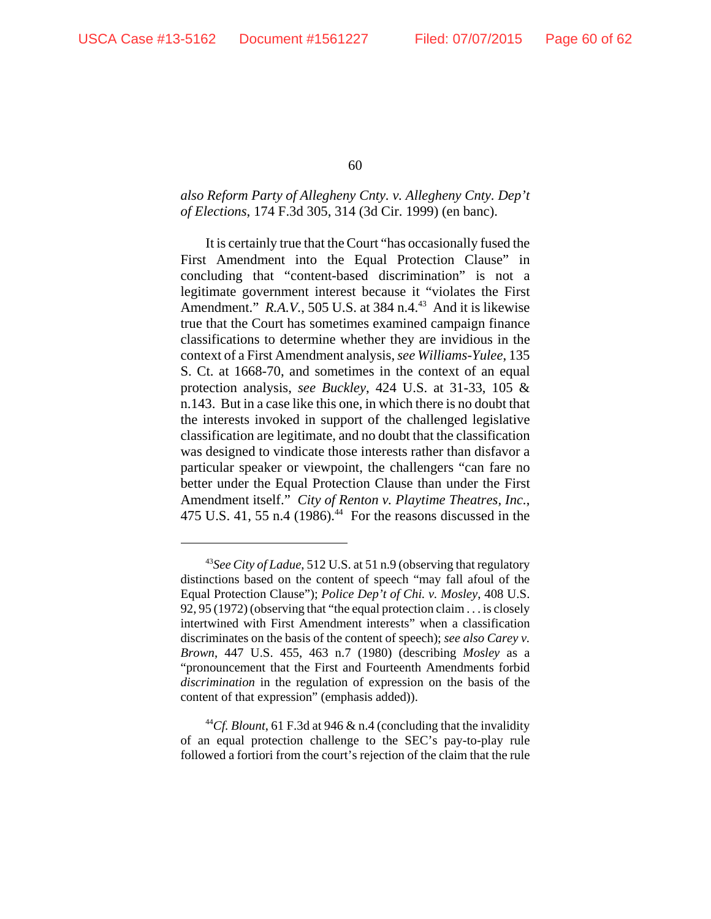# *also Reform Party of Allegheny Cnty. v. Allegheny Cnty. Dep't of Elections*, 174 F.3d 305, 314 (3d Cir. 1999) (en banc).

It is certainly true that the Court "has occasionally fused the First Amendment into the Equal Protection Clause" in concluding that "content-based discrimination" is not a legitimate government interest because it "violates the First Amendment." *R.A.V.*, 505 U.S. at 384 n.4.<sup>43</sup> And it is likewise true that the Court has sometimes examined campaign finance classifications to determine whether they are invidious in the context of a First Amendment analysis, *see Williams-Yulee*, 135 S. Ct. at 1668-70, and sometimes in the context of an equal protection analysis, *see Buckley*, 424 U.S. at 31-33, 105 & n.143. But in a case like this one, in which there is no doubt that the interests invoked in support of the challenged legislative classification are legitimate, and no doubt that the classification was designed to vindicate those interests rather than disfavor a particular speaker or viewpoint, the challengers "can fare no better under the Equal Protection Clause than under the First Amendment itself." *City of Renton v. Playtime Theatres, Inc.*, 475 U.S. 41, 55 n.4 (1986).<sup>44</sup> For the reasons discussed in the

<sup>43</sup>*See City of Ladue*, 512 U.S. at 51 n.9 (observing that regulatory distinctions based on the content of speech "may fall afoul of the Equal Protection Clause"); *Police Dep't of Chi. v. Mosley*, 408 U.S. 92, 95 (1972) (observing that "the equal protection claim . . . is closely intertwined with First Amendment interests" when a classification discriminates on the basis of the content of speech); *see also Carey v. Brown*, 447 U.S. 455, 463 n.7 (1980) (describing *Mosley* as a "pronouncement that the First and Fourteenth Amendments forbid *discrimination* in the regulation of expression on the basis of the content of that expression" (emphasis added)).

<sup>&</sup>lt;sup>44</sup>*Cf. Blount*, 61 F.3d at 946 & n.4 (concluding that the invalidity of an equal protection challenge to the SEC's pay-to-play rule followed a fortiori from the court's rejection of the claim that the rule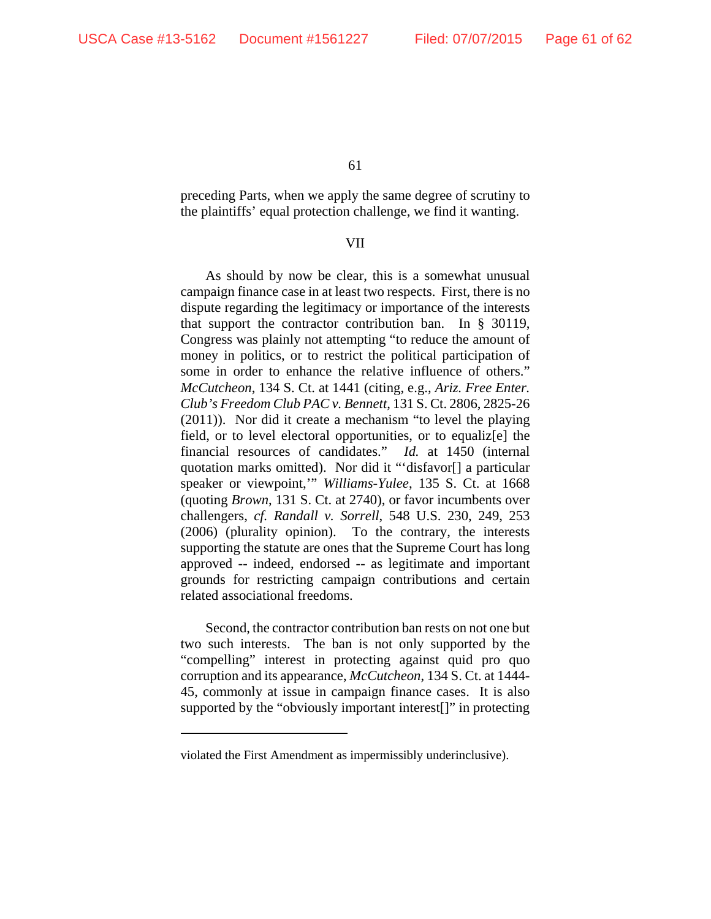preceding Parts, when we apply the same degree of scrutiny to the plaintiffs' equal protection challenge, we find it wanting.

## VII

As should by now be clear, this is a somewhat unusual campaign finance case in at least two respects. First, there is no dispute regarding the legitimacy or importance of the interests that support the contractor contribution ban. In § 30119, Congress was plainly not attempting "to reduce the amount of money in politics, or to restrict the political participation of some in order to enhance the relative influence of others." *McCutcheon*, 134 S. Ct. at 1441 (citing, e.g., *Ariz. Free Enter. Club's Freedom Club PAC v. Bennett*, 131 S. Ct. 2806, 2825-26 (2011)). Nor did it create a mechanism "to level the playing field, or to level electoral opportunities, or to equaliz[e] the financial resources of candidates." *Id.* at 1450 (internal quotation marks omitted). Nor did it "'disfavor[] a particular speaker or viewpoint,'" *Williams-Yulee*, 135 S. Ct. at 1668 (quoting *Brown*, 131 S. Ct. at 2740), or favor incumbents over challengers, *cf. Randall v. Sorrell*, 548 U.S. 230, 249, 253 (2006) (plurality opinion). To the contrary, the interests supporting the statute are ones that the Supreme Court has long approved -- indeed, endorsed -- as legitimate and important grounds for restricting campaign contributions and certain related associational freedoms.

Second, the contractor contribution ban rests on not one but two such interests. The ban is not only supported by the "compelling" interest in protecting against quid pro quo corruption and its appearance, *McCutcheon*, 134 S. Ct. at 1444- 45, commonly at issue in campaign finance cases. It is also supported by the "obviously important interest[]" in protecting

violated the First Amendment as impermissibly underinclusive).